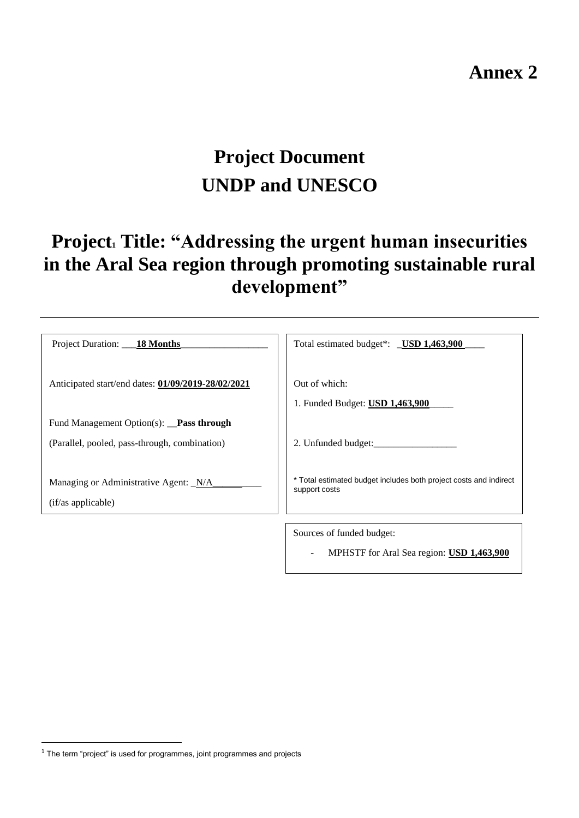# **Annex 2**

# **Project Document UNDP and UNESCO**

# **Project<sup>1</sup> Title: "Addressing the urgent human insecurities in the Aral Sea region through promoting sustainable rural development"**

| Project Duration: ___ 18 Months                             | Total estimated budget*: USD 1,463,900                                             |
|-------------------------------------------------------------|------------------------------------------------------------------------------------|
| Anticipated start/end dates: 01/09/2019-28/02/2021          | Out of which:<br>1. Funded Budget: USD 1,463,900                                   |
| Fund Management Option(s): Pass through                     |                                                                                    |
| (Parallel, pooled, pass-through, combination)               | 2. Unfunded budget:                                                                |
| Managing or Administrative Agent: N/A<br>(if/as applicable) | * Total estimated budget includes both project costs and indirect<br>support costs |
|                                                             | Sources of funded budget:                                                          |
|                                                             | MPHSTF for Aral Sea region: USD 1,463,900                                          |

 $\overline{a}$ 

 $1$  The term "project" is used for programmes, joint programmes and projects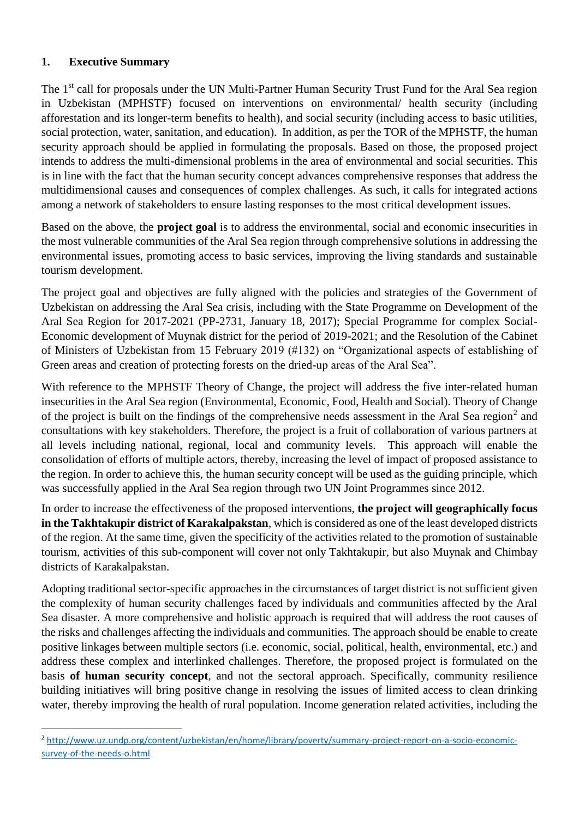# **1. Executive Summary**

 $\overline{a}$ 

The 1<sup>st</sup> call for proposals under the UN Multi-Partner Human Security Trust Fund for the Aral Sea region in Uzbekistan (MPHSTF) focused on interventions on environmental/ health security (including afforestation and its longer-term benefits to health), and social security (including access to basic utilities, social protection, water, sanitation, and education). In addition, as per the TOR of the MPHSTF, the human security approach should be applied in formulating the proposals. Based on those, the proposed project intends to address the multi-dimensional problems in the area of environmental and social securities. This is in line with the fact that the human security concept advances comprehensive responses that address the multidimensional causes and consequences of complex challenges. As such, it calls for integrated actions among a network of stakeholders to ensure lasting responses to the most critical development issues.

Based on the above, the **project goal** is to address the environmental, social and economic insecurities in the most vulnerable communities of the Aral Sea region through comprehensive solutions in addressing the environmental issues, promoting access to basic services, improving the living standards and sustainable tourism development.

The project goal and objectives are fully aligned with the policies and strategies of the Government of Uzbekistan on addressing the Aral Sea crisis, including with the State Programme on Development of the Aral Sea Region for 2017-2021 (PP-2731, January 18, 2017); Special Programme for complex Social-Economic development of Muynak district for the period of 2019-2021; and the Resolution of the Cabinet of Ministers of Uzbekistan from 15 February 2019 (#132) on "Organizational aspects of establishing of Green areas and creation of protecting forests on the dried-up areas of the Aral Sea".

With reference to the MPHSTF Theory of Change, the project will address the five inter-related human insecurities in the Aral Sea region (Environmental, Economic, Food, Health and Social). Theory of Change of the project is built on the findings of the comprehensive needs assessment in the Aral Sea region<sup>2</sup> and consultations with key stakeholders. Therefore, the project is a fruit of collaboration of various partners at all levels including national, regional, local and community levels. This approach will enable the consolidation of efforts of multiple actors, thereby, increasing the level of impact of proposed assistance to the region. In order to achieve this, the human security concept will be used as the guiding principle, which was successfully applied in the Aral Sea region through two UN Joint Programmes since 2012.

In order to increase the effectiveness of the proposed interventions, **the project will geographically focus in the Takhtakupir district of Karakalpakstan**, which is considered as one of the least developed districts of the region. At the same time, given the specificity of the activities related to the promotion of sustainable tourism, activities of this sub-component will cover not only Takhtakupir, but also Muynak and Chimbay districts of Karakalpakstan.

Adopting traditional sector-specific approaches in the circumstances of target district is not sufficient given the complexity of human security challenges faced by individuals and communities affected by the Aral Sea disaster. A more comprehensive and holistic approach is required that will address the root causes of the risks and challenges affecting the individuals and communities. The approach should be enable to create positive linkages between multiple sectors (i.e. economic, social, political, health, environmental, etc.) and address these complex and interlinked challenges. Therefore, the proposed project is formulated on the basis **of human security concept**, and not the sectoral approach. Specifically, community resilience building initiatives will bring positive change in resolving the issues of limited access to clean drinking water, thereby improving the health of rural population. Income generation related activities, including the

<sup>2</sup> [http://www.uz.undp.org/content/uzbekistan/en/home/library/poverty/summary-project-report-on-a-socio-economic](http://www.uz.undp.org/content/uzbekistan/en/home/library/poverty/summary-project-report-on-a-socio-economic-survey-of-the-needs-o.html)[survey-of-the-needs-o.html](http://www.uz.undp.org/content/uzbekistan/en/home/library/poverty/summary-project-report-on-a-socio-economic-survey-of-the-needs-o.html)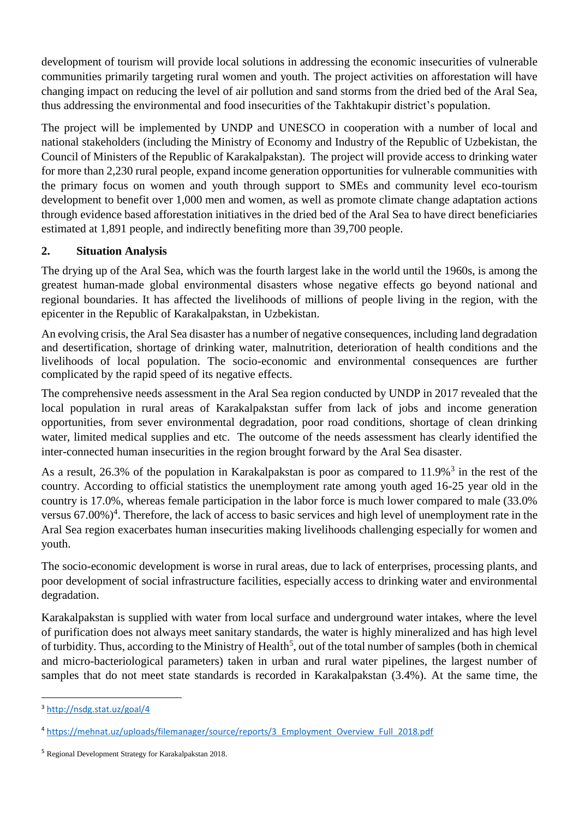development of tourism will provide local solutions in addressing the economic insecurities of vulnerable communities primarily targeting rural women and youth. The project activities on afforestation will have changing impact on reducing the level of air pollution and sand storms from the dried bed of the Aral Sea, thus addressing the environmental and food insecurities of the Takhtakupir district's population.

The project will be implemented by UNDP and UNESCO in cooperation with a number of local and national stakeholders (including the Ministry of Economy and Industry of the Republic of Uzbekistan, the Council of Ministers of the Republic of Karakalpakstan). The project will provide access to drinking water for more than 2,230 rural people, expand income generation opportunities for vulnerable communities with the primary focus on women and youth through support to SMEs and community level eco-tourism development to benefit over 1,000 men and women, as well as promote climate change adaptation actions through evidence based afforestation initiatives in the dried bed of the Aral Sea to have direct beneficiaries estimated at 1,891 people, and indirectly benefiting more than 39,700 people.

# **2. Situation Analysis**

The drying up of the Aral Sea, which was the fourth largest lake in the world until the 1960s, is among the greatest human-made global environmental disasters whose negative effects go beyond national and regional boundaries. It has affected the livelihoods of millions of people living in the region, with the epicenter in the Republic of Karakalpakstan, in Uzbekistan.

An evolving crisis, the Aral Sea disaster has a number of negative consequences, including land degradation and desertification, shortage of drinking water, malnutrition, deterioration of health conditions and the livelihoods of local population. The socio-economic and environmental consequences are further complicated by the rapid speed of its negative effects.

The comprehensive needs assessment in the Aral Sea region conducted by UNDP in 2017 revealed that the local population in rural areas of Karakalpakstan suffer from lack of jobs and income generation opportunities, from sever environmental degradation, poor road conditions, shortage of clean drinking water, limited medical supplies and etc. The outcome of the needs assessment has clearly identified the inter-connected human insecurities in the region brought forward by the Aral Sea disaster.

As a result, 26.3% of the population in Karakalpakstan is poor as compared to  $11.9\%$ <sup>3</sup> in the rest of the country. According to official statistics the unemployment rate among youth aged 16-25 year old in the country is 17.0%, whereas female participation in the labor force is much lower compared to male (33.0% versus  $67.00\%$ <sup>4</sup>. Therefore, the lack of access to basic services and high level of unemployment rate in the Aral Sea region exacerbates human insecurities making livelihoods challenging especially for women and youth.

The socio-economic development is worse in rural areas, due to lack of enterprises, processing plants, and poor development of social infrastructure facilities, especially access to drinking water and environmental degradation.

Karakalpakstan is supplied with water from local surface and underground water intakes, where the level of purification does not always meet sanitary standards, the water is highly mineralized and has high level of turbidity. Thus, according to the Ministry of Health<sup>5</sup>, out of the total number of samples (both in chemical and micro-bacteriological parameters) taken in urban and rural water pipelines, the largest number of samples that do not meet state standards is recorded in Karakalpakstan (3.4%). At the same time, the

 $\overline{a}$ 

<sup>3</sup> <http://nsdg.stat.uz/goal/4>

<sup>4</sup> [https://mehnat.uz/uploads/filemanager/source/reports/3\\_Employment\\_Overview\\_Full\\_2018.pdf](https://mehnat.uz/uploads/filemanager/source/reports/3_Employment_Overview_Full_2018.pdf)

<sup>5</sup> Regional Development Strategy for Karakalpakstan 2018.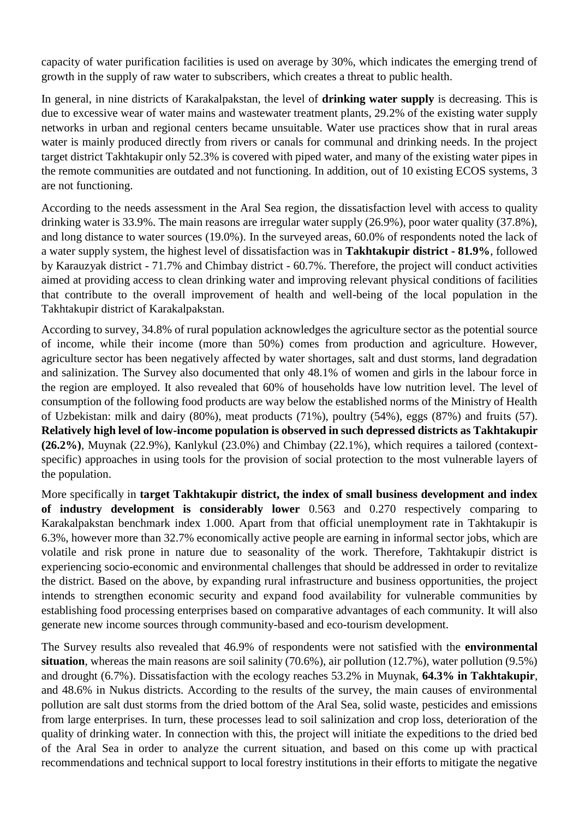capacity of water purification facilities is used on average by 30%, which indicates the emerging trend of growth in the supply of raw water to subscribers, which creates a threat to public health.

In general, in nine districts of Karakalpakstan, the level of **drinking water supply** is decreasing. This is due to excessive wear of water mains and wastewater treatment plants, 29.2% of the existing water supply networks in urban and regional centers became unsuitable. Water use practices show that in rural areas water is mainly produced directly from rivers or canals for communal and drinking needs. In the project target district Takhtakupir only 52.3% is covered with piped water, and many of the existing water pipes in the remote communities are outdated and not functioning. In addition, out of 10 existing ECOS systems, 3 are not functioning.

According to the needs assessment in the Aral Sea region, the dissatisfaction level with access to quality drinking water is 33.9%. The main reasons are irregular water supply (26.9%), poor water quality (37.8%), and long distance to water sources (19.0%). In the surveyed areas, 60.0% of respondents noted the lack of a water supply system, the highest level of dissatisfaction was in **Takhtakupir district - 81.9%**, followed by Karauzyak district - 71.7% and Chimbay district - 60.7%. Therefore, the project will conduct activities aimed at providing access to clean drinking water and improving relevant physical conditions of facilities that contribute to the overall improvement of health and well-being of the local population in the Takhtakupir district of Karakalpakstan.

According to survey, 34.8% of rural population acknowledges the agriculture sector as the potential source of income, while their income (more than 50%) comes from production and agriculture. However, agriculture sector has been negatively affected by water shortages, salt and dust storms, land degradation and salinization. The Survey also documented that only 48.1% of women and girls in the labour force in the region are employed. It also revealed that 60% of households have low nutrition level. The level of consumption of the following food products are way below the established norms of the Ministry of Health of Uzbekistan: milk and dairy (80%), meat products (71%), poultry (54%), eggs (87%) and fruits (57). **Relatively high level of low-income population is observed in such depressed districts as Takhtakupir (26.2%)**, Muynak (22.9%), Kanlykul (23.0%) and Chimbay (22.1%), which requires a tailored (contextspecific) approaches in using tools for the provision of social protection to the most vulnerable layers of the population.

More specifically in **target Takhtakupir district, the index of small business development and index of industry development is considerably lower** 0.563 and 0.270 respectively comparing to Karakalpakstan benchmark index 1.000. Apart from that official unemployment rate in Takhtakupir is 6.3%, however more than 32.7% economically active people are earning in informal sector jobs, which are volatile and risk prone in nature due to seasonality of the work. Therefore, Takhtakupir district is experiencing socio-economic and environmental challenges that should be addressed in order to revitalize the district. Based on the above, by expanding rural infrastructure and business opportunities, the project intends to strengthen economic security and expand food availability for vulnerable communities by establishing food processing enterprises based on comparative advantages of each community. It will also generate new income sources through community-based and eco-tourism development.

The Survey results also revealed that 46.9% of respondents were not satisfied with the **environmental situation**, whereas the main reasons are soil salinity (70.6%), air pollution (12.7%), water pollution (9.5%) and drought (6.7%). Dissatisfaction with the ecology reaches 53.2% in Muynak, **64.3% in Takhtakupir**, and 48.6% in Nukus districts. According to the results of the survey, the main causes of environmental pollution are salt dust storms from the dried bottom of the Aral Sea, solid waste, pesticides and emissions from large enterprises. In turn, these processes lead to soil salinization and crop loss, deterioration of the quality of drinking water. In connection with this, the project will initiate the expeditions to the dried bed of the Aral Sea in order to analyze the current situation, and based on this come up with practical recommendations and technical support to local forestry institutions in their efforts to mitigate the negative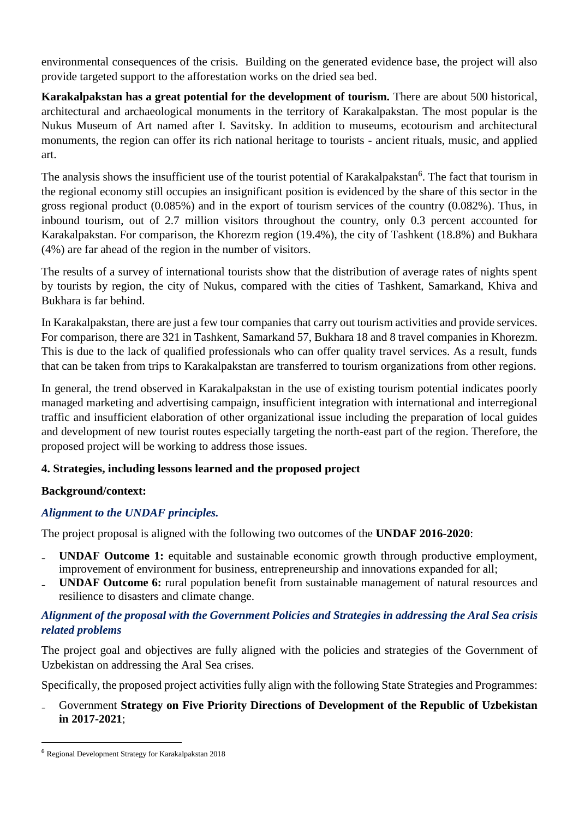environmental consequences of the crisis. Building on the generated evidence base, the project will also provide targeted support to the afforestation works on the dried sea bed.

**Karakalpakstan has a great potential for the development of tourism.** There are about 500 historical, architectural and archaeological monuments in the territory of Karakalpakstan. The most popular is the Nukus Museum of Art named after I. Savitsky. In addition to museums, ecotourism and architectural monuments, the region can offer its rich national heritage to tourists - ancient rituals, music, and applied art.

The analysis shows the insufficient use of the tourist potential of Karakalpakstan<sup>6</sup>. The fact that tourism in the regional economy still occupies an insignificant position is evidenced by the share of this sector in the gross regional product (0.085%) and in the export of tourism services of the country (0.082%). Thus, in inbound tourism, out of 2.7 million visitors throughout the country, only 0.3 percent accounted for Karakalpakstan. For comparison, the Khorezm region (19.4%), the city of Tashkent (18.8%) and Bukhara (4%) are far ahead of the region in the number of visitors.

The results of a survey of international tourists show that the distribution of average rates of nights spent by tourists by region, the city of Nukus, compared with the cities of Tashkent, Samarkand, Khiva and Bukhara is far behind.

In Karakalpakstan, there are just a few tour companies that carry out tourism activities and provide services. For comparison, there are 321 in Tashkent, Samarkand 57, Bukhara 18 and 8 travel companies in Khorezm. This is due to the lack of qualified professionals who can offer quality travel services. As a result, funds that can be taken from trips to Karakalpakstan are transferred to tourism organizations from other regions.

In general, the trend observed in Karakalpakstan in the use of existing tourism potential indicates poorly managed marketing and advertising campaign, insufficient integration with international and interregional traffic and insufficient elaboration of other organizational issue including the preparation of local guides and development of new tourist routes especially targeting the north-east part of the region. Therefore, the proposed project will be working to address those issues.

# **4. Strategies, including lessons learned and the proposed project**

# **Background/context:**

# *Alignment to the UNDAF principles.*

The project proposal is aligned with the following two outcomes of the **UNDAF 2016-2020**:

- ₋ **UNDAF Outcome 1:** equitable and sustainable economic growth through productive employment, improvement of environment for business, entrepreneurship and innovations expanded for all;
- ₋ **UNDAF Outcome 6:** rural population benefit from sustainable management of natural resources and resilience to disasters and climate change.

# *Alignment of the proposal with the Government Policies and Strategies in addressing the Aral Sea crisis related problems*

The project goal and objectives are fully aligned with the policies and strategies of the Government of Uzbekistan on addressing the Aral Sea crises.

Specifically, the proposed project activities fully align with the following State Strategies and Programmes:

# ₋ Government **Strategy on Five Priority Directions of Development of the Republic of Uzbekistan in 2017-2021**;

 $\overline{a}$ 

<sup>6</sup> Regional Development Strategy for Karakalpakstan 2018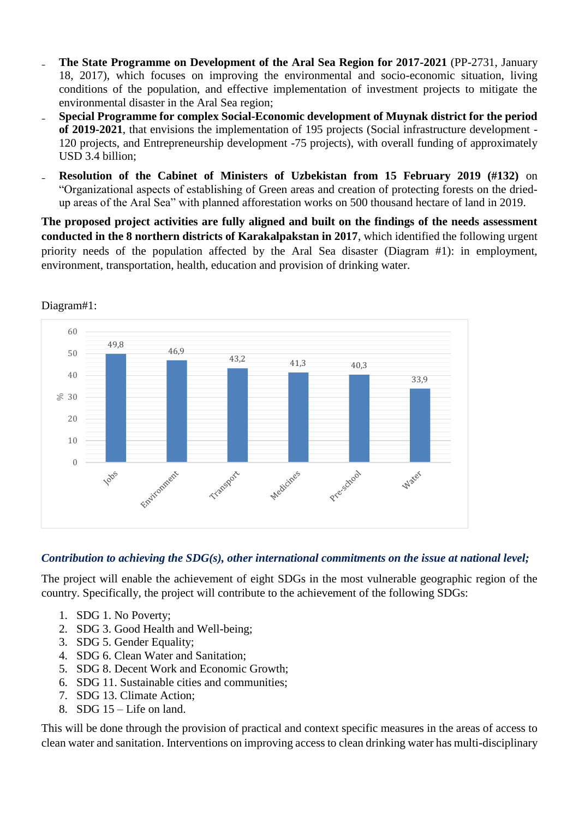- ₋ **The State Programme on Development of the Aral Sea Region for 2017-2021** (PP-2731, January 18, 2017), which focuses on improving the environmental and socio-economic situation, living conditions of the population, and effective implementation of investment projects to mitigate the environmental disaster in the Aral Sea region;
- ₋ **Special Programme for complex Social-Economic development of Muynak district for the period of 2019-2021**, that envisions the implementation of 195 projects (Social infrastructure development - 120 projects, and Entrepreneurship development -75 projects), with overall funding of approximately USD 3.4 billion;
- **Resolution of the Cabinet of Ministers of Uzbekistan from 15 February 2019 (#132)** on "Organizational aspects of establishing of Green areas and creation of protecting forests on the driedup areas of the Aral Sea" with planned afforestation works on 500 thousand hectare of land in 2019.

**The proposed project activities are fully aligned and built on the findings of the needs assessment conducted in the 8 northern districts of Karakalpakstan in 2017**, which identified the following urgent priority needs of the population affected by the Aral Sea disaster (Diagram #1): in employment, environment, transportation, health, education and provision of drinking water.



Diagram#1:

# *Contribution to achieving the SDG(s), other international commitments on the issue at national level;*

The project will enable the achievement of eight SDGs in the most vulnerable geographic region of the country. Specifically, the project will contribute to the achievement of the following SDGs:

- 1. SDG 1. No Poverty;
- 2. SDG 3. Good Health and Well-being;
- 3. SDG 5. Gender Equality;
- 4. SDG 6. Clean Water and Sanitation;
- 5. SDG 8. Decent Work and Economic Growth;
- 6. SDG 11. Sustainable cities and communities;
- 7. SDG 13. Climate Action;
- 8. SDG 15 Life on land.

This will be done through the provision of practical and context specific measures in the areas of access to clean water and sanitation. Interventions on improving access to clean drinking water has multi-disciplinary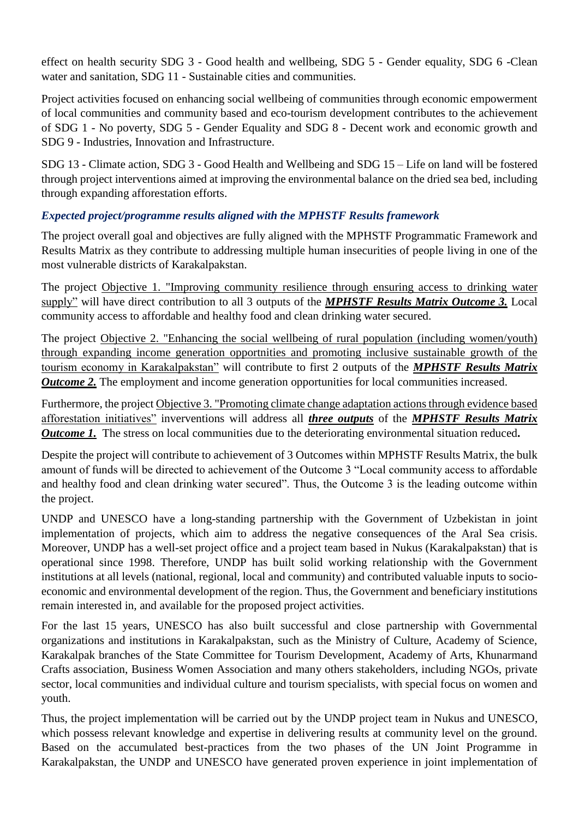effect on health security SDG 3 - Good health and wellbeing, SDG 5 - Gender equality, SDG 6 -Clean water and sanitation, SDG 11 - Sustainable cities and communities.

Project activities focused on enhancing social wellbeing of communities through economic empowerment of local communities and community based and eco-tourism development contributes to the achievement of SDG 1 - No poverty, SDG 5 - Gender Equality and SDG 8 - Decent work and economic growth and SDG 9 - Industries, Innovation and Infrastructure.

SDG 13 - Climate action, SDG 3 - Good Health and Wellbeing and SDG 15 – Life on land will be fostered through project interventions aimed at improving the environmental balance on the dried sea bed, including through expanding afforestation efforts.

# *Expected project/programme results aligned with the MPHSTF Results framework*

The project overall goal and objectives are fully aligned with the MPHSTF Programmatic Framework and Results Matrix as they contribute to addressing multiple human insecurities of people living in one of the most vulnerable districts of Karakalpakstan.

The project Objective 1. "Improving community resilience through ensuring access to drinking water supply" will have direct contribution to all 3 outputs of the *MPHSTF Results Matrix Outcome 3.* Local community access to affordable and healthy food and clean drinking water secured.

The project Objective 2. "Enhancing the social wellbeing of rural population (including women/youth) through expanding income generation opportnities and promoting inclusive sustainable growth of the tourism economy in Karakalpakstan" will contribute to first 2 outputs of the *MPHSTF Results Matrix Outcome 2.* The employment and income generation opportunities for local communities increased.

Furthermore, the project Objective 3. "Promoting climate change adaptation actions through evidence based afforestation initiatives" inverventions will address all *three outputs* of the *MPHSTF Results Matrix Outcome 1.* The stress on local communities due to the deteriorating environmental situation reduced.

Despite the project will contribute to achievement of 3 Outcomes within MPHSTF Results Matrix, the bulk amount of funds will be directed to achievement of the Outcome 3 "Local community access to affordable and healthy food and clean drinking water secured". Thus, the Outcome 3 is the leading outcome within the project.

UNDP and UNESCO have a long-standing partnership with the Government of Uzbekistan in joint implementation of projects, which aim to address the negative consequences of the Aral Sea crisis. Moreover, UNDP has a well-set project office and a project team based in Nukus (Karakalpakstan) that is operational since 1998. Therefore, UNDP has built solid working relationship with the Government institutions at all levels (national, regional, local and community) and contributed valuable inputs to socioeconomic and environmental development of the region. Thus, the Government and beneficiary institutions remain interested in, and available for the proposed project activities.

For the last 15 years, UNESCO has also built successful and close partnership with Governmental organizations and institutions in Karakalpakstan, such as the Ministry of Culture, Academy of Science, Karakalpak branches of the State Committee for Tourism Development, Academy of Arts, Khunarmand Crafts association, Business Women Association and many others stakeholders, including NGOs, private sector, local communities and individual culture and tourism specialists, with special focus on women and youth.

Thus, the project implementation will be carried out by the UNDP project team in Nukus and UNESCO, which possess relevant knowledge and expertise in delivering results at community level on the ground. Based on the accumulated best-practices from the two phases of the UN Joint Programme in Karakalpakstan, the UNDP and UNESCO have generated proven experience in joint implementation of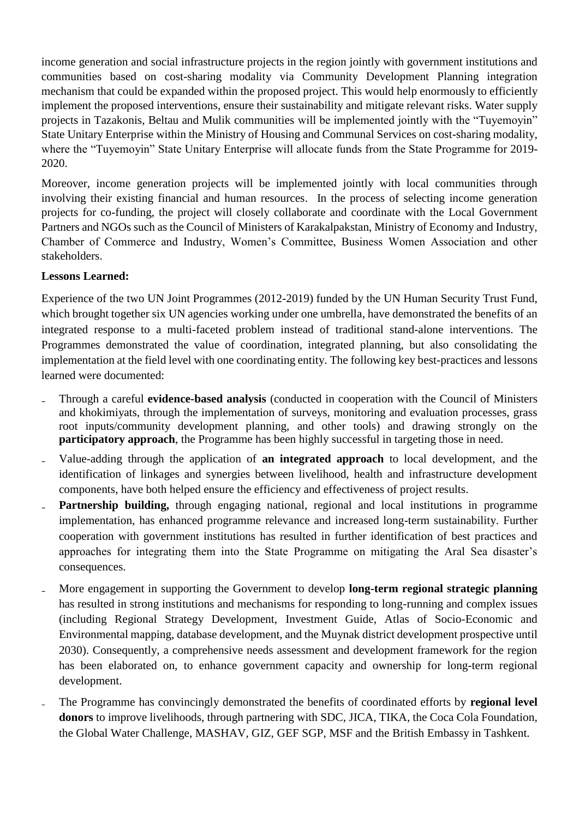income generation and social infrastructure projects in the region jointly with government institutions and communities based on cost-sharing modality via Community Development Planning integration mechanism that could be expanded within the proposed project. This would help enormously to efficiently implement the proposed interventions, ensure their sustainability and mitigate relevant risks. Water supply projects in Tazakonis, Beltau and Mulik communities will be implemented jointly with the "Tuyemoyin" State Unitary Enterprise within the Ministry of Housing and Communal Services on cost-sharing modality, where the "Tuyemoyin" State Unitary Enterprise will allocate funds from the State Programme for 2019- 2020.

Moreover, income generation projects will be implemented jointly with local communities through involving their existing financial and human resources. In the process of selecting income generation projects for co-funding, the project will closely collaborate and coordinate with the Local Government Partners and NGOs such as the Council of Ministers of Karakalpakstan, Ministry of Economy and Industry, Chamber of Commerce and Industry, Women's Committee, Business Women Association and other stakeholders.

# **Lessons Learned:**

Experience of the two UN Joint Programmes (2012-2019) funded by the UN Human Security Trust Fund, which brought together six UN agencies working under one umbrella, have demonstrated the benefits of an integrated response to a multi-faceted problem instead of traditional stand-alone interventions. The Programmes demonstrated the value of coordination, integrated planning, but also consolidating the implementation at the field level with one coordinating entity. The following key best-practices and lessons learned were documented:

- ₋ Through a careful **evidence-based analysis** (conducted in cooperation with the Council of Ministers and khokimiyats, through the implementation of surveys, monitoring and evaluation processes, grass root inputs/community development planning, and other tools) and drawing strongly on the **participatory approach**, the Programme has been highly successful in targeting those in need.
- ₋ Value-adding through the application of **an integrated approach** to local development, and the identification of linkages and synergies between livelihood, health and infrastructure development components, have both helped ensure the efficiency and effectiveness of project results.
- ₋ **Partnership building,** through engaging national, regional and local institutions in programme implementation, has enhanced programme relevance and increased long-term sustainability. Further cooperation with government institutions has resulted in further identification of best practices and approaches for integrating them into the State Programme on mitigating the Aral Sea disaster's consequences.
- ₋ More engagement in supporting the Government to develop **long-term regional strategic planning** has resulted in strong institutions and mechanisms for responding to long-running and complex issues (including Regional Strategy Development, Investment Guide, Atlas of Socio-Economic and Environmental mapping, database development, and the Muynak district development prospective until 2030). Consequently, a comprehensive needs assessment and development framework for the region has been elaborated on, to enhance government capacity and ownership for long-term regional development.
- ₋ The Programme has convincingly demonstrated the benefits of coordinated efforts by **regional level donors** to improve livelihoods, through partnering with SDC, JICA, TIKA, the Coca Cola Foundation, the Global Water Challenge, MASHAV, GIZ, GEF SGP, MSF and the British Embassy in Tashkent.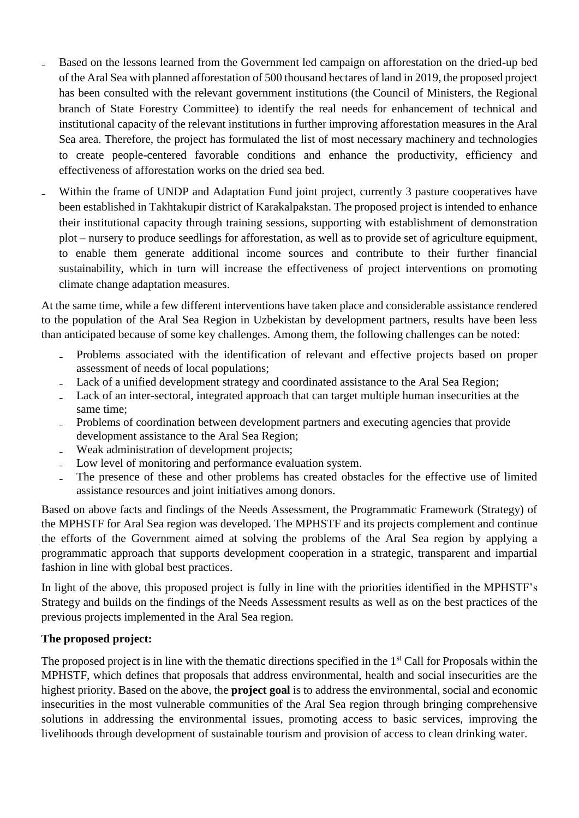- ₋ Based on the lessons learned from the Government led campaign on afforestation on the dried-up bed of the Aral Sea with planned afforestation of 500 thousand hectares of land in 2019, the proposed project has been consulted with the relevant government institutions (the Council of Ministers, the Regional branch of State Forestry Committee) to identify the real needs for enhancement of technical and institutional capacity of the relevant institutions in further improving afforestation measures in the Aral Sea area. Therefore, the project has formulated the list of most necessary machinery and technologies to create people-centered favorable conditions and enhance the productivity, efficiency and effectiveness of afforestation works on the dried sea bed.
- Within the frame of UNDP and Adaptation Fund joint project, currently 3 pasture cooperatives have been established in Takhtakupir district of Karakalpakstan. The proposed project is intended to enhance their institutional capacity through training sessions, supporting with establishment of demonstration plot – nursery to produce seedlings for afforestation, as well as to provide set of agriculture equipment, to enable them generate additional income sources and contribute to their further financial sustainability, which in turn will increase the effectiveness of project interventions on promoting climate change adaptation measures.

At the same time, while a few different interventions have taken place and considerable assistance rendered to the population of the Aral Sea Region in Uzbekistan by development partners, results have been less than anticipated because of some key challenges. Among them, the following challenges can be noted:

- Problems associated with the identification of relevant and effective projects based on proper assessment of needs of local populations;
- Lack of a unified development strategy and coordinated assistance to the Aral Sea Region;
- Lack of an inter-sectoral, integrated approach that can target multiple human insecurities at the same time;
- ₋ Problems of coordination between development partners and executing agencies that provide development assistance to the Aral Sea Region;
- Weak administration of development projects;
- Low level of monitoring and performance evaluation system.
- The presence of these and other problems has created obstacles for the effective use of limited assistance resources and joint initiatives among donors.

Based on above facts and findings of the Needs Assessment, the Programmatic Framework (Strategy) of the MPHSTF for Aral Sea region was developed. The MPHSTF and its projects complement and continue the efforts of the Government aimed at solving the problems of the Aral Sea region by applying a programmatic approach that supports development cooperation in a strategic, transparent and impartial fashion in line with global best practices.

In light of the above, this proposed project is fully in line with the priorities identified in the MPHSTF's Strategy and builds on the findings of the Needs Assessment results as well as on the best practices of the previous projects implemented in the Aral Sea region.

# **The proposed project:**

The proposed project is in line with the thematic directions specified in the 1<sup>st</sup> Call for Proposals within the MPHSTF, which defines that proposals that address environmental, health and social insecurities are the highest priority. Based on the above, the **project goal** is to address the environmental, social and economic insecurities in the most vulnerable communities of the Aral Sea region through bringing comprehensive solutions in addressing the environmental issues, promoting access to basic services, improving the livelihoods through development of sustainable tourism and provision of access to clean drinking water.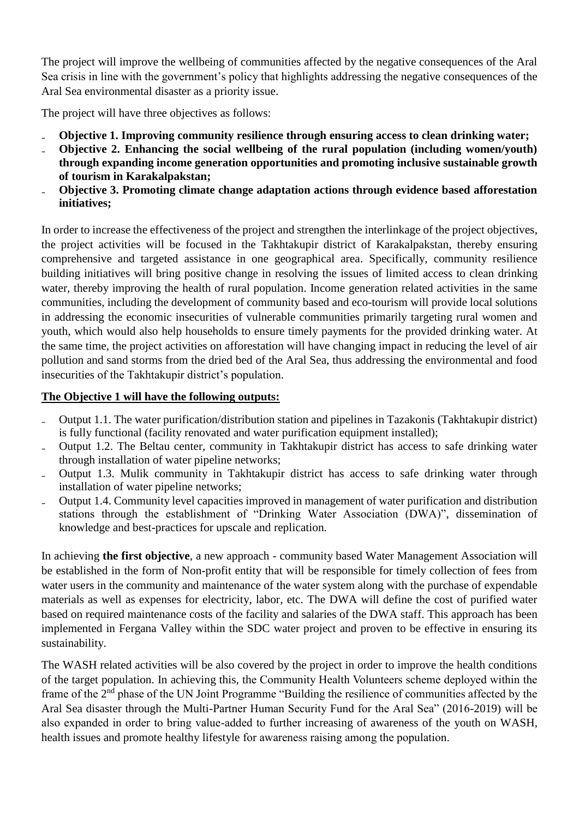The project will improve the wellbeing of communities affected by the negative consequences of the Aral Sea crisis in line with the government's policy that highlights addressing the negative consequences of the Aral Sea environmental disaster as a priority issue.

The project will have three objectives as follows:

- ₋ **Objective 1. Improving community resilience through ensuring access to clean drinking water;**
- ₋ **Objective 2. Enhancing the social wellbeing of the rural population (including women/youth) through expanding income generation opportunities and promoting inclusive sustainable growth of tourism in Karakalpakstan;**
- ₋ **Objective 3. Promoting climate change adaptation actions through evidence based afforestation initiatives;**

In order to increase the effectiveness of the project and strengthen the interlinkage of the project objectives, the project activities will be focused in the Takhtakupir district of Karakalpakstan, thereby ensuring comprehensive and targeted assistance in one geographical area. Specifically, community resilience building initiatives will bring positive change in resolving the issues of limited access to clean drinking water, thereby improving the health of rural population. Income generation related activities in the same communities, including the development of community based and eco-tourism will provide local solutions in addressing the economic insecurities of vulnerable communities primarily targeting rural women and youth, which would also help households to ensure timely payments for the provided drinking water. At the same time, the project activities on afforestation will have changing impact in reducing the level of air pollution and sand storms from the dried bed of the Aral Sea, thus addressing the environmental and food insecurities of the Takhtakupir district's population.

# **The Objective 1 will have the following outputs:**

- ₋ Output 1.1. The water purification/distribution station and pipelines in Tazakonis (Takhtakupir district) is fully functional (facility renovated and water purification equipment installed);
- ₋ Output 1.2. The Beltau center, community in Takhtakupir district has access to safe drinking water through installation of water pipeline networks;
- ₋ Output 1.3. Mulik community in Takhtakupir district has access to safe drinking water through installation of water pipeline networks;
- ₋ Output 1.4. Community level capacities improved in management of water purification and distribution stations through the establishment of "Drinking Water Association (DWA)", dissemination of knowledge and best-practices for upscale and replication.

In achieving **the first objective**, a new approach - community based Water Management Association will be established in the form of Non-profit entity that will be responsible for timely collection of fees from water users in the community and maintenance of the water system along with the purchase of expendable materials as well as expenses for electricity, labor, etc. The DWA will define the cost of purified water based on required maintenance costs of the facility and salaries of the DWA staff. This approach has been implemented in Fergana Valley within the SDC water project and proven to be effective in ensuring its sustainability.

The WASH related activities will be also covered by the project in order to improve the health conditions of the target population. In achieving this, the Community Health Volunteers scheme deployed within the frame of the 2<sup>nd</sup> phase of the UN Joint Programme "Building the resilience of communities affected by the Aral Sea disaster through the Multi-Partner Human Security Fund for the Aral Sea" (2016-2019) will be also expanded in order to bring value-added to further increasing of awareness of the youth on WASH, health issues and promote healthy lifestyle for awareness raising among the population.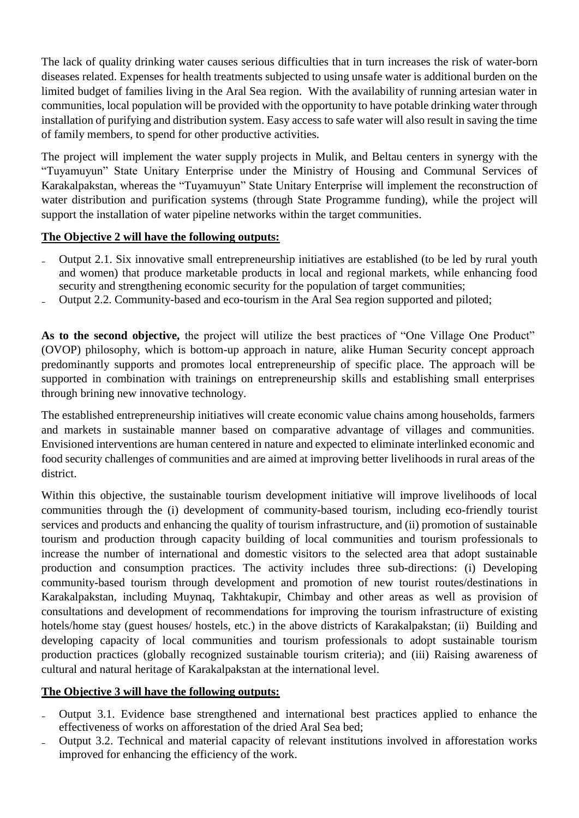The lack of quality drinking water causes serious difficulties that in turn increases the risk of water-born diseases related. Expenses for health treatments subjected to using unsafe water is additional burden on the limited budget of families living in the Aral Sea region. With the availability of running artesian water in communities, local population will be provided with the opportunity to have potable drinking water through installation of purifying and distribution system. Easy access to safe water will also result in saving the time of family members, to spend for other productive activities.

The project will implement the water supply projects in Mulik, and Beltau centers in synergy with the "Tuyamuyun" State Unitary Enterprise under the Ministry of Housing and Communal Services of Karakalpakstan, whereas the "Tuyamuyun" State Unitary Enterprise will implement the reconstruction of water distribution and purification systems (through State Programme funding), while the project will support the installation of water pipeline networks within the target communities.

# **The Objective 2 will have the following outputs:**

- ₋ Output 2.1. Six innovative small entrepreneurship initiatives are established (to be led by rural youth and women) that produce marketable products in local and regional markets, while enhancing food security and strengthening economic security for the population of target communities;
- Output 2.2. Community-based and eco-tourism in the Aral Sea region supported and piloted;

**As to the second objective,** the project will utilize the best practices of "One Village One Product" (OVOP) philosophy, which is bottom-up approach in nature, alike Human Security concept approach predominantly supports and promotes local entrepreneurship of specific place. The approach will be supported in combination with trainings on entrepreneurship skills and establishing small enterprises through brining new innovative technology.

The established entrepreneurship initiatives will create economic value chains among households, farmers and markets in sustainable manner based on comparative advantage of villages and communities. Envisioned interventions are human centered in nature and expected to eliminate interlinked economic and food security challenges of communities and are aimed at improving better livelihoods in rural areas of the district.

Within this objective, the sustainable tourism development initiative will improve livelihoods of local communities through the (i) development of community-based tourism, including eco-friendly tourist services and products and enhancing the quality of tourism infrastructure, and (ii) promotion of sustainable tourism and production through capacity building of local communities and tourism professionals to increase the number of international and domestic visitors to the selected area that adopt sustainable production and consumption practices. The activity includes three sub-directions: (i) Developing community-based tourism through development and promotion of new tourist routes/destinations in Karakalpakstan, including Muynaq, Takhtakupir, Chimbay and other areas as well as provision of consultations and development of recommendations for improving the tourism infrastructure of existing hotels/home stay (guest houses/ hostels, etc.) in the above districts of Karakalpakstan; (ii) Building and developing capacity of local communities and tourism professionals to adopt sustainable tourism production practices (globally recognized sustainable tourism criteria); and (iii) Raising awareness of cultural and natural heritage of Karakalpakstan at the international level.

# **The Objective 3 will have the following outputs:**

- ₋ Output 3.1. Evidence base strengthened and international best practices applied to enhance the effectiveness of works on afforestation of the dried Aral Sea bed;
- ₋ Output 3.2. Technical and material capacity of relevant institutions involved in afforestation works improved for enhancing the efficiency of the work.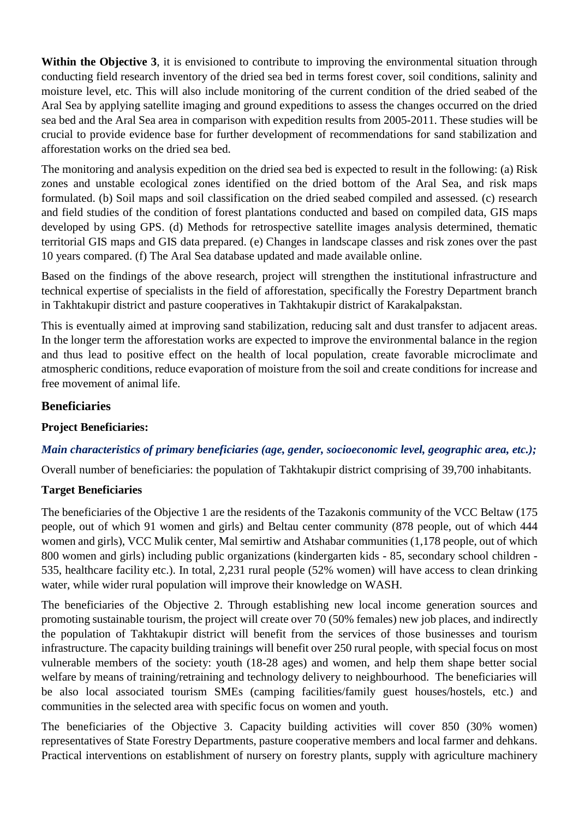**Within the Objective 3,** it is envisioned to contribute to improving the environmental situation through conducting field research inventory of the dried sea bed in terms forest cover, soil conditions, salinity and moisture level, etc. This will also include monitoring of the current condition of the dried seabed of the Aral Sea by applying satellite imaging and ground expeditions to assess the changes occurred on the dried sea bed and the Aral Sea area in comparison with expedition results from 2005-2011. These studies will be crucial to provide evidence base for further development of recommendations for sand stabilization and afforestation works on the dried sea bed.

The monitoring and analysis expedition on the dried sea bed is expected to result in the following: (a) Risk zones and unstable ecological zones identified on the dried bottom of the Aral Sea, and risk maps formulated. (b) Soil maps and soil classification on the dried seabed compiled and assessed. (c) research and field studies of the condition of forest plantations conducted and based on compiled data, GIS maps developed by using GPS. (d) Methods for retrospective satellite images analysis determined, thematic territorial GIS maps and GIS data prepared. (e) Changes in landscape classes and risk zones over the past 10 years compared. (f) The Aral Sea database updated and made available online.

Based on the findings of the above research, project will strengthen the institutional infrastructure and technical expertise of specialists in the field of afforestation, specifically the Forestry Department branch in Takhtakupir district and pasture cooperatives in Takhtakupir district of Karakalpakstan.

This is eventually aimed at improving sand stabilization, reducing salt and dust transfer to adjacent areas. In the longer term the afforestation works are expected to improve the environmental balance in the region and thus lead to positive effect on the health of local population, create favorable microclimate and atmospheric conditions, reduce evaporation of moisture from the soil and create conditions for increase and free movement of animal life.

# **Beneficiaries**

# **Project Beneficiaries:**

# *Main characteristics of primary beneficiaries (age, gender, socioeconomic level, geographic area, etc.);*

Overall number of beneficiaries: the population of Takhtakupir district comprising of 39,700 inhabitants.

# **Target Beneficiaries**

The beneficiaries of the Objective 1 are the residents of the Tazakonis community of the VCC Beltaw (175 people, out of which 91 women and girls) and Beltau center community (878 people, out of which 444 women and girls), VCC Mulik center, Mal semirtiw and Atshabar communities (1,178 people, out of which 800 women and girls) including public organizations (kindergarten kids - 85, secondary school children - 535, healthcare facility etc.). In total, 2,231 rural people (52% women) will have access to clean drinking water, while wider rural population will improve their knowledge on WASH.

The beneficiaries of the Objective 2. Through establishing new local income generation sources and promoting sustainable tourism, the project will create over 70 (50% females) new job places, and indirectly the population of Takhtakupir district will benefit from the services of those businesses and tourism infrastructure. The capacity building trainings will benefit over 250 rural people, with special focus on most vulnerable members of the society: youth (18-28 ages) and women, and help them shape better social welfare by means of training/retraining and technology delivery to neighbourhood. The beneficiaries will be also local associated tourism SMEs (camping facilities/family guest houses/hostels, etc.) and communities in the selected area with specific focus on women and youth.

The beneficiaries of the Objective 3. Capacity building activities will cover 850 (30% women) representatives of State Forestry Departments, pasture cooperative members and local farmer and dehkans. Practical interventions on establishment of nursery on forestry plants, supply with agriculture machinery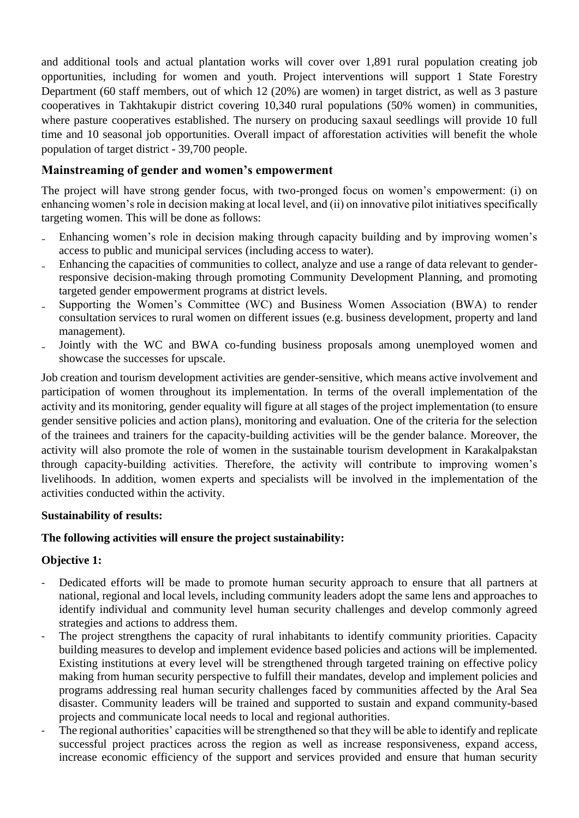and additional tools and actual plantation works will cover over 1,891 rural population creating job opportunities, including for women and youth. Project interventions will support 1 State Forestry Department (60 staff members, out of which 12 (20%) are women) in target district, as well as 3 pasture cooperatives in Takhtakupir district covering 10,340 rural populations (50% women) in communities, where pasture cooperatives established. The nursery on producing saxaul seedlings will provide 10 full time and 10 seasonal job opportunities. Overall impact of afforestation activities will benefit the whole population of target district - 39,700 people.

# **Mainstreaming of gender and women's empowerment**

The project will have strong gender focus, with two-pronged focus on women's empowerment: (i) on enhancing women's role in decision making at local level, and (ii) on innovative pilot initiatives specifically targeting women. This will be done as follows:

- Enhancing women's role in decision making through capacity building and by improving women's access to public and municipal services (including access to water).
- Enhancing the capacities of communities to collect, analyze and use a range of data relevant to genderresponsive decision-making through promoting Community Development Planning, and promoting targeted gender empowerment programs at district levels.
- Supporting the Women's Committee (WC) and Business Women Association (BWA) to render consultation services to rural women on different issues (e.g. business development, property and land management).
- Jointly with the WC and BWA co-funding business proposals among unemployed women and showcase the successes for upscale.

Job creation and tourism development activities are gender-sensitive, which means active involvement and participation of women throughout its implementation. In terms of the overall implementation of the activity and its monitoring, gender equality will figure at all stages of the project implementation (to ensure gender sensitive policies and action plans), monitoring and evaluation. One of the criteria for the selection of the trainees and trainers for the capacity-building activities will be the gender balance. Moreover, the activity will also promote the role of women in the sustainable tourism development in Karakalpakstan through capacity-building activities. Therefore, the activity will contribute to improving women's livelihoods. In addition, women experts and specialists will be involved in the implementation of the activities conducted within the activity.

# **Sustainability of results:**

# **The following activities will ensure the project sustainability:**

# **Objective 1:**

- Dedicated efforts will be made to promote human security approach to ensure that all partners at national, regional and local levels, including community leaders adopt the same lens and approaches to identify individual and community level human security challenges and develop commonly agreed strategies and actions to address them.
- The project strengthens the capacity of rural inhabitants to identify community priorities. Capacity building measures to develop and implement evidence based policies and actions will be implemented. Existing institutions at every level will be strengthened through targeted training on effective policy making from human security perspective to fulfill their mandates, develop and implement policies and programs addressing real human security challenges faced by communities affected by the Aral Sea disaster. Community leaders will be trained and supported to sustain and expand community-based projects and communicate local needs to local and regional authorities.
- The regional authorities' capacities will be strengthened so that they will be able to identify and replicate successful project practices across the region as well as increase responsiveness, expand access, increase economic efficiency of the support and services provided and ensure that human security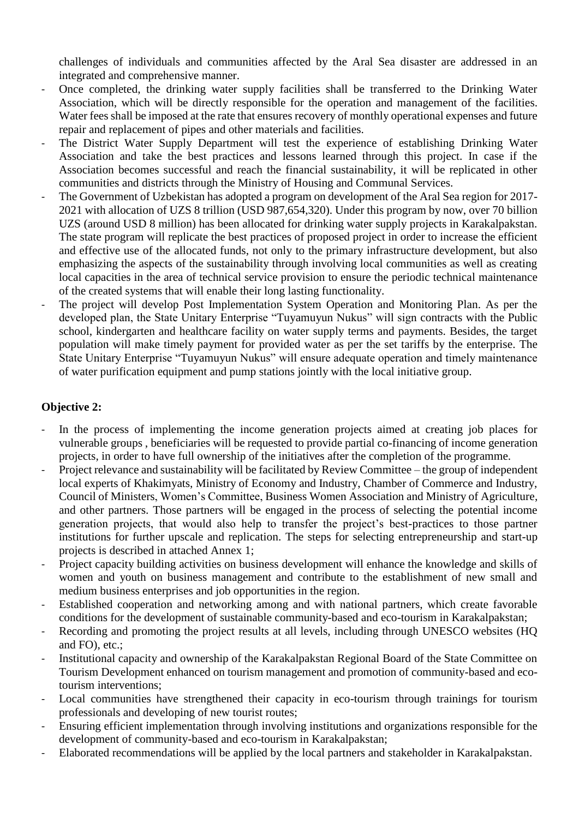challenges of individuals and communities affected by the Aral Sea disaster are addressed in an integrated and comprehensive manner.

- Once completed, the drinking water supply facilities shall be transferred to the Drinking Water Association, which will be directly responsible for the operation and management of the facilities. Water fees shall be imposed at the rate that ensures recovery of monthly operational expenses and future repair and replacement of pipes and other materials and facilities.
- The District Water Supply Department will test the experience of establishing Drinking Water Association and take the best practices and lessons learned through this project. In case if the Association becomes successful and reach the financial sustainability, it will be replicated in other communities and districts through the Ministry of Housing and Communal Services.
- The Government of Uzbekistan has adopted a program on development of the Aral Sea region for 2017-2021 with allocation of UZS 8 trillion (USD 987,654,320). Under this program by now, over 70 billion UZS (around USD 8 million) has been allocated for drinking water supply projects in Karakalpakstan. The state program will replicate the best practices of proposed project in order to increase the efficient and effective use of the allocated funds, not only to the primary infrastructure development, but also emphasizing the aspects of the sustainability through involving local communities as well as creating local capacities in the area of technical service provision to ensure the periodic technical maintenance of the created systems that will enable their long lasting functionality.
- The project will develop Post Implementation System Operation and Monitoring Plan. As per the developed plan, the State Unitary Enterprise "Tuyamuyun Nukus" will sign contracts with the Public school, kindergarten and healthcare facility on water supply terms and payments. Besides, the target population will make timely payment for provided water as per the set tariffs by the enterprise. The State Unitary Enterprise "Tuyamuyun Nukus" will ensure adequate operation and timely maintenance of water purification equipment and pump stations jointly with the local initiative group.

# **Objective 2:**

- In the process of implementing the income generation projects aimed at creating job places for vulnerable groups , beneficiaries will be requested to provide partial co-financing of income generation projects, in order to have full ownership of the initiatives after the completion of the programme.
- Project relevance and sustainability will be facilitated by Review Committee the group of independent local experts of Khakimyats, Ministry of Economy and Industry, Chamber of Commerce and Industry, Council of Ministers, Women's Committee, Business Women Association and Ministry of Agriculture, and other partners. Those partners will be engaged in the process of selecting the potential income generation projects, that would also help to transfer the project's best-practices to those partner institutions for further upscale and replication. The steps for selecting entrepreneurship and start-up projects is described in attached Annex 1;
- Project capacity building activities on business development will enhance the knowledge and skills of women and youth on business management and contribute to the establishment of new small and medium business enterprises and job opportunities in the region.
- Established cooperation and networking among and with national partners, which create favorable conditions for the development of sustainable community-based and eco-tourism in Karakalpakstan;
- Recording and promoting the project results at all levels, including through UNESCO websites (HQ and FO), etc.;
- Institutional capacity and ownership of the Karakalpakstan Regional Board of the State Committee on Tourism Development enhanced on tourism management and promotion of community-based and ecotourism interventions;
- Local communities have strengthened their capacity in eco-tourism through trainings for tourism professionals and developing of new tourist routes;
- Ensuring efficient implementation through involving institutions and organizations responsible for the development of community-based and eco-tourism in Karakalpakstan;
- Elaborated recommendations will be applied by the local partners and stakeholder in Karakalpakstan.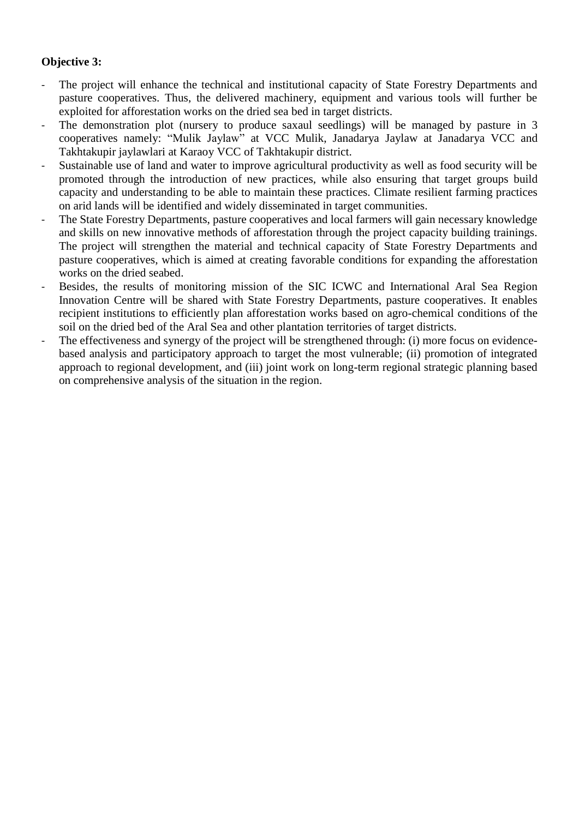# **Objective 3:**

- The project will enhance the technical and institutional capacity of State Forestry Departments and pasture cooperatives. Thus, the delivered machinery, equipment and various tools will further be exploited for afforestation works on the dried sea bed in target districts.
- The demonstration plot (nursery to produce saxaul seedlings) will be managed by pasture in 3 cooperatives namely: "Mulik Jaylaw" at VCC Mulik, Janadarya Jaylaw at Janadarya VCC and Takhtakupir jaylawlari at Karaoy VCC of Takhtakupir district.
- Sustainable use of land and water to improve agricultural productivity as well as food security will be promoted through the introduction of new practices, while also ensuring that target groups build capacity and understanding to be able to maintain these practices. Climate resilient farming practices on arid lands will be identified and widely disseminated in target communities.
- The State Forestry Departments, pasture cooperatives and local farmers will gain necessary knowledge and skills on new innovative methods of afforestation through the project capacity building trainings. The project will strengthen the material and technical capacity of State Forestry Departments and pasture cooperatives, which is aimed at creating favorable conditions for expanding the afforestation works on the dried seabed.
- Besides, the results of monitoring mission of the SIC ICWC and International Aral Sea Region Innovation Centre will be shared with State Forestry Departments, pasture cooperatives. It enables recipient institutions to efficiently plan afforestation works based on agro-chemical conditions of the soil on the dried bed of the Aral Sea and other plantation territories of target districts.
- The effectiveness and synergy of the project will be strengthened through: (i) more focus on evidencebased analysis and participatory approach to target the most vulnerable; (ii) promotion of integrated approach to regional development, and (iii) joint work on long-term regional strategic planning based on comprehensive analysis of the situation in the region.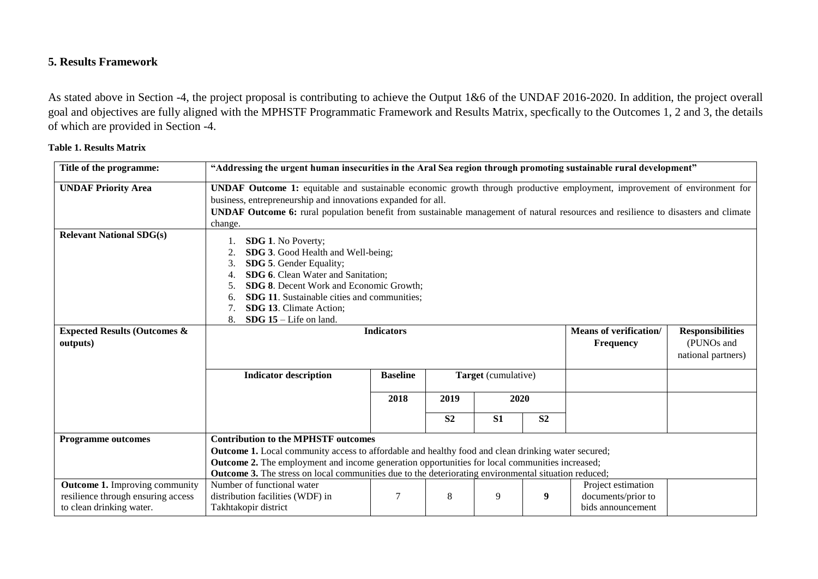# **5. Results Framework**

As stated above in Section -4, the project proposal is contributing to achieve the Output 1&6 of the UNDAF 2016-2020. In addition, the project overall goal and objectives are fully aligned with the MPHSTF Programmatic Framework and Results Matrix, specfically to the Outcomes 1, 2 and 3, the details of which are provided in Section -4.

#### **Table 1. Results Matrix**

| Title of the programme:                                                                                 |                                                                                                                                                                                                                                                                                                                                                                          | "Addressing the urgent human insecurities in the Aral Sea region through promoting sustainable rural development"                                                                                                                                                                                                              |                |                     |                |                                                               |  |  |  |  |  |
|---------------------------------------------------------------------------------------------------------|--------------------------------------------------------------------------------------------------------------------------------------------------------------------------------------------------------------------------------------------------------------------------------------------------------------------------------------------------------------------------|--------------------------------------------------------------------------------------------------------------------------------------------------------------------------------------------------------------------------------------------------------------------------------------------------------------------------------|----------------|---------------------|----------------|---------------------------------------------------------------|--|--|--|--|--|
| <b>UNDAF Priority Area</b>                                                                              | change.                                                                                                                                                                                                                                                                                                                                                                  | UNDAF Outcome 1: equitable and sustainable economic growth through productive employment, improvement of environment for<br>business, entrepreneurship and innovations expanded for all.<br>UNDAF Outcome 6: rural population benefit from sustainable management of natural resources and resilience to disasters and climate |                |                     |                |                                                               |  |  |  |  |  |
| <b>Relevant National SDG(s)</b>                                                                         | <b>SDG 1.</b> No Poverty;<br>SDG 3. Good Health and Well-being;<br>2.<br>SDG 5. Gender Equality;<br>3.<br>SDG 6. Clean Water and Sanitation;<br>SDG 8. Decent Work and Economic Growth;<br>5.<br>SDG 11. Sustainable cities and communities;<br>6.<br><b>SDG 13.</b> Climate Action;<br><b>SDG</b> $15$ – Life on land.<br>8.                                            |                                                                                                                                                                                                                                                                                                                                |                |                     |                |                                                               |  |  |  |  |  |
| <b>Expected Results (Outcomes &amp;</b><br>outputs)                                                     |                                                                                                                                                                                                                                                                                                                                                                          | <b>Means of verification/</b><br><b>Indicators</b><br><b>Responsibilities</b><br>(PUNOs and<br>Frequency<br>national partners)                                                                                                                                                                                                 |                |                     |                |                                                               |  |  |  |  |  |
|                                                                                                         | <b>Indicator description</b>                                                                                                                                                                                                                                                                                                                                             | <b>Baseline</b>                                                                                                                                                                                                                                                                                                                |                | Target (cumulative) |                |                                                               |  |  |  |  |  |
|                                                                                                         |                                                                                                                                                                                                                                                                                                                                                                          | 2018                                                                                                                                                                                                                                                                                                                           | 2019           | 2020                |                |                                                               |  |  |  |  |  |
|                                                                                                         |                                                                                                                                                                                                                                                                                                                                                                          |                                                                                                                                                                                                                                                                                                                                | S <sub>2</sub> | S <sub>1</sub>      | S <sub>2</sub> |                                                               |  |  |  |  |  |
| <b>Programme outcomes</b>                                                                               | <b>Contribution to the MPHSTF outcomes</b><br>Outcome 1. Local community access to affordable and healthy food and clean drinking water secured;<br><b>Outcome 2.</b> The employment and income generation opportunities for local communities increased;<br><b>Outcome 3.</b> The stress on local communities due to the deteriorating environmental situation reduced; |                                                                                                                                                                                                                                                                                                                                |                |                     |                |                                                               |  |  |  |  |  |
| <b>Outcome 1.</b> Improving community<br>resilience through ensuring access<br>to clean drinking water. | Number of functional water<br>distribution facilities (WDF) in<br>Takhtakopir district                                                                                                                                                                                                                                                                                   | 7                                                                                                                                                                                                                                                                                                                              | 8              | 9                   | 9              | Project estimation<br>documents/prior to<br>bids announcement |  |  |  |  |  |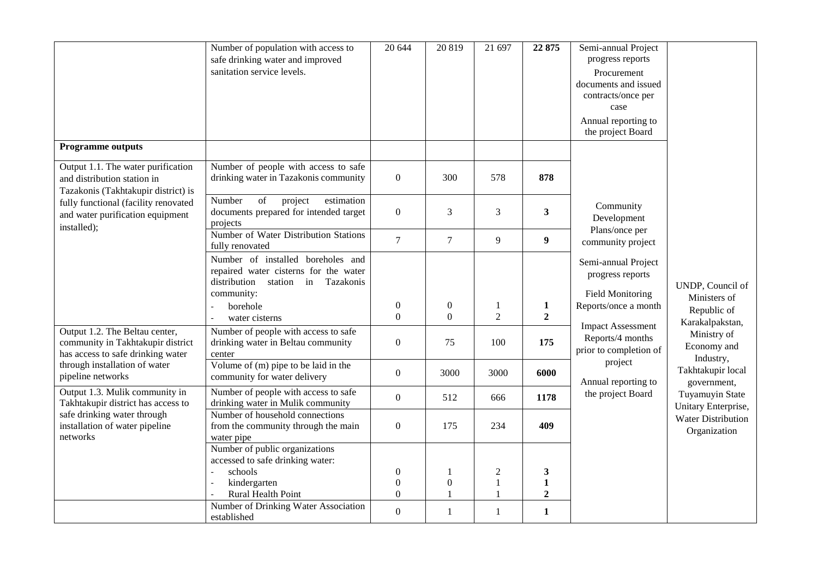|                                                                                                          | Number of population with access to<br>safe drinking water and improved<br>sanitation service levels.                                                          | 20 644                                               | 20819                                 | 21 697                                         | 22 875                           | Semi-annual Project<br>progress reports<br>Procurement<br>documents and issued<br>contracts/once per<br>case<br>Annual reporting to<br>the project Board |                                                 |  |  |  |  |
|----------------------------------------------------------------------------------------------------------|----------------------------------------------------------------------------------------------------------------------------------------------------------------|------------------------------------------------------|---------------------------------------|------------------------------------------------|----------------------------------|----------------------------------------------------------------------------------------------------------------------------------------------------------|-------------------------------------------------|--|--|--|--|
| <b>Programme outputs</b>                                                                                 |                                                                                                                                                                |                                                      |                                       |                                                |                                  |                                                                                                                                                          |                                                 |  |  |  |  |
| Output 1.1. The water purification<br>and distribution station in<br>Tazakonis (Takhtakupir district) is | Number of people with access to safe<br>drinking water in Tazakonis community                                                                                  | $\mathbf{0}$                                         | 300                                   | 578                                            | 878                              |                                                                                                                                                          |                                                 |  |  |  |  |
| fully functional (facility renovated<br>and water purification equipment<br>installed);                  | Number<br>of<br>project<br>estimation<br>documents prepared for intended target<br>projects                                                                    | $\boldsymbol{0}$                                     | 3                                     | $\mathfrak{Z}$                                 | $\mathbf{3}$                     | Community<br>Development                                                                                                                                 |                                                 |  |  |  |  |
|                                                                                                          | Number of Water Distribution Stations<br>fully renovated                                                                                                       | $\overline{7}$                                       | $\overline{7}$                        | 9                                              | $\boldsymbol{9}$                 | Plans/once per<br>community project                                                                                                                      |                                                 |  |  |  |  |
|                                                                                                          | Number of installed boreholes and<br>repaired water cisterns for the water<br>station in Tazakonis<br>distribution<br>community:<br>borehole<br>water cisterns | $\boldsymbol{0}$<br>$\mathbf{0}$                     | $\boldsymbol{0}$<br>$\theta$          | 1<br>$\overline{2}$                            | $\mathbf{1}$<br>$\boldsymbol{2}$ | Semi-annual Project<br>progress reports<br><b>Field Monitoring</b><br>Reports/once a month                                                               | UNDP, Council of<br>Ministers of<br>Republic of |  |  |  |  |
| Output 1.2. The Beltau center,<br>community in Takhtakupir district<br>has access to safe drinking water | Number of people with access to safe<br>drinking water in Beltau community<br>center                                                                           | $\boldsymbol{0}$                                     | 75                                    | 100                                            | 175                              | <b>Impact Assessment</b><br>Reports/4 months<br>prior to completion of                                                                                   | Karakalpakstan,<br>Ministry of<br>Economy and   |  |  |  |  |
| through installation of water<br>pipeline networks                                                       | Volume of $(m)$ pipe to be laid in the<br>community for water delivery                                                                                         | $\boldsymbol{0}$                                     | 3000                                  | 3000                                           | 6000                             | project<br>Annual reporting to                                                                                                                           | Industry,<br>Takhtakupir local<br>government,   |  |  |  |  |
| Output 1.3. Mulik community in<br>Takhtakupir district has access to                                     | Number of people with access to safe<br>drinking water in Mulik community                                                                                      | $\boldsymbol{0}$                                     | 512                                   | 666                                            | 1178                             | the project Board                                                                                                                                        | Tuyamuyin State<br>Unitary Enterprise,          |  |  |  |  |
| safe drinking water through<br>installation of water pipeline<br>networks                                | Number of household connections<br>from the community through the main<br>water pipe                                                                           | $\boldsymbol{0}$                                     | 175                                   | 234                                            | 409                              |                                                                                                                                                          | <b>Water Distribution</b><br>Organization       |  |  |  |  |
|                                                                                                          | Number of public organizations<br>accessed to safe drinking water:<br>schools<br>kindergarten<br>Rural Health Point                                            | $\boldsymbol{0}$<br>$\boldsymbol{0}$<br>$\mathbf{0}$ | 1<br>$\boldsymbol{0}$<br>$\mathbf{1}$ | $\overline{c}$<br>$\mathbf{1}$<br>$\mathbf{1}$ | 3<br>1<br>$\boldsymbol{2}$       |                                                                                                                                                          |                                                 |  |  |  |  |
|                                                                                                          | Number of Drinking Water Association<br>established                                                                                                            | $\boldsymbol{0}$                                     | 1                                     | $\mathbf{1}$                                   | $\mathbf{1}$                     |                                                                                                                                                          |                                                 |  |  |  |  |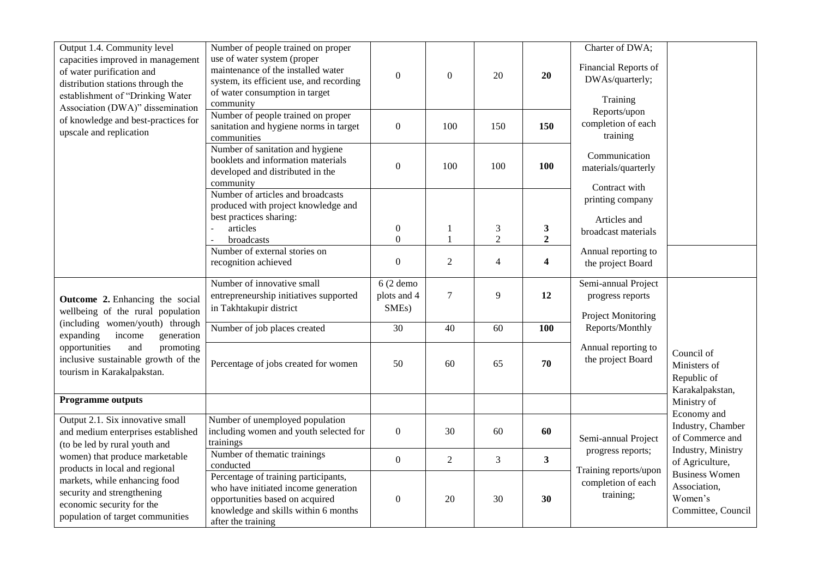| Output 1.4. Community level<br>capacities improved in management<br>of water purification and<br>distribution stations through the<br>establishment of "Drinking Water<br>Association (DWA)" dissemination | Number of people trained on proper<br>use of water system (proper<br>maintenance of the installed water<br>system, its efficient use, and recording<br>of water consumption in target<br>community | $\mathbf{0}$                                    | $\boldsymbol{0}$ | 20                                            | 20                             | Charter of DWA;<br>Financial Reports of<br>DWAs/quarterly;<br>Training |                                                                        |
|------------------------------------------------------------------------------------------------------------------------------------------------------------------------------------------------------------|----------------------------------------------------------------------------------------------------------------------------------------------------------------------------------------------------|-------------------------------------------------|------------------|-----------------------------------------------|--------------------------------|------------------------------------------------------------------------|------------------------------------------------------------------------|
| of knowledge and best-practices for<br>upscale and replication                                                                                                                                             | Number of people trained on proper<br>sanitation and hygiene norms in target<br>communities                                                                                                        | $\mathbf{0}$                                    | 100              | 150                                           | 150                            | Reports/upon<br>completion of each<br>training                         |                                                                        |
|                                                                                                                                                                                                            | Number of sanitation and hygiene<br>booklets and information materials<br>developed and distributed in the<br>community                                                                            | $\overline{0}$                                  | 100              | 100                                           | 100                            | Communication<br>materials/quarterly<br>Contract with                  |                                                                        |
|                                                                                                                                                                                                            | Number of articles and broadcasts<br>produced with project knowledge and<br>best practices sharing:                                                                                                |                                                 |                  |                                               |                                | printing company<br>Articles and                                       |                                                                        |
|                                                                                                                                                                                                            | articles<br>broadcasts                                                                                                                                                                             | $\boldsymbol{0}$<br>$\boldsymbol{0}$            | 1<br>1           | $\ensuremath{\mathfrak{Z}}$<br>$\overline{2}$ | $\mathbf{3}$<br>$\overline{2}$ | broadcast materials                                                    |                                                                        |
|                                                                                                                                                                                                            | Number of external stories on<br>recognition achieved                                                                                                                                              | $\boldsymbol{0}$                                | $\overline{2}$   | $\overline{4}$                                | $\overline{\mathbf{4}}$        | Annual reporting to<br>the project Board                               |                                                                        |
| Outcome 2. Enhancing the social<br>wellbeing of the rural population                                                                                                                                       | Number of innovative small<br>entrepreneurship initiatives supported<br>in Takhtakupir district                                                                                                    | $6(2$ demo<br>plots and 4<br>SME <sub>s</sub> ) | $\tau$           | 9                                             | 12                             | Semi-annual Project<br>progress reports<br><b>Project Monitoring</b>   |                                                                        |
| (including women/youth) through<br>expanding<br>income<br>generation                                                                                                                                       | Number of job places created                                                                                                                                                                       | $\overline{30}$                                 | 40               | 60                                            | 100                            | Reports/Monthly                                                        |                                                                        |
| opportunities<br>and<br>promoting<br>inclusive sustainable growth of the<br>tourism in Karakalpakstan.                                                                                                     | Percentage of jobs created for women                                                                                                                                                               | 50                                              | 60               | 65                                            | 70                             | Annual reporting to<br>the project Board                               | Council of<br>Ministers of<br>Republic of<br>Karakalpakstan,           |
| <b>Programme outputs</b>                                                                                                                                                                                   |                                                                                                                                                                                                    |                                                 |                  |                                               |                                |                                                                        | Ministry of                                                            |
| Output 2.1. Six innovative small<br>and medium enterprises established<br>(to be led by rural youth and                                                                                                    | Number of unemployed population<br>including women and youth selected for<br>trainings                                                                                                             | $\overline{0}$                                  | 30               | 60                                            | 60                             | Semi-annual Project                                                    | Economy and<br>Industry, Chamber<br>of Commerce and                    |
| women) that produce marketable<br>products in local and regional                                                                                                                                           | Number of thematic trainings<br>conducted                                                                                                                                                          | $\boldsymbol{0}$                                | $\overline{2}$   | 3                                             | $\mathbf{3}$                   | progress reports;<br>Training reports/upon                             | Industry, Ministry<br>of Agriculture,                                  |
| markets, while enhancing food<br>security and strengthening<br>economic security for the<br>population of target communities                                                                               | Percentage of training participants,<br>who have initiated income generation<br>opportunities based on acquired<br>knowledge and skills within 6 months<br>after the training                      | $\boldsymbol{0}$                                | 20               | 30                                            | 30                             | completion of each<br>training;                                        | <b>Business Women</b><br>Association,<br>Women's<br>Committee, Council |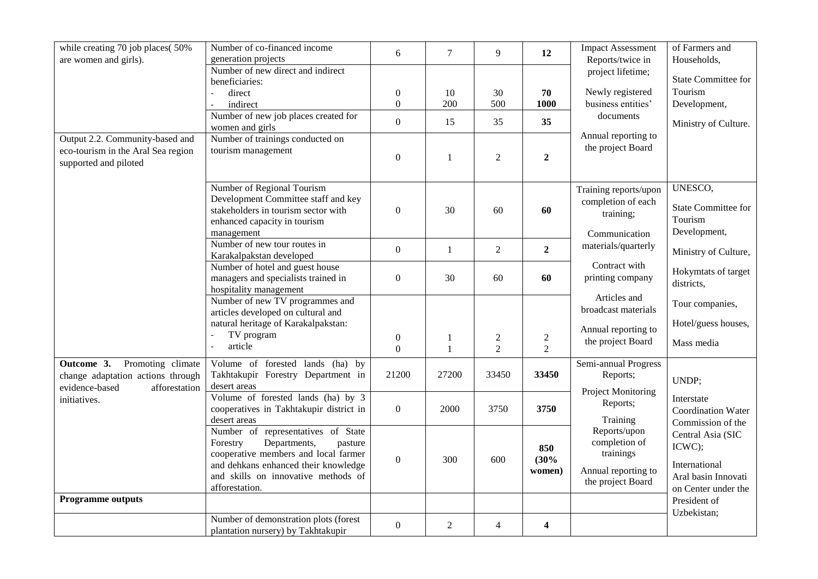| while creating 70 job places(50%<br>are women and girls).                                      | Number of co-financed income<br>generation projects                                                                                                                                                                | 6                            | $\overline{7}$    | 9                                | 12                                        | <b>Impact Assessment</b><br>Reports/twice in                                           | of Farmers and<br>Households,                                                              |  |
|------------------------------------------------------------------------------------------------|--------------------------------------------------------------------------------------------------------------------------------------------------------------------------------------------------------------------|------------------------------|-------------------|----------------------------------|-------------------------------------------|----------------------------------------------------------------------------------------|--------------------------------------------------------------------------------------------|--|
|                                                                                                | Number of new direct and indirect<br>beneficiaries:                                                                                                                                                                |                              |                   |                                  |                                           | project lifetime;                                                                      | <b>State Committee for</b>                                                                 |  |
|                                                                                                | direct                                                                                                                                                                                                             | $\boldsymbol{0}$             | 10                | 30                               | 70                                        | Newly registered                                                                       | Tourism                                                                                    |  |
|                                                                                                | indirect                                                                                                                                                                                                           | $\boldsymbol{0}$             | 200               | 500                              | 1000                                      | business entities'                                                                     | Development,                                                                               |  |
|                                                                                                | Number of new job places created for<br>women and girls                                                                                                                                                            | $\boldsymbol{0}$             | 15                | 35                               | 35                                        | documents                                                                              | Ministry of Culture.                                                                       |  |
| Output 2.2. Community-based and<br>eco-tourism in the Aral Sea region<br>supported and piloted | Number of trainings conducted on<br>tourism management                                                                                                                                                             | $\boldsymbol{0}$             | $\mathbf{1}$      | $\overline{2}$                   | $\overline{2}$                            | Annual reporting to<br>the project Board                                               |                                                                                            |  |
|                                                                                                | Number of Regional Tourism<br>Development Committee staff and key<br>stakeholders in tourism sector with<br>enhanced capacity in tourism<br>management                                                             | $\boldsymbol{0}$             | 30                | 60                               | 60                                        | Training reports/upon<br>completion of each<br>training;<br>Communication              | UNESCO,<br><b>State Committee for</b><br>Tourism<br>Development,                           |  |
|                                                                                                | Number of new tour routes in<br>Karakalpakstan developed                                                                                                                                                           | $\boldsymbol{0}$             | $\mathbf{1}$      | $\overline{2}$                   | $\overline{2}$                            | materials/quarterly                                                                    | Ministry of Culture,                                                                       |  |
|                                                                                                | Number of hotel and guest house<br>managers and specialists trained in<br>hospitality management                                                                                                                   | $\boldsymbol{0}$             | 30                | 60                               | 60                                        | Contract with<br>printing company                                                      | Hokymtats of target<br>districts,                                                          |  |
|                                                                                                | Number of new TV programmes and<br>articles developed on cultural and                                                                                                                                              |                              |                   |                                  |                                           | Articles and<br>broadcast materials                                                    | Tour companies,                                                                            |  |
|                                                                                                | natural heritage of Karakalpakstan:<br>TV program<br>article                                                                                                                                                       | $\boldsymbol{0}$<br>$\theta$ | 1<br>$\mathbf{1}$ | $\overline{c}$<br>$\overline{2}$ | $\overline{\mathbf{c}}$<br>$\overline{2}$ | Annual reporting to<br>the project Board                                               | Hotel/guess houses,<br>Mass media                                                          |  |
| Outcome 3.<br>Promoting climate<br>change adaptation actions through                           | Volume of forested lands (ha) by<br>Takhtakupir Forestry Department in<br>desert areas                                                                                                                             | 21200                        | 27200             | 33450                            | 33450                                     | Semi-annual Progress<br>Reports;                                                       | UNDP;                                                                                      |  |
| evidence-based<br>afforestation<br>initiatives.                                                | Volume of forested lands (ha) by 3<br>cooperatives in Takhtakupir district in<br>desert areas                                                                                                                      | $\boldsymbol{0}$             | 2000              | 3750                             | 3750                                      | Project Monitoring<br>Reports;<br>Training                                             | Interstate<br><b>Coordination Water</b><br>Commission of the                               |  |
|                                                                                                | Number of representatives of State<br>Departments,<br>pasture<br>Forestry<br>cooperative members and local farmer<br>and dehkans enhanced their knowledge<br>and skills on innovative methods of<br>afforestation. | $\mathbf{0}$                 | 300               | 600                              | 850<br>(30%<br>women)                     | Reports/upon<br>completion of<br>trainings<br>Annual reporting to<br>the project Board | Central Asia (SIC<br>ICWC);<br>International<br>Aral basin Innovati<br>on Center under the |  |
| <b>Programme outputs</b>                                                                       |                                                                                                                                                                                                                    |                              |                   |                                  |                                           |                                                                                        | President of                                                                               |  |
|                                                                                                | Number of demonstration plots (forest<br>plantation nursery) by Takhtakupir                                                                                                                                        | $\boldsymbol{0}$             | $\overline{2}$    | $\overline{4}$                   | $\overline{\mathbf{4}}$                   |                                                                                        | Uzbekistan;                                                                                |  |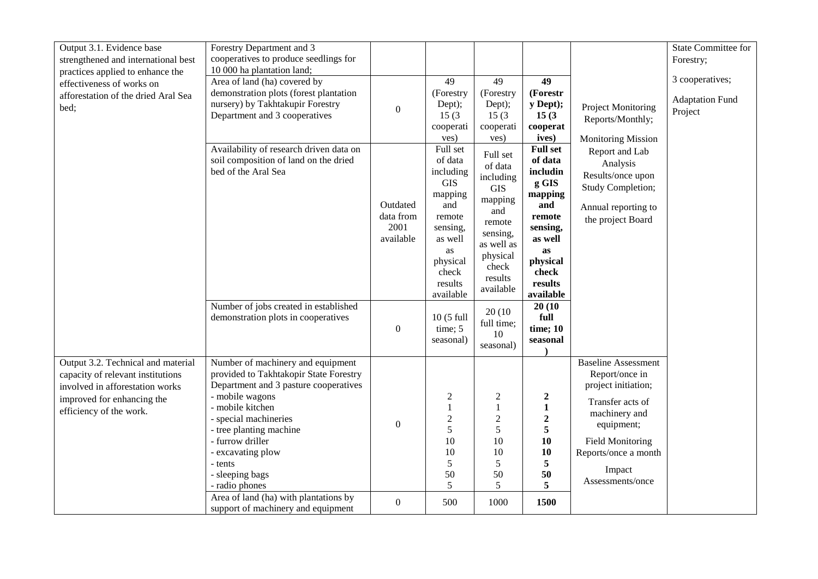| Output 3.1. Evidence base<br>strengthened and international best                                                                                                    | Forestry Department and 3<br>cooperatives to produce seedlings for                                                                                                                                                                                                                                                                                |                                                                |                                                                                                                                                                                            |                                                                                                                                                                                              |                                                                                                                                                                                                 |                                                                                                                                                                                                         | <b>State Committee for</b><br>Forestry;              |
|---------------------------------------------------------------------------------------------------------------------------------------------------------------------|---------------------------------------------------------------------------------------------------------------------------------------------------------------------------------------------------------------------------------------------------------------------------------------------------------------------------------------------------|----------------------------------------------------------------|--------------------------------------------------------------------------------------------------------------------------------------------------------------------------------------------|----------------------------------------------------------------------------------------------------------------------------------------------------------------------------------------------|-------------------------------------------------------------------------------------------------------------------------------------------------------------------------------------------------|---------------------------------------------------------------------------------------------------------------------------------------------------------------------------------------------------------|------------------------------------------------------|
| practices applied to enhance the<br>effectiveness of works on<br>afforestation of the dried Aral Sea<br>bed;                                                        | 10 000 ha plantation land;<br>Area of land (ha) covered by<br>demonstration plots (forest plantation<br>nursery) by Takhtakupir Forestry<br>Department and 3 cooperatives                                                                                                                                                                         | $\boldsymbol{0}$                                               | 49<br>(Forestry<br>Dept);<br>15(3)<br>cooperati<br>ves)                                                                                                                                    | 49<br>(Forestry<br>Dept);<br>15(3)<br>cooperati<br>ves)                                                                                                                                      | 49<br>(Forestr<br>y Dept);<br>15(3)<br>cooperat<br>ives)                                                                                                                                        | <b>Project Monitoring</b><br>Reports/Monthly;<br><b>Monitoring Mission</b>                                                                                                                              | 3 cooperatives;<br><b>Adaptation Fund</b><br>Project |
|                                                                                                                                                                     | Availability of research driven data on<br>soil composition of land on the dried<br>bed of the Aral Sea<br>Number of jobs created in established<br>demonstration plots in cooperatives                                                                                                                                                           | Outdated<br>data from<br>2001<br>available<br>$\boldsymbol{0}$ | Full set<br>of data<br>including<br><b>GIS</b><br>mapping<br>and<br>remote<br>sensing,<br>as well<br>as<br>physical<br>check<br>results<br>available<br>10 (5 full<br>time; 5<br>seasonal) | Full set<br>of data<br>including<br><b>GIS</b><br>mapping<br>and<br>remote<br>sensing,<br>as well as<br>physical<br>check<br>results<br>available<br>20(10)<br>full time;<br>10<br>seasonal) | <b>Full set</b><br>of data<br>includin<br>g GIS<br>mapping<br>and<br>remote<br>sensing,<br>as well<br>as<br>physical<br>check<br>results<br>available<br>20(10)<br>full<br>time; 10<br>seasonal | Report and Lab<br>Analysis<br>Results/once upon<br><b>Study Completion;</b><br>Annual reporting to<br>the project Board                                                                                 |                                                      |
| Output 3.2. Technical and material<br>capacity of relevant institutions<br>involved in afforestation works<br>improved for enhancing the<br>efficiency of the work. | Number of machinery and equipment<br>provided to Takhtakopir State Forestry<br>Department and 3 pasture cooperatives<br>- mobile wagons<br>- mobile kitchen<br>- special machineries<br>- tree planting machine<br>- furrow driller<br>- excavating plow<br>- tents<br>- sleeping bags<br>- radio phones<br>Area of land (ha) with plantations by | $\boldsymbol{0}$                                               | $\boldsymbol{2}$<br>$\mathbf{1}$<br>$\sqrt{2}$<br>5<br>10<br>10<br>5<br>50<br>5                                                                                                            | $\overline{c}$<br>$\mathbf{1}$<br>$\sqrt{2}$<br>5<br>10<br>10<br>5<br>50<br>5                                                                                                                | $\boldsymbol{2}$<br>$\mathbf{1}$<br>$\boldsymbol{2}$<br>5<br>10<br>10<br>5<br>50<br>5                                                                                                           | <b>Baseline Assessment</b><br>Report/once in<br>project initiation;<br>Transfer acts of<br>machinery and<br>equipment;<br><b>Field Monitoring</b><br>Reports/once a month<br>Impact<br>Assessments/once |                                                      |
|                                                                                                                                                                     | support of machinery and equipment                                                                                                                                                                                                                                                                                                                | $\boldsymbol{0}$                                               | 500                                                                                                                                                                                        | 1000                                                                                                                                                                                         | 1500                                                                                                                                                                                            |                                                                                                                                                                                                         |                                                      |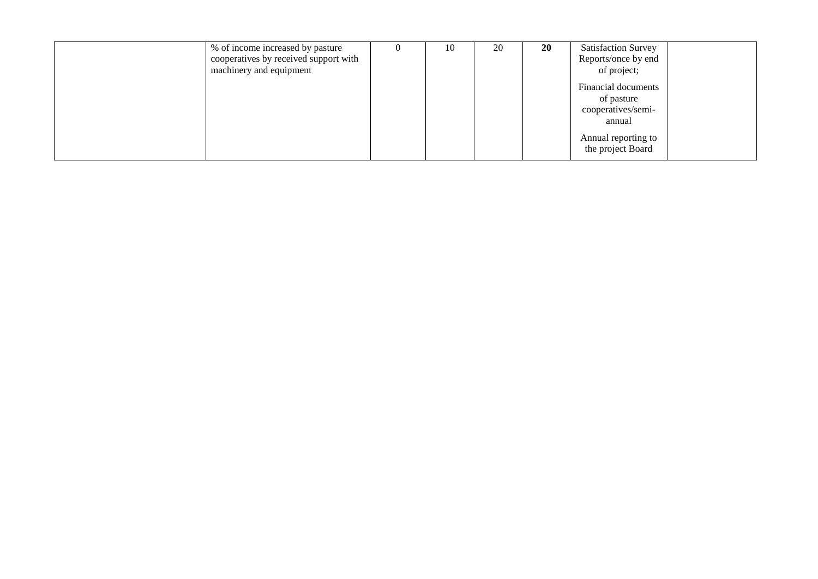| % of income increased by pasture      | $\theta$ | 10 | 20 | <b>20</b> | <b>Satisfaction Survey</b> |
|---------------------------------------|----------|----|----|-----------|----------------------------|
| cooperatives by received support with |          |    |    |           | Reports/once by end        |
| machinery and equipment               |          |    |    |           | of project;                |
|                                       |          |    |    |           | Financial documents        |
|                                       |          |    |    |           | of pasture                 |
|                                       |          |    |    |           | cooperatives/semi-         |
|                                       |          |    |    |           | annual                     |
|                                       |          |    |    |           | Annual reporting to        |
|                                       |          |    |    |           | the project Board          |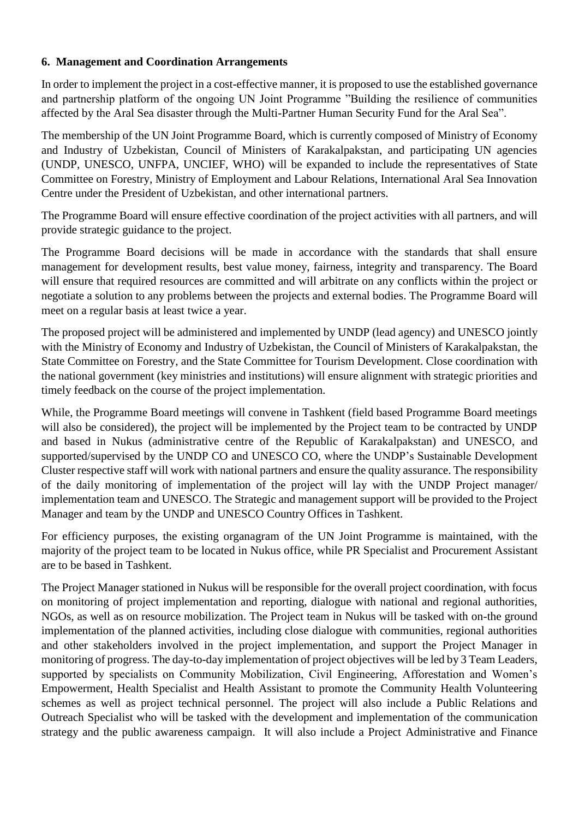# **6. Management and Coordination Arrangements**

In order to implement the project in a cost-effective manner, it is proposed to use the established governance and partnership platform of the ongoing UN Joint Programme "Building the resilience of communities affected by the Aral Sea disaster through the Multi-Partner Human Security Fund for the Aral Sea".

The membership of the UN Joint Programme Board, which is currently composed of Ministry of Economy and Industry of Uzbekistan, Council of Ministers of Karakalpakstan, and participating UN agencies (UNDP, UNESCO, UNFPA, UNCIEF, WHO) will be expanded to include the representatives of State Committee on Forestry, Ministry of Employment and Labour Relations, International Aral Sea Innovation Centre under the President of Uzbekistan, and other international partners.

The Programme Board will ensure effective coordination of the project activities with all partners, and will provide strategic guidance to the project.

The Programme Board decisions will be made in accordance with the standards that shall ensure management for development results, best value money, fairness, integrity and transparency. The Board will ensure that required resources are committed and will arbitrate on any conflicts within the project or negotiate a solution to any problems between the projects and external bodies. The Programme Board will meet on a regular basis at least twice a year.

The proposed project will be administered and implemented by UNDP (lead agency) and UNESCO jointly with the Ministry of Economy and Industry of Uzbekistan, the Council of Ministers of Karakalpakstan, the State Committee on Forestry, and the State Committee for Tourism Development. Close coordination with the national government (key ministries and institutions) will ensure alignment with strategic priorities and timely feedback on the course of the project implementation.

While, the Programme Board meetings will convene in Tashkent (field based Programme Board meetings will also be considered), the project will be implemented by the Project team to be contracted by UNDP and based in Nukus (administrative centre of the Republic of Karakalpakstan) and UNESCO, and supported/supervised by the UNDP CO and UNESCO CO, where the UNDP's Sustainable Development Cluster respective staff will work with national partners and ensure the quality assurance. The responsibility of the daily monitoring of implementation of the project will lay with the UNDP Project manager/ implementation team and UNESCO. The Strategic and management support will be provided to the Project Manager and team by the UNDP and UNESCO Country Offices in Tashkent.

For efficiency purposes, the existing organagram of the UN Joint Programme is maintained, with the majority of the project team to be located in Nukus office, while PR Specialist and Procurement Assistant are to be based in Tashkent.

The Project Manager stationed in Nukus will be responsible for the overall project coordination, with focus on monitoring of project implementation and reporting, dialogue with national and regional authorities, NGOs, as well as on resource mobilization. The Project team in Nukus will be tasked with on-the ground implementation of the planned activities, including close dialogue with communities, regional authorities and other stakeholders involved in the project implementation, and support the Project Manager in monitoring of progress. The day-to-day implementation of project objectives will be led by 3 Team Leaders, supported by specialists on Community Mobilization, Civil Engineering, Afforestation and Women's Empowerment, Health Specialist and Health Assistant to promote the Community Health Volunteering schemes as well as project technical personnel. The project will also include a Public Relations and Outreach Specialist who will be tasked with the development and implementation of the communication strategy and the public awareness campaign. It will also include a Project Administrative and Finance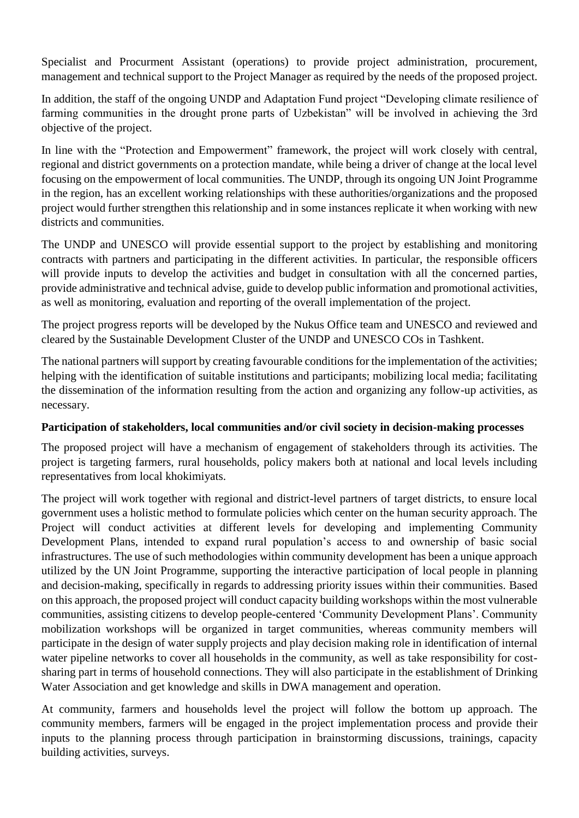Specialist and Procurment Assistant (operations) to provide project administration, procurement, management and technical support to the Project Manager as required by the needs of the proposed project.

In addition, the staff of the ongoing UNDP and Adaptation Fund project "Developing climate resilience of farming communities in the drought prone parts of Uzbekistan" will be involved in achieving the 3rd objective of the project.

In line with the "Protection and Empowerment" framework, the project will work closely with central, regional and district governments on a protection mandate, while being a driver of change at the local level focusing on the empowerment of local communities. The UNDP, through its ongoing UN Joint Programme in the region, has an excellent working relationships with these authorities/organizations and the proposed project would further strengthen this relationship and in some instances replicate it when working with new districts and communities.

The UNDP and UNESCO will provide essential support to the project by establishing and monitoring contracts with partners and participating in the different activities. In particular, the responsible officers will provide inputs to develop the activities and budget in consultation with all the concerned parties, provide administrative and technical advise, guide to develop public information and promotional activities, as well as monitoring, evaluation and reporting of the overall implementation of the project.

The project progress reports will be developed by the Nukus Office team and UNESCO and reviewed and cleared by the Sustainable Development Cluster of the UNDP and UNESCO COs in Tashkent.

The national partners will support by creating favourable conditions for the implementation of the activities; helping with the identification of suitable institutions and participants; mobilizing local media; facilitating the dissemination of the information resulting from the action and organizing any follow-up activities, as necessary.

# **Participation of stakeholders, local communities and/or civil society in decision-making processes**

The proposed project will have a mechanism of engagement of stakeholders through its activities. The project is targeting farmers, rural households, policy makers both at national and local levels including representatives from local khokimiyats.

The project will work together with regional and district-level partners of target districts, to ensure local government uses a holistic method to formulate policies which center on the human security approach. The Project will conduct activities at different levels for developing and implementing Community Development Plans, intended to expand rural population's access to and ownership of basic social infrastructures. The use of such methodologies within community development has been a unique approach utilized by the UN Joint Programme, supporting the interactive participation of local people in planning and decision-making, specifically in regards to addressing priority issues within their communities. Based on this approach, the proposed project will conduct capacity building workshops within the most vulnerable communities, assisting citizens to develop people-centered 'Community Development Plans'. Community mobilization workshops will be organized in target communities, whereas community members will participate in the design of water supply projects and play decision making role in identification of internal water pipeline networks to cover all households in the community, as well as take responsibility for costsharing part in terms of household connections. They will also participate in the establishment of Drinking Water Association and get knowledge and skills in DWA management and operation.

At community, farmers and households level the project will follow the bottom up approach. The community members, farmers will be engaged in the project implementation process and provide their inputs to the planning process through participation in brainstorming discussions, trainings, capacity building activities, surveys.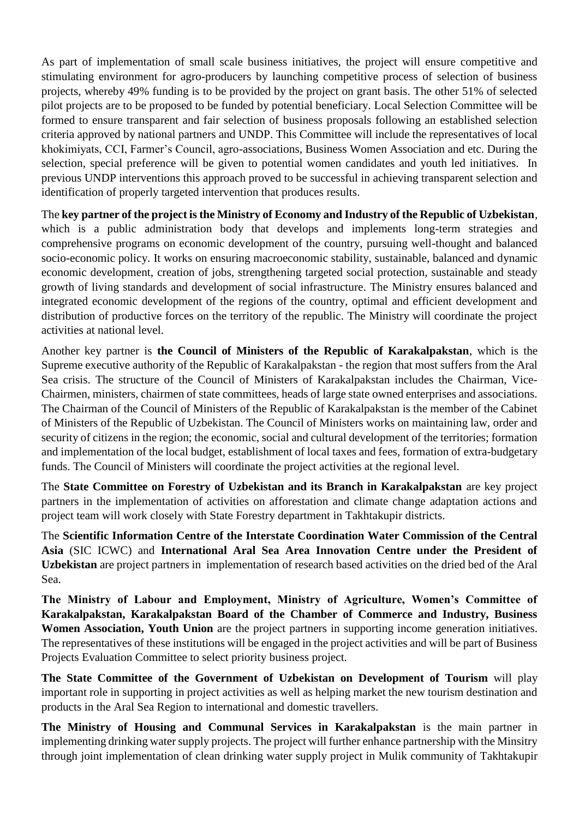As part of implementation of small scale business initiatives, the project will ensure competitive and stimulating environment for agro-producers by launching competitive process of selection of business projects, whereby 49% funding is to be provided by the project on grant basis. The other 51% of selected pilot projects are to be proposed to be funded by potential beneficiary. Local Selection Committee will be formed to ensure transparent and fair selection of business proposals following an established selection criteria approved by national partners and UNDP. This Committee will include the representatives of local khokimiyats, CCI, Farmer's Council, agro-associations, Business Women Association and etc. During the selection, special preference will be given to potential women candidates and youth led initiatives. In previous UNDP interventions this approach proved to be successful in achieving transparent selection and identification of properly targeted intervention that produces results.

The **key partner of the project is the Ministry of Economy and Industry of the Republic of Uzbekistan**, which is a public administration body that develops and implements long-term strategies and comprehensive programs on economic development of the country, pursuing well-thought and balanced socio-economic policy. It works on ensuring macroeconomic stability, sustainable, balanced and dynamic economic development, creation of jobs, strengthening targeted social protection, sustainable and steady growth of living standards and development of social infrastructure. The Ministry ensures balanced and integrated economic development of the regions of the country, optimal and efficient development and distribution of productive forces on the territory of the republic. The Ministry will coordinate the project activities at national level.

Another key partner is **the Council of Ministers of the Republic of Karakalpakstan**, which is the Supreme executive authority of the Republic of Karakalpakstan - the region that most suffers from the Aral Sea crisis. The structure of the Council of Ministers of Karakalpakstan includes the Chairman, Vice-Chairmen, ministers, chairmen of state committees, heads of large state owned enterprises and associations. The Chairman of the Council of Ministers of the Republic of Karakalpakstan is the member of the Cabinet of Ministers of the Republic of Uzbekistan. The Council of Ministers works on maintaining law, order and security of citizens in the region; the economic, social and cultural development of the territories; formation and implementation of the local budget, establishment of local taxes and fees, formation of extra-budgetary funds. The Council of Ministers will coordinate the project activities at the regional level.

The **State Committee on Forestry of Uzbekistan and its Branch in Karakalpakstan** are key project partners in the implementation of activities on afforestation and climate change adaptation actions and project team will work closely with State Forestry department in Takhtakupir districts.

The **Scientific Information Centre of the Interstate Coordination Water Commission of the Central Asia** (SIC ICWC) and **International Aral Sea Area Innovation Centre under the President of Uzbekistan** are project partners in implementation of research based activities on the dried bed of the Aral Sea.

**The Ministry of Labour and Employment, Ministry of Agriculture, Women's Committee of Karakalpakstan, Karakalpakstan Board of the Chamber of Commerce and Industry, Business Women Association, Youth Union** are the project partners in supporting income generation initiatives. The representatives of these institutions will be engaged in the project activities and will be part of Business Projects Evaluation Committee to select priority business project.

**The State Committee of the Government of Uzbekistan on Development of Tourism** will play important role in supporting in project activities as well as helping market the new tourism destination and products in the Aral Sea Region to international and domestic travellers.

**The Ministry of Housing and Communal Services in Karakalpakstan** is the main partner in implementing drinking water supply projects. The project will further enhance partnership with the Minsitry through joint implementation of clean drinking water supply project in Mulik community of Takhtakupir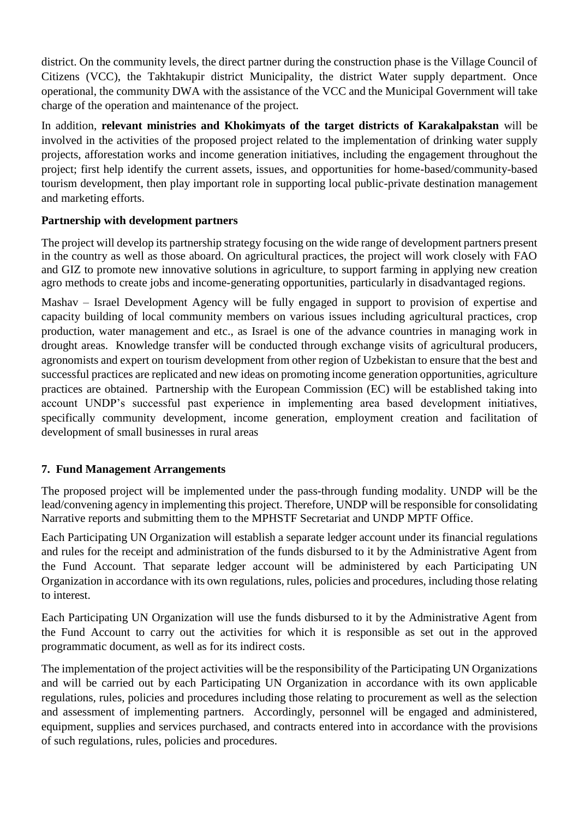district. On the community levels, the direct partner during the construction phase is the Village Council of Citizens (VCC), the Takhtakupir district Municipality, the district Water supply department. Once operational, the community DWA with the assistance of the VCC and the Municipal Government will take charge of the operation and maintenance of the project.

In addition, **relevant ministries and Khokimyats of the target districts of Karakalpakstan** will be involved in the activities of the proposed project related to the implementation of drinking water supply projects, afforestation works and income generation initiatives, including the engagement throughout the project; first help identify the current assets, issues, and opportunities for home-based/community-based tourism development, then play important role in supporting local public-private destination management and marketing efforts.

# **Partnership with development partners**

The project will develop its partnership strategy focusing on the wide range of development partners present in the country as well as those aboard. On agricultural practices, the project will work closely with FAO and GIZ to promote new innovative solutions in agriculture, to support farming in applying new creation agro methods to create jobs and income-generating opportunities, particularly in disadvantaged regions.

Mashav – Israel Development Agency will be fully engaged in support to provision of expertise and capacity building of local community members on various issues including agricultural practices, crop production, water management and etc., as Israel is one of the advance countries in managing work in drought areas. Knowledge transfer will be conducted through exchange visits of agricultural producers, agronomists and expert on tourism development from other region of Uzbekistan to ensure that the best and successful practices are replicated and new ideas on promoting income generation opportunities, agriculture practices are obtained. Partnership with the European Commission (EC) will be established taking into account UNDP's successful past experience in implementing area based development initiatives, specifically community development, income generation, employment creation and facilitation of development of small businesses in rural areas

# **7. Fund Management Arrangements**

The proposed project will be implemented under the pass-through funding modality. UNDP will be the lead/convening agency in implementing this project. Therefore, UNDP will be responsible for consolidating Narrative reports and submitting them to the MPHSTF Secretariat and UNDP MPTF Office.

Each Participating UN Organization will establish a separate ledger account under its financial regulations and rules for the receipt and administration of the funds disbursed to it by the Administrative Agent from the Fund Account. That separate ledger account will be administered by each Participating UN Organization in accordance with its own regulations, rules, policies and procedures, including those relating to interest.

Each Participating UN Organization will use the funds disbursed to it by the Administrative Agent from the Fund Account to carry out the activities for which it is responsible as set out in the approved programmatic document, as well as for its indirect costs.

The implementation of the project activities will be the responsibility of the Participating UN Organizations and will be carried out by each Participating UN Organization in accordance with its own applicable regulations, rules, policies and procedures including those relating to procurement as well as the selection and assessment of implementing partners. Accordingly, personnel will be engaged and administered, equipment, supplies and services purchased, and contracts entered into in accordance with the provisions of such regulations, rules, policies and procedures.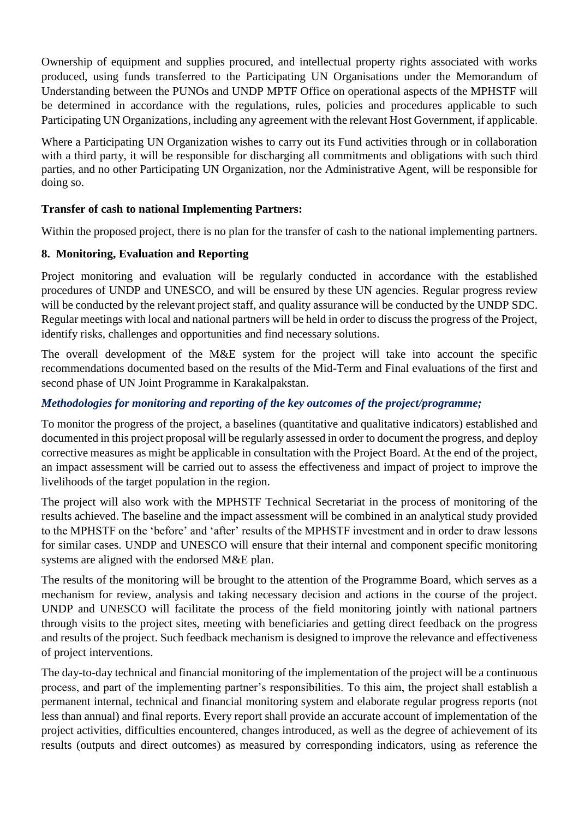Ownership of equipment and supplies procured, and intellectual property rights associated with works produced, using funds transferred to the Participating UN Organisations under the Memorandum of Understanding between the PUNOs and UNDP MPTF Office on operational aspects of the MPHSTF will be determined in accordance with the regulations, rules, policies and procedures applicable to such Participating UN Organizations, including any agreement with the relevant Host Government, if applicable.

Where a Participating UN Organization wishes to carry out its Fund activities through or in collaboration with a third party, it will be responsible for discharging all commitments and obligations with such third parties, and no other Participating UN Organization, nor the Administrative Agent, will be responsible for doing so.

# **Transfer of cash to national Implementing Partners:**

Within the proposed project, there is no plan for the transfer of cash to the national implementing partners.

# **8. Monitoring, Evaluation and Reporting**

Project monitoring and evaluation will be regularly conducted in accordance with the established procedures of UNDP and UNESCO, and will be ensured by these UN agencies. Regular progress review will be conducted by the relevant project staff, and quality assurance will be conducted by the UNDP SDC. Regular meetings with local and national partners will be held in order to discuss the progress of the Project, identify risks, challenges and opportunities and find necessary solutions.

The overall development of the M&E system for the project will take into account the specific recommendations documented based on the results of the Mid-Term and Final evaluations of the first and second phase of UN Joint Programme in Karakalpakstan.

### *Methodologies for monitoring and reporting of the key outcomes of the project/programme;*

To monitor the progress of the project, a baselines (quantitative and qualitative indicators) established and documented in this project proposal will be regularly assessed in order to document the progress, and deploy corrective measures as might be applicable in consultation with the Project Board. At the end of the project, an impact assessment will be carried out to assess the effectiveness and impact of project to improve the livelihoods of the target population in the region.

The project will also work with the MPHSTF Technical Secretariat in the process of monitoring of the results achieved. The baseline and the impact assessment will be combined in an analytical study provided to the MPHSTF on the 'before' and 'after' results of the MPHSTF investment and in order to draw lessons for similar cases. UNDP and UNESCO will ensure that their internal and component specific monitoring systems are aligned with the endorsed M&E plan.

The results of the monitoring will be brought to the attention of the Programme Board, which serves as a mechanism for review, analysis and taking necessary decision and actions in the course of the project. UNDP and UNESCO will facilitate the process of the field monitoring jointly with national partners through visits to the project sites, meeting with beneficiaries and getting direct feedback on the progress and results of the project. Such feedback mechanism is designed to improve the relevance and effectiveness of project interventions.

The day-to-day technical and financial monitoring of the implementation of the project will be a continuous process, and part of the implementing partner's responsibilities. To this aim, the project shall establish a permanent internal, technical and financial monitoring system and elaborate regular progress reports (not less than annual) and final reports. Every report shall provide an accurate account of implementation of the project activities, difficulties encountered, changes introduced, as well as the degree of achievement of its results (outputs and direct outcomes) as measured by corresponding indicators, using as reference the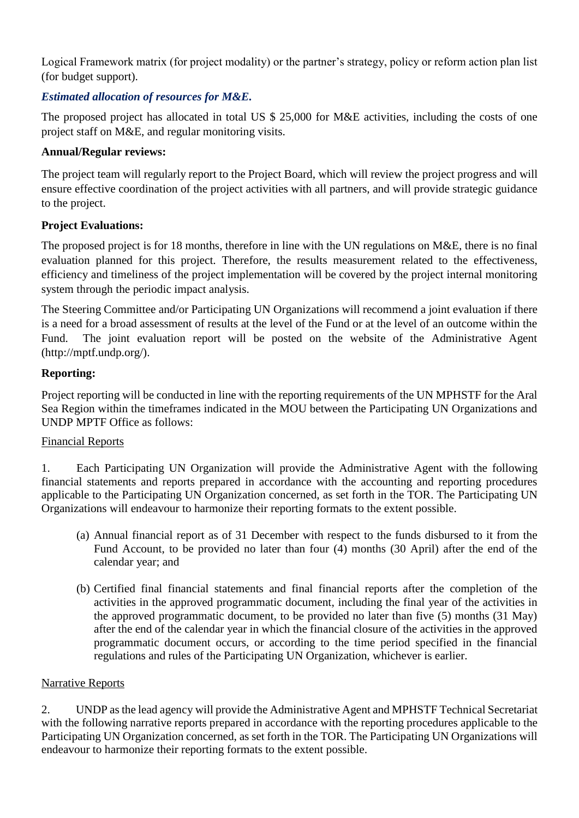Logical Framework matrix (for project modality) or the partner's strategy, policy or reform action plan list (for budget support).

# *Estimated allocation of resources for M&E.*

The proposed project has allocated in total US \$ 25,000 for M&E activities, including the costs of one project staff on M&E, and regular monitoring visits.

# **Annual/Regular reviews:**

The project team will regularly report to the Project Board, which will review the project progress and will ensure effective coordination of the project activities with all partners, and will provide strategic guidance to the project.

# **Project Evaluations:**

The proposed project is for 18 months, therefore in line with the UN regulations on M&E, there is no final evaluation planned for this project. Therefore, the results measurement related to the effectiveness, efficiency and timeliness of the project implementation will be covered by the project internal monitoring system through the periodic impact analysis.

The Steering Committee and/or Participating UN Organizations will recommend a joint evaluation if there is a need for a broad assessment of results at the level of the Fund or at the level of an outcome within the Fund. The joint evaluation report will be posted on the website of the Administrative Agent (http://mptf.undp.org/).

# **Reporting:**

Project reporting will be conducted in line with the reporting requirements of the UN MPHSTF for the Aral Sea Region within the timeframes indicated in the MOU between the Participating UN Organizations and UNDP MPTF Office as follows:

# Financial Reports

1. Each Participating UN Organization will provide the Administrative Agent with the following financial statements and reports prepared in accordance with the accounting and reporting procedures applicable to the Participating UN Organization concerned, as set forth in the TOR. The Participating UN Organizations will endeavour to harmonize their reporting formats to the extent possible.

- (a) Annual financial report as of 31 December with respect to the funds disbursed to it from the Fund Account, to be provided no later than four (4) months (30 April) after the end of the calendar year; and
- (b) Certified final financial statements and final financial reports after the completion of the activities in the approved programmatic document, including the final year of the activities in the approved programmatic document, to be provided no later than five (5) months (31 May) after the end of the calendar year in which the financial closure of the activities in the approved programmatic document occurs, or according to the time period specified in the financial regulations and rules of the Participating UN Organization, whichever is earlier.

# Narrative Reports

2. UNDP as the lead agency will provide the Administrative Agent and MPHSTF Technical Secretariat with the following narrative reports prepared in accordance with the reporting procedures applicable to the Participating UN Organization concerned, as set forth in the TOR. The Participating UN Organizations will endeavour to harmonize their reporting formats to the extent possible.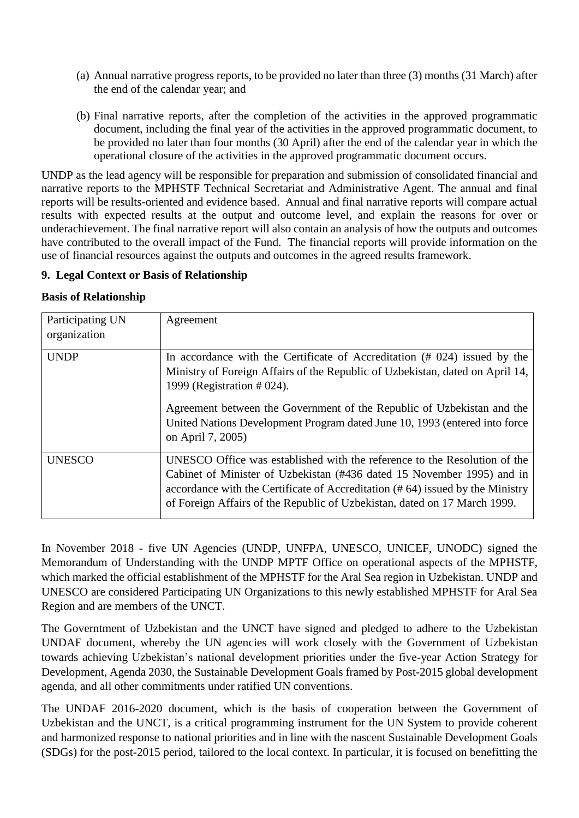- (a) Annual narrative progress reports, to be provided no later than three (3) months (31 March) after the end of the calendar year; and
- (b) Final narrative reports, after the completion of the activities in the approved programmatic document, including the final year of the activities in the approved programmatic document, to be provided no later than four months (30 April) after the end of the calendar year in which the operational closure of the activities in the approved programmatic document occurs.

UNDP as the lead agency will be responsible for preparation and submission of consolidated financial and narrative reports to the MPHSTF Technical Secretariat and Administrative Agent. The annual and final reports will be results-oriented and evidence based. Annual and final narrative reports will compare actual results with expected results at the output and outcome level, and explain the reasons for over or underachievement. The final narrative report will also contain an analysis of how the outputs and outcomes have contributed to the overall impact of the Fund. The financial reports will provide information on the use of financial resources against the outputs and outcomes in the agreed results framework.

# **9. Legal Context or Basis of Relationship**

# **Basis of Relationship**

| Participating UN<br>organization | Agreement                                                                                                                                                                                                                                                                                                                                                               |
|----------------------------------|-------------------------------------------------------------------------------------------------------------------------------------------------------------------------------------------------------------------------------------------------------------------------------------------------------------------------------------------------------------------------|
| <b>UNDP</b>                      | In accordance with the Certificate of Accreditation $(# 024)$ issued by the<br>Ministry of Foreign Affairs of the Republic of Uzbekistan, dated on April 14,<br>1999 (Registration # 024).<br>Agreement between the Government of the Republic of Uzbekistan and the<br>United Nations Development Program dated June 10, 1993 (entered into force<br>on April 7, 2005) |
| <b>UNESCO</b>                    | UNESCO Office was established with the reference to the Resolution of the<br>Cabinet of Minister of Uzbekistan (#436 dated 15 November 1995) and in<br>accordance with the Certificate of Accreditation $(# 64)$ issued by the Ministry<br>of Foreign Affairs of the Republic of Uzbekistan, dated on 17 March 1999.                                                    |

In November 2018 - five UN Agencies (UNDP, UNFPA, UNESCO, UNICEF, UNODC) signed the Memorandum of Understanding with the UNDP MPTF Office on operational aspects of the MPHSTF, which marked the official establishment of the MPHSTF for the Aral Sea region in Uzbekistan. UNDP and UNESCO are considered Participating UN Organizations to this newly established MPHSTF for Aral Sea Region and are members of the UNCT.

The Governtment of Uzbekistan and the UNCT have signed and pledged to adhere to the Uzbekistan UNDAF document, whereby the UN agencies will work closely with the Government of Uzbekistan towards achieving Uzbekistan's national development priorities under the five-year Action Strategy for Development, Agenda 2030, the Sustainable Development Goals framed by Post-2015 global development agenda, and all other commitments under ratified UN conventions.

The UNDAF 2016-2020 document, which is the basis of cooperation between the Government of Uzbekistan and the UNCT, is a critical programming instrument for the UN System to provide coherent and harmonized response to national priorities and in line with the nascent Sustainable Development Goals (SDGs) for the post-2015 period, tailored to the local context. In particular, it is focused on benefitting the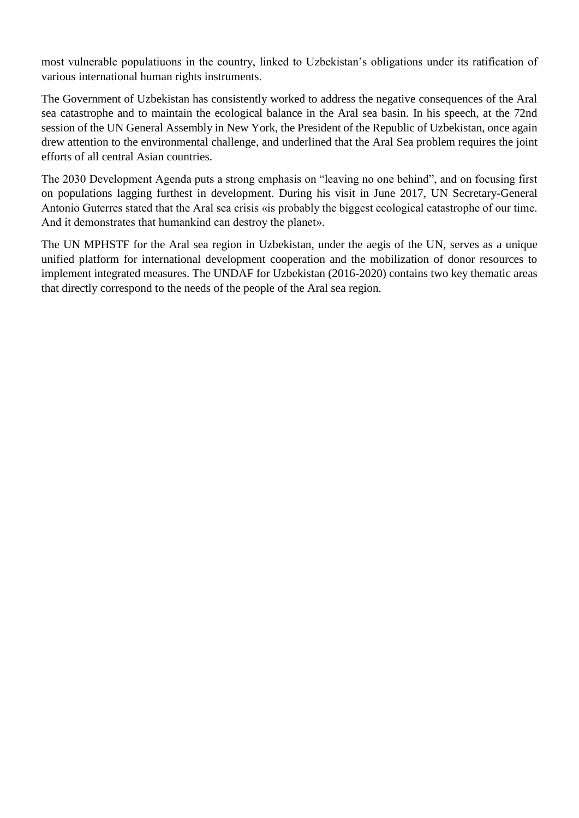most vulnerable populatiuons in the country, linked to Uzbekistan's obligations under its ratification of various international human rights instruments.

The Government of Uzbekistan has consistently worked to address the negative consequences of the Aral sea catastrophe and to maintain the ecological balance in the Aral sea basin. In his speech, at the 72nd session of the UN General Assembly in New York, the President of the Republic of Uzbekistan, once again drew attention to the environmental challenge, and underlined that the Aral Sea problem requires the joint efforts of all central Asian countries.

The 2030 Development Agenda puts a strong emphasis on "leaving no one behind", and on focusing first on populations lagging furthest in development. During his visit in June 2017, UN Secretary-General Antonio Guterres stated that the Aral sea crisis «is probably the biggest ecological catastrophe of our time. And it demonstrates that humankind can destroy the planet».

The UN MPHSTF for the Aral sea region in Uzbekistan, under the aegis of the UN, serves as a unique unified platform for international development cooperation and the mobilization of donor resources to implement integrated measures. The UNDAF for Uzbekistan (2016-2020) contains two key thematic areas that directly correspond to the needs of the people of the Aral sea region.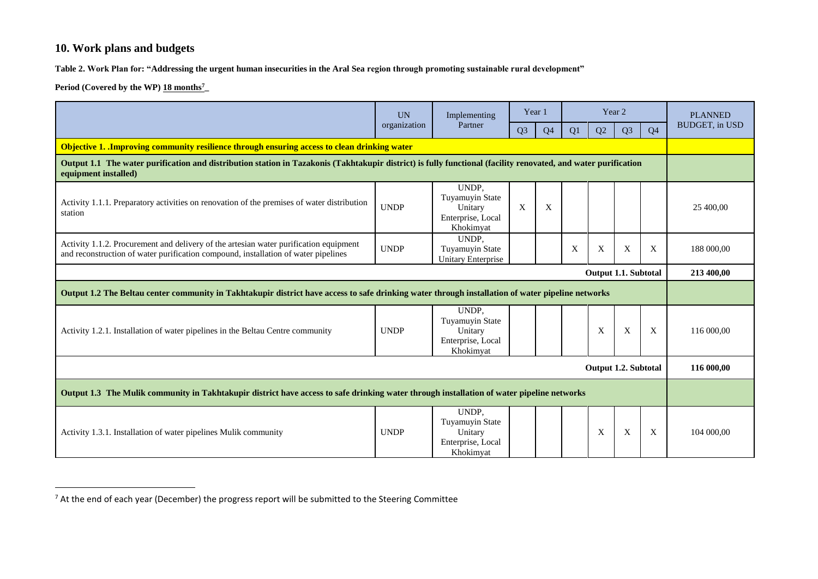# **10. Work plans and budgets**

**Table 2. Work Plan for: "Addressing the urgent human insecurities in the Aral Sea region through promoting sustainable rural development"**

**Period (Covered by the WP) 18 months<sup>7</sup>\_** 

 $\overline{\phantom{a}}$ 

|                                                                                                                                                                                        | <b>UN</b>    | Implementing                                                                 | Year 1         |                |    |                      | Year 2         |                | <b>PLANNED</b>        |  |
|----------------------------------------------------------------------------------------------------------------------------------------------------------------------------------------|--------------|------------------------------------------------------------------------------|----------------|----------------|----|----------------------|----------------|----------------|-----------------------|--|
|                                                                                                                                                                                        | organization | Partner                                                                      | Q <sub>3</sub> | Q <sub>4</sub> | Q1 | Q2                   | Q <sub>3</sub> | Q <sub>4</sub> | <b>BUDGET, in USD</b> |  |
| Objective 1. Improving community resilience through ensuring access to clean drinking water                                                                                            |              |                                                                              |                |                |    |                      |                |                |                       |  |
| Output 1.1 The water purification and distribution station in Tazakonis (Takhtakupir district) is fully functional (facility renovated, and water purification<br>equipment installed) |              |                                                                              |                |                |    |                      |                |                |                       |  |
| Activity 1.1.1. Preparatory activities on renovation of the premises of water distribution<br>station                                                                                  | <b>UNDP</b>  | UNDP,<br>Tuyamuyin State<br>Unitary<br>Enterprise, Local<br>Khokimyat        | X              | X              |    |                      |                |                | 25 400,00             |  |
| Activity 1.1.2. Procurement and delivery of the artesian water purification equipment<br>and reconstruction of water purification compound, installation of water pipelines            | <b>UNDP</b>  | UNDP.<br>Tuyamuyin State<br><b>Unitary Enterprise</b>                        |                |                | X  | X                    | X              | X              | 188 000,00            |  |
|                                                                                                                                                                                        |              |                                                                              |                |                |    | Output 1.1. Subtotal |                |                | 213 400,00            |  |
| Output 1.2 The Beltau center community in Takhtakupir district have access to safe drinking water through installation of water pipeline networks                                      |              |                                                                              |                |                |    |                      |                |                |                       |  |
| Activity 1.2.1. Installation of water pipelines in the Beltau Centre community                                                                                                         | <b>UNDP</b>  | UNDP,<br>Tuyamuyin State<br>Unitary<br>Enterprise, Local<br>Khokimyat        |                |                |    | X                    | X              | X              | 116 000,00            |  |
|                                                                                                                                                                                        |              |                                                                              |                |                |    | Output 1.2. Subtotal |                |                | 116 000,00            |  |
| Output 1.3 The Mulik community in Takhtakupir district have access to safe drinking water through installation of water pipeline networks                                              |              |                                                                              |                |                |    |                      |                |                |                       |  |
| Activity 1.3.1. Installation of water pipelines Mulik community                                                                                                                        | <b>UNDP</b>  | UNDP,<br><b>Tuyamuyin State</b><br>Unitary<br>Enterprise, Local<br>Khokimvat |                |                |    | X                    | X              | X              | 104 000,00            |  |

 $^7$  At the end of each year (December) the progress report will be submitted to the Steering Committee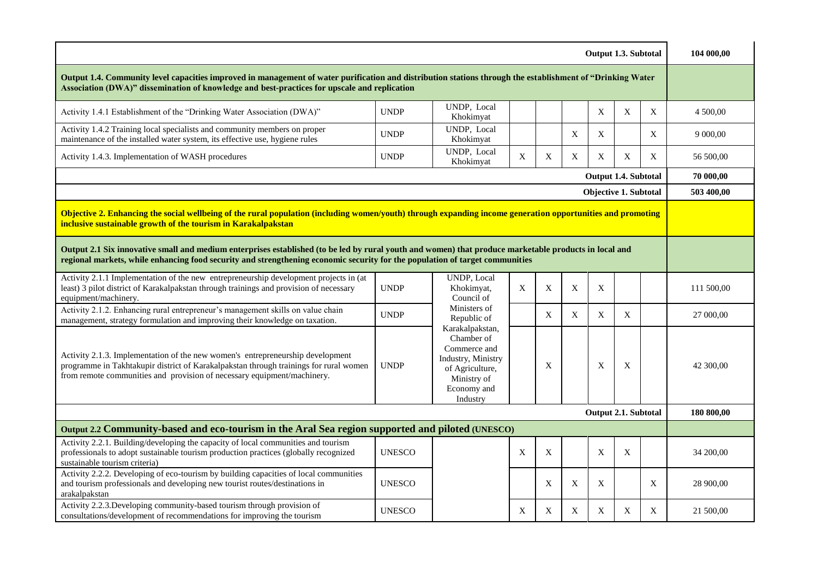| Output 1.3. Subtotal                                                                                                                                                                                                                                                                  |                                                                                                                              |                                                 |             |   |   |                           |             |   |            |  |
|---------------------------------------------------------------------------------------------------------------------------------------------------------------------------------------------------------------------------------------------------------------------------------------|------------------------------------------------------------------------------------------------------------------------------|-------------------------------------------------|-------------|---|---|---------------------------|-------------|---|------------|--|
| Output 1.4. Community level capacities improved in management of water purification and distribution stations through the establishment of "Drinking Water<br>Association (DWA)" dissemination of knowledge and best-practices for upscale and replication                            |                                                                                                                              |                                                 |             |   |   |                           |             |   |            |  |
| Activity 1.4.1 Establishment of the "Drinking Water Association (DWA)"                                                                                                                                                                                                                | <b>UNDP</b>                                                                                                                  | UNDP, Local<br>Khokimyat                        |             |   |   | X                         | $\mathbf X$ | X | 4 500,00   |  |
| Activity 1.4.2 Training local specialists and community members on proper<br>maintenance of the installed water system, its effective use, hygiene rules                                                                                                                              | <b>UNDP</b>                                                                                                                  | UNDP, Local<br>Khokimyat                        |             |   | X | X                         |             | X | 9 000,00   |  |
| Activity 1.4.3. Implementation of WASH procedures                                                                                                                                                                                                                                     | <b>UNDP</b>                                                                                                                  | UNDP, Local<br>Khokimyat                        | $\mathbf X$ | X | X | $\mathbf X$               | X           | X | 56 500,00  |  |
| Output 1.4. Subtotal                                                                                                                                                                                                                                                                  |                                                                                                                              |                                                 |             |   |   |                           |             |   |            |  |
|                                                                                                                                                                                                                                                                                       |                                                                                                                              |                                                 |             |   |   | Objective 1. Subtotal     |             |   | 503 400,00 |  |
| Objective 2. Enhancing the social wellbeing of the rural population (including women/youth) through expanding income generation opportunities and promoting<br>inclusive sustainable growth of the tourism in Karakalpakstan                                                          |                                                                                                                              |                                                 |             |   |   |                           |             |   |            |  |
| Output 2.1 Six innovative small and medium enterprises established (to be led by rural youth and women) that produce marketable products in local and<br>regional markets, while enhancing food security and strengthening economic security for the population of target communities |                                                                                                                              |                                                 |             |   |   |                           |             |   |            |  |
| Activity 2.1.1 Implementation of the new entrepreneurship development projects in (at<br>least) 3 pilot district of Karakalpakstan through trainings and provision of necessary<br>equipment/machinery.                                                                               | <b>UNDP</b>                                                                                                                  | <b>UNDP</b> , Local<br>Khokimyat,<br>Council of | X           | X | X | $\mathbf X$               |             |   | 111 500,00 |  |
| Activity 2.1.2. Enhancing rural entrepreneur's management skills on value chain<br>management, strategy formulation and improving their knowledge on taxation.                                                                                                                        | <b>UNDP</b>                                                                                                                  | Ministers of<br>Republic of<br>Karakalpakstan,  |             | X | X | X                         | X           |   | 27 000,00  |  |
| Activity 2.1.3. Implementation of the new women's entrepreneurship development<br>programme in Takhtakupir district of Karakalpakstan through trainings for rural women<br>from remote communities and provision of necessary equipment/machinery.                                    | Chamber of<br>Commerce and<br>Industry, Ministry<br><b>UNDP</b><br>of Agriculture,<br>Ministry of<br>Economy and<br>Industry |                                                 |             | X |   | X                         | X           |   | 42 300,00  |  |
|                                                                                                                                                                                                                                                                                       |                                                                                                                              |                                                 |             |   |   | Output 2.1. Subtotal      |             |   | 180 800,00 |  |
| Output 2.2 Community-based and eco-tourism in the Aral Sea region supported and piloted (UNESCO)                                                                                                                                                                                      |                                                                                                                              |                                                 |             |   |   |                           |             |   |            |  |
| Activity 2.2.1. Building/developing the capacity of local communities and tourism<br>professionals to adopt sustainable tourism production practices (globally recognized<br>sustainable tourism criteria)                                                                            | <b>UNESCO</b>                                                                                                                |                                                 | X           | X |   | $\boldsymbol{\mathrm{X}}$ | X           |   | 34 200,00  |  |
| Activity 2.2.2. Developing of eco-tourism by building capacities of local communities<br>and tourism professionals and developing new tourist routes/destinations in<br>arakalpakstan                                                                                                 | <b>UNESCO</b>                                                                                                                |                                                 |             | X | X | X                         |             | X | 28 900,00  |  |
| Activity 2.2.3. Developing community-based tourism through provision of<br>consultations/development of recommendations for improving the tourism                                                                                                                                     | <b>UNESCO</b>                                                                                                                |                                                 | X           | X | X | X                         | X           | X | 21 500,00  |  |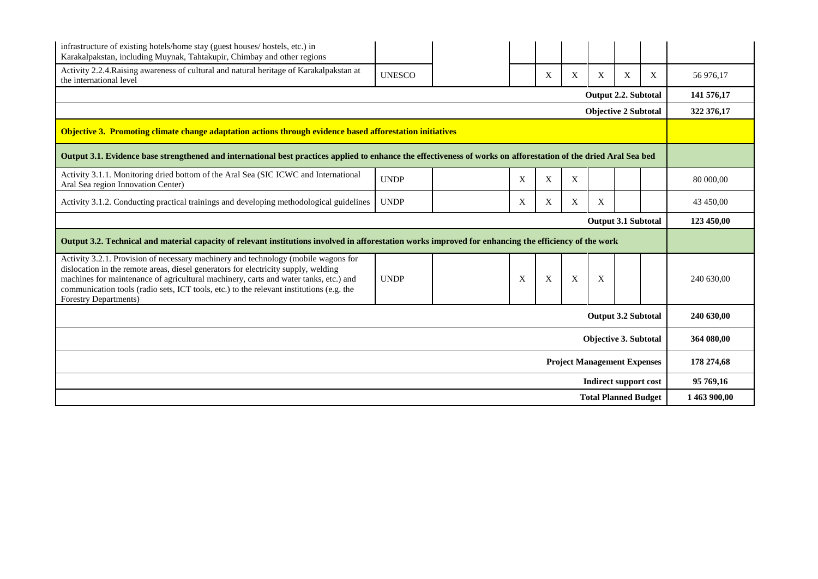| infrastructure of existing hotels/home stay (guest houses/ hostels, etc.) in<br>Karakalpakstan, including Muynak, Tahtakupir, Chimbay and other regions                                                                                                                                                                                                                               |               |  |   |   |   |                                    |   |   |              |  |  |
|---------------------------------------------------------------------------------------------------------------------------------------------------------------------------------------------------------------------------------------------------------------------------------------------------------------------------------------------------------------------------------------|---------------|--|---|---|---|------------------------------------|---|---|--------------|--|--|
| Activity 2.2.4. Raising awareness of cultural and natural heritage of Karakalpakstan at<br>the international level                                                                                                                                                                                                                                                                    | <b>UNESCO</b> |  |   | X | X | X                                  | X | X | 56 976,17    |  |  |
| <b>Output 2.2. Subtotal</b>                                                                                                                                                                                                                                                                                                                                                           |               |  |   |   |   |                                    |   |   |              |  |  |
| <b>Objective 2 Subtotal</b>                                                                                                                                                                                                                                                                                                                                                           |               |  |   |   |   |                                    |   |   |              |  |  |
| Objective 3. Promoting climate change adaptation actions through evidence based afforestation initiatives                                                                                                                                                                                                                                                                             |               |  |   |   |   |                                    |   |   |              |  |  |
| Output 3.1. Evidence base strengthened and international best practices applied to enhance the effectiveness of works on afforestation of the dried Aral Sea bed                                                                                                                                                                                                                      |               |  |   |   |   |                                    |   |   |              |  |  |
| Activity 3.1.1. Monitoring dried bottom of the Aral Sea (SIC ICWC and International<br>Aral Sea region Innovation Center)                                                                                                                                                                                                                                                             | <b>UNDP</b>   |  | X | X | X |                                    |   |   | 80 000,00    |  |  |
| Activity 3.1.2. Conducting practical trainings and developing methodological guidelines                                                                                                                                                                                                                                                                                               | <b>UNDP</b>   |  | X | X | X | X                                  |   |   | 43 450,00    |  |  |
| <b>Output 3.1 Subtotal</b>                                                                                                                                                                                                                                                                                                                                                            |               |  |   |   |   |                                    |   |   |              |  |  |
| Output 3.2. Technical and material capacity of relevant institutions involved in afforestation works improved for enhancing the efficiency of the work                                                                                                                                                                                                                                |               |  |   |   |   |                                    |   |   |              |  |  |
| Activity 3.2.1. Provision of necessary machinery and technology (mobile wagons for<br>dislocation in the remote areas, diesel generators for electricity supply, welding<br>machines for maintenance of agricultural machinery, carts and water tanks, etc.) and<br>communication tools (radio sets, ICT tools, etc.) to the relevant institutions (e.g. the<br>Forestry Departments) | <b>UNDP</b>   |  | X | X | X | X                                  |   |   | 240 630,00   |  |  |
|                                                                                                                                                                                                                                                                                                                                                                                       |               |  |   |   |   | <b>Output 3.2 Subtotal</b>         |   |   | 240 630,00   |  |  |
|                                                                                                                                                                                                                                                                                                                                                                                       |               |  |   |   |   | <b>Objective 3. Subtotal</b>       |   |   | 364 080,00   |  |  |
|                                                                                                                                                                                                                                                                                                                                                                                       |               |  |   |   |   | <b>Project Management Expenses</b> |   |   | 178 274,68   |  |  |
|                                                                                                                                                                                                                                                                                                                                                                                       |               |  |   |   |   | <b>Indirect support cost</b>       |   |   | 95 769,16    |  |  |
|                                                                                                                                                                                                                                                                                                                                                                                       |               |  |   |   |   | <b>Total Planned Budget</b>        |   |   | 1 463 900,00 |  |  |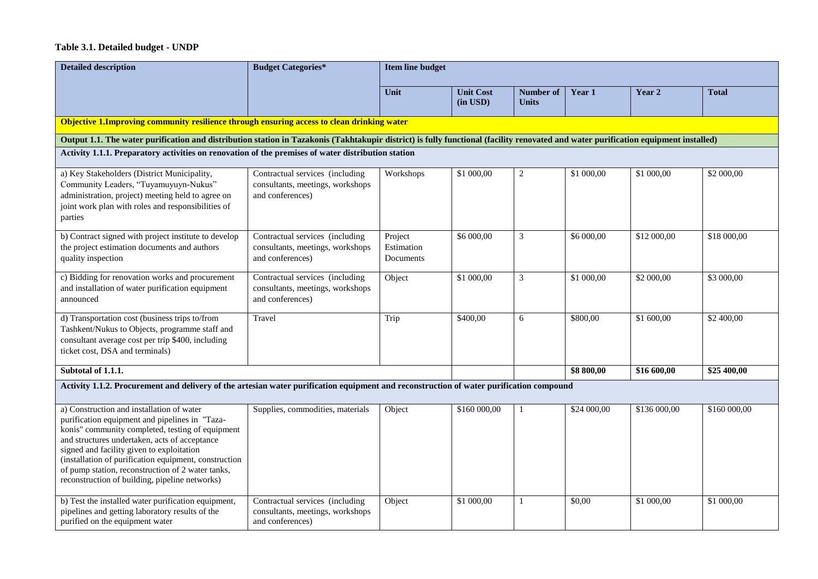#### **Table 3.1. Detailed budget - UNDP**

| <b>Detailed description</b>                                                                                                                                                                                                                                                                                                                                                                                   | <b>Budget Categories*</b>                                                               | <b>Item line budget</b>            |                                   |                           |             |              |              |  |  |  |
|---------------------------------------------------------------------------------------------------------------------------------------------------------------------------------------------------------------------------------------------------------------------------------------------------------------------------------------------------------------------------------------------------------------|-----------------------------------------------------------------------------------------|------------------------------------|-----------------------------------|---------------------------|-------------|--------------|--------------|--|--|--|
|                                                                                                                                                                                                                                                                                                                                                                                                               |                                                                                         | Unit                               | <b>Unit Cost</b><br>$(in$ USD $)$ | Number of<br><b>Units</b> | Year 1      | Year 2       | <b>Total</b> |  |  |  |
| Objective 1. Improving community resilience through ensuring access to clean drinking water                                                                                                                                                                                                                                                                                                                   |                                                                                         |                                    |                                   |                           |             |              |              |  |  |  |
| Output 1.1. The water purification and distribution station in Tazakonis (Takhtakupir district) is fully functional (facility renovated and water purification equipment installed)                                                                                                                                                                                                                           |                                                                                         |                                    |                                   |                           |             |              |              |  |  |  |
| Activity 1.1.1. Preparatory activities on renovation of the premises of water distribution station                                                                                                                                                                                                                                                                                                            |                                                                                         |                                    |                                   |                           |             |              |              |  |  |  |
| a) Key Stakeholders (District Municipality,<br>Community Leaders, "Tuyamuyuyn-Nukus"<br>administration, project) meeting held to agree on<br>joint work plan with roles and responsibilities of<br>parties                                                                                                                                                                                                    | Contractual services (including<br>consultants, meetings, workshops<br>and conferences) | Workshops                          | \$1 000,00                        | $\overline{c}$            | \$1 000,00  | \$1 000,00   | \$2 000,00   |  |  |  |
| b) Contract signed with project institute to develop<br>the project estimation documents and authors<br>quality inspection                                                                                                                                                                                                                                                                                    | Contractual services (including<br>consultants, meetings, workshops<br>and conferences) | Project<br>Estimation<br>Documents | \$6 000,00                        | 3                         | \$6 000,00  | \$12 000,00  | \$18 000,00  |  |  |  |
| c) Bidding for renovation works and procurement<br>and installation of water purification equipment<br>announced                                                                                                                                                                                                                                                                                              | Contractual services (including<br>consultants, meetings, workshops<br>and conferences) | Object                             | \$1 000,00                        | 3                         | \$1 000,00  | \$2 000,00   | \$3 000,00   |  |  |  |
| d) Transportation cost (business trips to/from<br>Tashkent/Nukus to Objects, programme staff and<br>consultant average cost per trip \$400, including<br>ticket cost, DSA and terminals)                                                                                                                                                                                                                      | Travel                                                                                  | Trip                               | \$400,00                          | 6                         | \$800,00    | \$1 600,00   | \$2 400,00   |  |  |  |
| Subtotal of 1.1.1.                                                                                                                                                                                                                                                                                                                                                                                            |                                                                                         |                                    |                                   |                           | \$8 800,00  | \$16 600,00  | \$25 400,00  |  |  |  |
| Activity 1.1.2. Procurement and delivery of the artesian water purification equipment and reconstruction of water purification compound                                                                                                                                                                                                                                                                       |                                                                                         |                                    |                                   |                           |             |              |              |  |  |  |
| a) Construction and installation of water<br>purification equipment and pipelines in "Taza-<br>konis" community completed, testing of equipment<br>and structures undertaken, acts of acceptance<br>signed and facility given to exploitation<br>(installation of purification equipment, construction<br>of pump station, reconstruction of 2 water tanks,<br>reconstruction of building, pipeline networks) | Supplies, commodities, materials                                                        | Object                             | \$160 000,00                      | 1                         | \$24 000,00 | \$136 000,00 | \$160 000,00 |  |  |  |
| b) Test the installed water purification equipment,<br>pipelines and getting laboratory results of the<br>purified on the equipment water                                                                                                                                                                                                                                                                     | Contractual services (including<br>consultants, meetings, workshops<br>and conferences) | Object                             | \$1 000,00                        | 1                         | \$0,00      | \$1 000,00   | \$1 000,00   |  |  |  |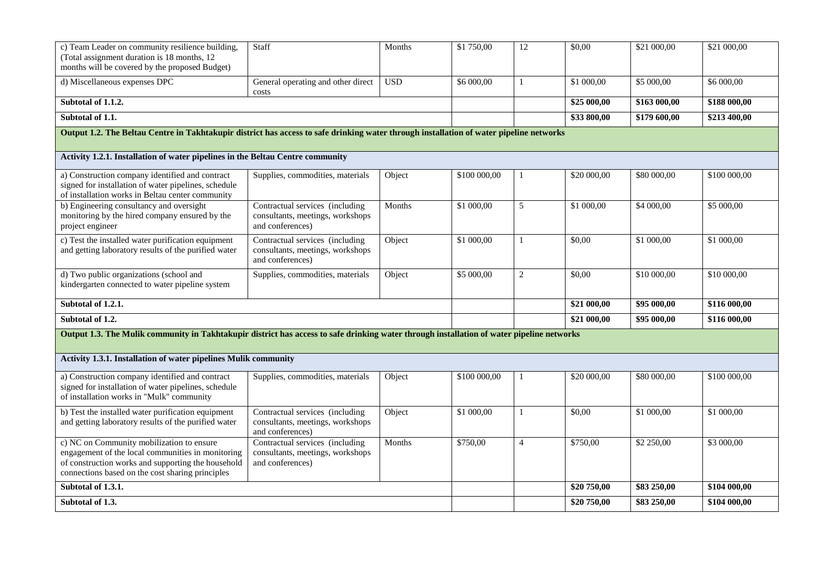| c) Team Leader on community resilience building,<br>(Total assignment duration is 18 months, 12)<br>months will be covered by the proposed Budget)                                                       | Staff                                                                                   | Months     | \$1 750,00   | 12             | \$0,00        | \$21 000,00  | \$21 000,00  |
|----------------------------------------------------------------------------------------------------------------------------------------------------------------------------------------------------------|-----------------------------------------------------------------------------------------|------------|--------------|----------------|---------------|--------------|--------------|
| d) Miscellaneous expenses DPC                                                                                                                                                                            | General operating and other direct<br>costs                                             | <b>USD</b> | \$6 000,00   | $\mathbf{1}$   | \$1 000,00    | \$5 000,00   | \$6 000,00   |
| Subtotal of 1.1.2.                                                                                                                                                                                       |                                                                                         |            |              |                | \$25 000,00   | \$163 000,00 | \$188 000,00 |
| Subtotal of 1.1.                                                                                                                                                                                         |                                                                                         |            |              |                | \$33 800,00   | \$179 600,00 | \$213 400,00 |
| Output 1.2. The Beltau Centre in Takhtakupir district has access to safe drinking water through installation of water pipeline networks                                                                  |                                                                                         |            |              |                |               |              |              |
| Activity 1.2.1. Installation of water pipelines in the Beltau Centre community                                                                                                                           |                                                                                         |            |              |                |               |              |              |
| a) Construction company identified and contract<br>signed for installation of water pipelines, schedule<br>of installation works in Beltau center community                                              | Supplies, commodities, materials                                                        | Object     | \$100 000,00 | 1              | \$20 000,00   | \$80 000,00  | \$100 000,00 |
| b) Engineering consultancy and oversight<br>monitoring by the hired company ensured by the<br>project engineer                                                                                           | Contractual services (including<br>consultants, meetings, workshops<br>and conferences) | Months     | \$1 000,00   | 5              | \$1 000,00    | \$4 000,00   | \$5 000,00   |
| c) Test the installed water purification equipment<br>and getting laboratory results of the purified water                                                                                               | Contractual services (including<br>consultants, meetings, workshops<br>and conferences) | Object     | $$1\ 000,00$ | $\mathbf{1}$   | \$0,00        | \$1 000,00   | \$1 000,00   |
| d) Two public organizations (school and<br>Supplies, commodities, materials<br>Object<br>kindergarten connected to water pipeline system                                                                 |                                                                                         |            | \$5 000,00   | $\overline{c}$ | \$0,00        | \$10 000,00  | \$10 000,00  |
| Subtotal of 1.2.1.                                                                                                                                                                                       |                                                                                         |            |              |                | $$21\,000,00$ | \$95 000,00  | \$116 000,00 |
| Subtotal of 1.2.                                                                                                                                                                                         |                                                                                         |            |              |                | \$21 000,00   | \$95 000,00  | \$116 000,00 |
| Output 1.3. The Mulik community in Takhtakupir district has access to safe drinking water through installation of water pipeline networks                                                                |                                                                                         |            |              |                |               |              |              |
| Activity 1.3.1. Installation of water pipelines Mulik community                                                                                                                                          |                                                                                         |            |              |                |               |              |              |
| a) Construction company identified and contract<br>signed for installation of water pipelines, schedule<br>of installation works in "Mulk" community                                                     | Supplies, commodities, materials                                                        | Object     | \$100 000,00 | $\mathbf{1}$   | \$20 000,00   | \$80 000,00  | \$100 000,00 |
| b) Test the installed water purification equipment<br>and getting laboratory results of the purified water                                                                                               | Contractual services (including<br>consultants, meetings, workshops<br>and conferences) | Object     | \$1 000,00   | $\mathbf{1}$   | \$0,00        | \$1 000,00   | \$1 000,00   |
| c) NC on Community mobilization to ensure<br>engagement of the local communities in monitoring<br>of construction works and supporting the household<br>connections based on the cost sharing principles | Contractual services (including<br>consultants, meetings, workshops<br>and conferences) | Months     | \$750,00     | $\overline{4}$ | \$750,00      | \$2 250,00   | \$3 000,00   |
| Subtotal of 1.3.1.                                                                                                                                                                                       |                                                                                         |            | \$20 750,00  | \$83 250,00    | \$104 000,00  |              |              |
| Subtotal of 1.3.                                                                                                                                                                                         |                                                                                         |            | \$20 750,00  | \$83 250,00    | \$104 000,00  |              |              |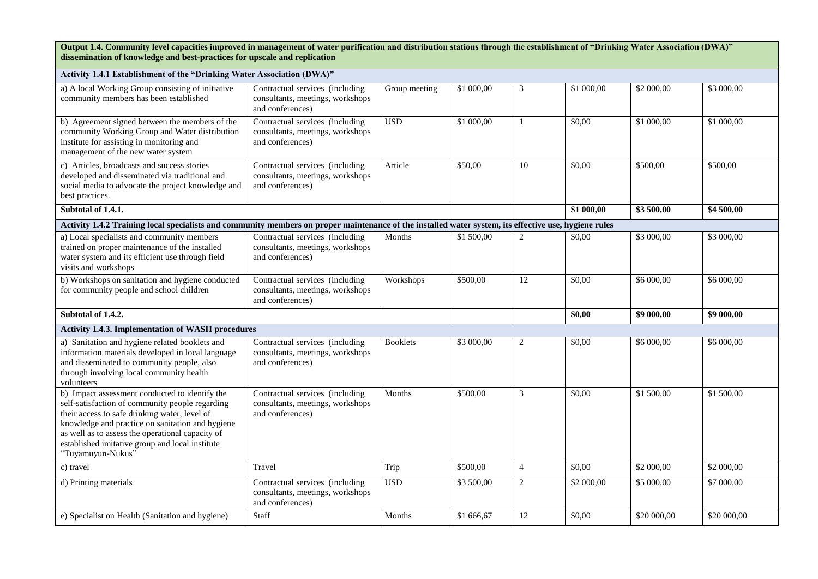**Output 1.4. Community level capacities improved in management of water purification and distribution stations through the establishment of "Drinking Water Association (DWA)" dissemination of knowledge and best-practices for upscale and replication**

| Activity 1.4.1 Establishment of the "Drinking Water Association (DWA)"                                                                                                                                                                                                                                                             |                                                                                                       |                     |                      |                |            |             |             |  |  |
|------------------------------------------------------------------------------------------------------------------------------------------------------------------------------------------------------------------------------------------------------------------------------------------------------------------------------------|-------------------------------------------------------------------------------------------------------|---------------------|----------------------|----------------|------------|-------------|-------------|--|--|
| a) A local Working Group consisting of initiative<br>community members has been established                                                                                                                                                                                                                                        | Contractual services (including<br>consultants, meetings, workshops<br>and conferences)               | Group meeting       | \$1 000,00           | 3              | \$1 000,00 | \$2 000,00  | \$3 000,00  |  |  |
| b) Agreement signed between the members of the<br>community Working Group and Water distribution<br>institute for assisting in monitoring and<br>management of the new water system                                                                                                                                                | Contractual services (including<br>consultants, meetings, workshops<br>and conferences)               | <b>USD</b>          | \$1 000,00           | $\mathbf{1}$   | \$0,00     | \$1 000,00  | \$1 000,00  |  |  |
| c) Articles, broadcasts and success stories<br>developed and disseminated via traditional and<br>social media to advocate the project knowledge and<br>best practices.                                                                                                                                                             | Contractual services (including<br>Article<br>consultants, meetings, workshops<br>and conferences)    |                     | \$50,00              | 10             | \$0,00     | \$500,00    | \$500,00    |  |  |
| Subtotal of 1.4.1.                                                                                                                                                                                                                                                                                                                 |                                                                                                       |                     |                      |                | \$1 000,00 | \$3 500,00  | \$4 500,00  |  |  |
| Activity 1.4.2 Training local specialists and community members on proper maintenance of the installed water system, its effective use, hygiene rules                                                                                                                                                                              |                                                                                                       |                     |                      |                |            |             |             |  |  |
| a) Local specialists and community members<br>trained on proper maintenance of the installed<br>water system and its efficient use through field<br>visits and workshops                                                                                                                                                           | Contractual services (including<br>consultants, meetings, workshops<br>and conferences)               | Months<br>Workshops | \$1 500,00           | $\overline{c}$ | \$0,00     | \$3 000,00  | \$3 000,00  |  |  |
| b) Workshops on sanitation and hygiene conducted<br>for community people and school children                                                                                                                                                                                                                                       | Contractual services (including<br>consultants, meetings, workshops<br>and conferences)               |                     | $\overline{$}500,00$ | 12             | \$0,00     | \$6 000,00  | \$6 000,00  |  |  |
| Subtotal of 1.4.2.                                                                                                                                                                                                                                                                                                                 |                                                                                                       |                     |                      |                | \$0,00     | \$9 000,00  | \$9 000,00  |  |  |
| Activity 1.4.3. Implementation of WASH procedures                                                                                                                                                                                                                                                                                  |                                                                                                       |                     |                      |                |            |             |             |  |  |
| a) Sanitation and hygiene related booklets and<br>information materials developed in local language<br>and disseminated to community people, also<br>through involving local community health<br>volunteers                                                                                                                        | Contractual services (including<br>consultants, meetings, workshops<br>and conferences)               | <b>Booklets</b>     | \$3 000,00           | 2              | \$0,00     | \$6 000,00  | \$6 000,00  |  |  |
| b) Impact assessment conducted to identify the<br>self-satisfaction of community people regarding<br>their access to safe drinking water, level of<br>knowledge and practice on sanitation and hygiene<br>as well as to assess the operational capacity of<br>established imitative group and local institute<br>"Tuyamuyun-Nukus" | Contractual services (including<br>Months<br>consultants, meetings, workshops<br>and conferences)     |                     | \$500,00             | 3              | \$0,00     | \$1500,00   | \$1 500,00  |  |  |
| c) travel                                                                                                                                                                                                                                                                                                                          | Travel                                                                                                | Trip                | \$500,00             | $\overline{4}$ | \$0,00     | \$2 000,00  | \$2 000,00  |  |  |
| d) Printing materials                                                                                                                                                                                                                                                                                                              | <b>USD</b><br>Contractual services (including<br>consultants, meetings, workshops<br>and conferences) |                     | \$3 500,00           | $\overline{c}$ | \$2 000,00 | \$5 000,00  | \$7 000,00  |  |  |
| e) Specialist on Health (Sanitation and hygiene)                                                                                                                                                                                                                                                                                   | Staff                                                                                                 | Months              | \$1 666,67           | 12             | \$0,00     | \$20 000,00 | \$20 000,00 |  |  |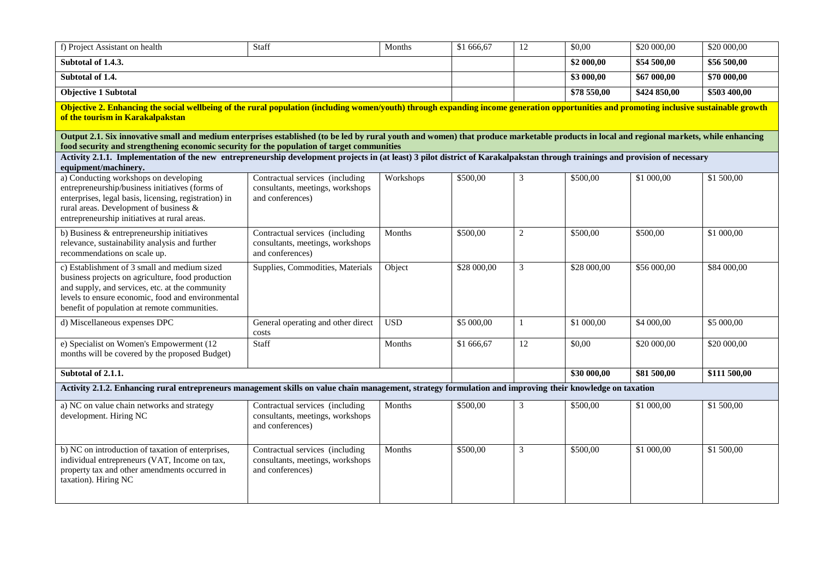| f) Project Assistant on health                                                                                                                                                                                                                                                         | Staff                                                                                   | Months     | \$1 666,67           | 12             | \$0,00      | \$20 000,00  | \$20 000,00  |
|----------------------------------------------------------------------------------------------------------------------------------------------------------------------------------------------------------------------------------------------------------------------------------------|-----------------------------------------------------------------------------------------|------------|----------------------|----------------|-------------|--------------|--------------|
| Subtotal of 1.4.3.                                                                                                                                                                                                                                                                     |                                                                                         |            |                      |                | \$2 000,00  | \$54 500,00  | \$56 500,00  |
| Subtotal of 1.4.                                                                                                                                                                                                                                                                       |                                                                                         |            |                      |                | \$3 000,00  | \$67 000,00  | \$70 000,00  |
| <b>Objective 1 Subtotal</b>                                                                                                                                                                                                                                                            |                                                                                         |            |                      |                | \$78 550,00 | \$424 850,00 | \$503 400,00 |
| Objective 2. Enhancing the social wellbeing of the rural population (including women/youth) through expanding income generation opportunities and promoting inclusive sustainable growth<br>of the tourism in Karakalpakstan                                                           |                                                                                         |            |                      |                |             |              |              |
| Output 2.1. Six innovative small and medium enterprises established (to be led by rural youth and women) that produce marketable products in local and regional markets, while enhancing<br>food security and strengthening economic security for the population of target communities |                                                                                         |            |                      |                |             |              |              |
| Activity 2.1.1. Implementation of the new entrepreneurship development projects in (at least) 3 pilot district of Karakalpakstan through trainings and provision of necessary<br>equipment/machinery.                                                                                  |                                                                                         |            |                      |                |             |              |              |
| a) Conducting workshops on developing<br>entrepreneurship/business initiatives (forms of<br>enterprises, legal basis, licensing, registration) in<br>rural areas. Development of business &<br>entrepreneurship initiatives at rural areas.                                            | Contractual services (including<br>consultants, meetings, workshops<br>and conferences) | Workshops  | $\overline{$}500,00$ | 3              | \$500,00    | \$1 000,00   | \$1 500,00   |
| b) Business $\&$ entrepreneurship initiatives<br>relevance, sustainability analysis and further<br>recommendations on scale up.                                                                                                                                                        | Contractual services (including<br>consultants, meetings, workshops<br>and conferences) | Months     | \$500,00             | $\overline{c}$ | \$500,00    | \$500,00     | \$1 000,00   |
| c) Establishment of 3 small and medium sized<br>business projects on agriculture, food production<br>and supply, and services, etc. at the community<br>levels to ensure economic, food and environmental<br>benefit of population at remote communities.                              | Supplies, Commodities, Materials                                                        | Object     | \$28 000,00          | 3              | \$28 000,00 | \$56 000,00  | \$84 000,00  |
| d) Miscellaneous expenses DPC                                                                                                                                                                                                                                                          | General operating and other direct<br>costs                                             | <b>USD</b> | \$5000,00            | 1              | \$1 000,00  | \$4000,00    | \$5 000,00   |
| e) Specialist on Women's Empowerment (12<br>months will be covered by the proposed Budget)                                                                                                                                                                                             | Staff                                                                                   | Months     | \$1 666,67           | 12             | \$0,00      | \$20 000,00  | \$20 000,00  |
| Subtotal of 2.1.1.                                                                                                                                                                                                                                                                     |                                                                                         |            |                      |                | \$30000,00  | \$81 500,00  | \$111 500,00 |
| Activity 2.1.2. Enhancing rural entrepreneurs management skills on value chain management, strategy formulation and improving their knowledge on taxation                                                                                                                              |                                                                                         |            |                      |                |             |              |              |
| a) NC on value chain networks and strategy<br>development. Hiring NC                                                                                                                                                                                                                   | Contractual services (including<br>consultants, meetings, workshops<br>and conferences) | Months     | \$500,00             | 3              | \$500,00    | \$1 000,00   | \$1 500,00   |
| b) NC on introduction of taxation of enterprises,<br>individual entrepreneurs (VAT, Income on tax,<br>property tax and other amendments occurred in<br>taxation). Hiring NC                                                                                                            | Contractual services (including<br>consultants, meetings, workshops<br>and conferences) | Months     | \$500,00             | 3              | \$500,00    | \$1 000,00   | \$1 500,00   |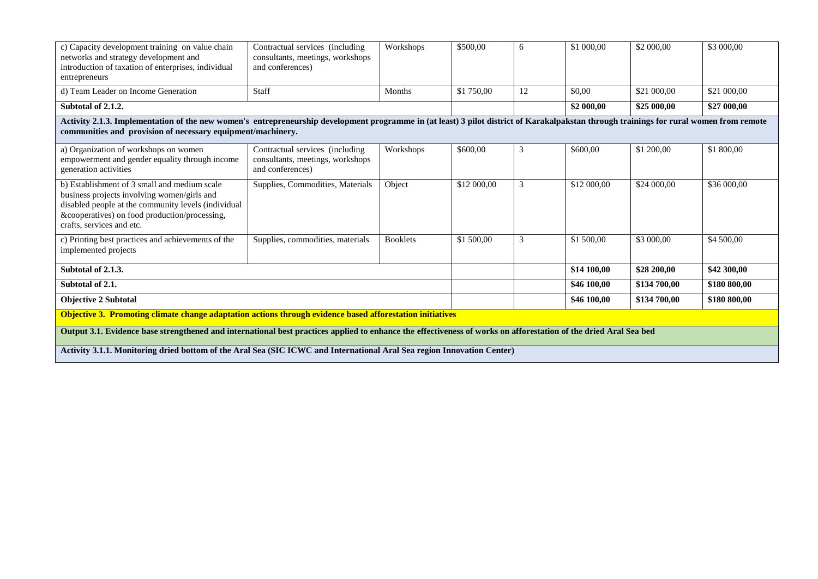| c) Capacity development training on value chain<br>networks and strategy development and<br>introduction of taxation of enterprises, individual<br>entrepreneurs                                                                                       | Contractual services (including)<br>consultants, meetings, workshops<br>and conferences) | Workshops       | \$500,00    | 6  | \$1 000,00  | \$2 000,00   | \$3 000,00   |  |  |
|--------------------------------------------------------------------------------------------------------------------------------------------------------------------------------------------------------------------------------------------------------|------------------------------------------------------------------------------------------|-----------------|-------------|----|-------------|--------------|--------------|--|--|
| d) Team Leader on Income Generation                                                                                                                                                                                                                    | Staff                                                                                    | Months          | \$1 750,00  | 12 | \$0.00      | \$21 000,00  | \$21 000,00  |  |  |
| Subtotal of 2.1.2.                                                                                                                                                                                                                                     |                                                                                          |                 |             |    | \$2 000,00  | \$25 000,00  | \$27 000,00  |  |  |
| Activity 2.1.3. Implementation of the new women's entrepreneurship development programme in (at least) 3 pilot district of Karakalpakstan through trainings for rural women from remote<br>communities and provision of necessary equipment/machinery. |                                                                                          |                 |             |    |             |              |              |  |  |
| a) Organization of workshops on women<br>empowerment and gender equality through income<br>generation activities                                                                                                                                       | Contractual services (including)<br>consultants, meetings, workshops<br>and conferences) | Workshops       | \$600,00    | 3  | \$600.00    | \$1 200,00   | \$1 800,00   |  |  |
| b) Establishment of 3 small and medium scale<br>business projects involving women/girls and<br>disabled people at the community levels (individual<br>&cooperatives) on food production/processing,<br>crafts, services and etc.                       | Supplies, Commodities, Materials                                                         | Object          | \$12 000,00 | 3  | \$12 000,00 | \$24 000,00  | \$36 000,00  |  |  |
| c) Printing best practices and achievements of the<br>implemented projects                                                                                                                                                                             | Supplies, commodities, materials                                                         | <b>Booklets</b> | \$1 500,00  | 3  | \$1 500,00  | \$3 000,00   | \$4 500,00   |  |  |
| Subtotal of 2.1.3.                                                                                                                                                                                                                                     |                                                                                          |                 |             |    | \$14 100,00 | \$28 200,00  | \$42 300,00  |  |  |
| Subtotal of 2.1.                                                                                                                                                                                                                                       |                                                                                          |                 |             |    | \$46 100,00 | \$134 700,00 | \$180 800,00 |  |  |
| <b>Objective 2 Subtotal</b>                                                                                                                                                                                                                            |                                                                                          |                 |             |    | \$46 100,00 | \$134 700,00 | \$180 800,00 |  |  |
| Objective 3. Promoting climate change adaptation actions through evidence based afforestation initiatives                                                                                                                                              |                                                                                          |                 |             |    |             |              |              |  |  |
| Output 3.1. Evidence base strengthened and international best practices applied to enhance the effectiveness of works on afforestation of the dried Aral Sea bed                                                                                       |                                                                                          |                 |             |    |             |              |              |  |  |
| Activity 3.1.1. Monitoring dried bottom of the Aral Sea (SIC ICWC and International Aral Sea region Innovation Center)                                                                                                                                 |                                                                                          |                 |             |    |             |              |              |  |  |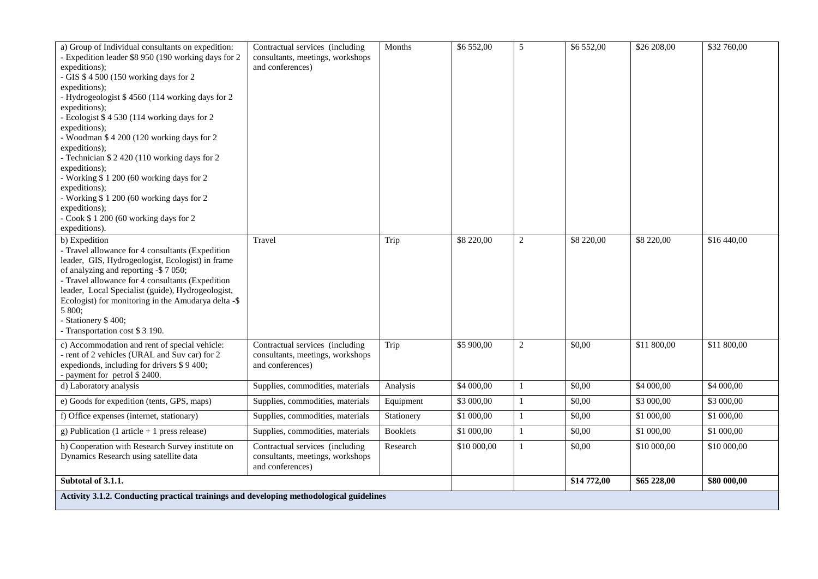| a) Group of Individual consultants on expedition:<br>- Expedition leader \$8 950 (190 working days for 2<br>expeditions);<br>- GIS \$ 4 500 (150 working days for 2<br>expeditions);<br>- Hydrogeologist \$4560 (114 working days for 2<br>expeditions);<br>- Ecologist \$4530 (114 working days for 2<br>expeditions);<br>- Woodman \$4 200 (120 working days for 2<br>expeditions);<br>- Technician \$2420 (110 working days for 2<br>expeditions);<br>- Working \$1 200 (60 working days for 2<br>expeditions);<br>- Working \$1 200 (60 working days for 2<br>expeditions);<br>- Cook \$1200 (60 working days for 2<br>expeditions). | Contractual services (including<br>consultants, meetings, workshops<br>and conferences) | Months          | \$6 552,00  | 5              | \$6552,00   | \$26 208,00 | \$32 760,00 |
|------------------------------------------------------------------------------------------------------------------------------------------------------------------------------------------------------------------------------------------------------------------------------------------------------------------------------------------------------------------------------------------------------------------------------------------------------------------------------------------------------------------------------------------------------------------------------------------------------------------------------------------|-----------------------------------------------------------------------------------------|-----------------|-------------|----------------|-------------|-------------|-------------|
| b) Expedition<br>- Travel allowance for 4 consultants (Expedition<br>leader, GIS, Hydrogeologist, Ecologist) in frame<br>of analyzing and reporting -\$7050;<br>- Travel allowance for 4 consultants (Expedition<br>leader, Local Specialist (guide), Hydrogeologist,<br>Ecologist) for monitoring in the Amudarya delta -\$<br>5 800;<br>- Stationery \$400;<br>- Transportation cost \$ 3 190.                                                                                                                                                                                                                                         | Travel                                                                                  | Trip            | \$8 220,00  | $\overline{c}$ | \$8 220,00  | \$8 220,00  | \$16 440,00 |
| c) Accommodation and rent of special vehicle:<br>- rent of 2 vehicles (URAL and Suv car) for 2<br>expedionds, including for drivers \$9400;<br>- payment for petrol \$2400.                                                                                                                                                                                                                                                                                                                                                                                                                                                              | Contractual services (including<br>consultants, meetings, workshops<br>and conferences) | Trip            | \$5 900,00  | $\overline{2}$ | \$0,00      | \$11 800,00 | \$11 800,00 |
| d) Laboratory analysis                                                                                                                                                                                                                                                                                                                                                                                                                                                                                                                                                                                                                   | Supplies, commodities, materials                                                        | Analysis        | \$4 000,00  | $\mathbf{1}$   | \$0,00      | \$4 000,00  | \$4 000,00  |
| e) Goods for expedition (tents, GPS, maps)                                                                                                                                                                                                                                                                                                                                                                                                                                                                                                                                                                                               | Supplies, commodities, materials                                                        | Equipment       | \$3 000,00  | $\mathbf{1}$   | \$0,00      | \$3 000,00  | \$3 000,00  |
| f) Office expenses (internet, stationary)                                                                                                                                                                                                                                                                                                                                                                                                                                                                                                                                                                                                | Supplies, commodities, materials                                                        | Stationery      | \$1 000,00  | $\mathbf{1}$   | \$0,00      | \$1 000,00  | \$1 000,00  |
| g) Publication (1 article $+1$ press release)                                                                                                                                                                                                                                                                                                                                                                                                                                                                                                                                                                                            | Supplies, commodities, materials                                                        | <b>Booklets</b> | \$1 000,00  | $\mathbf{1}$   | \$0,00      | \$1 000,00  | \$1 000,00  |
| h) Cooperation with Research Survey institute on<br>Dynamics Research using satellite data                                                                                                                                                                                                                                                                                                                                                                                                                                                                                                                                               | Contractual services (including<br>consultants, meetings, workshops<br>and conferences) | Research        | \$10 000,00 | $\mathbf{1}$   | \$0,00      | \$10 000,00 | \$10 000,00 |
| Subtotal of 3.1.1.                                                                                                                                                                                                                                                                                                                                                                                                                                                                                                                                                                                                                       |                                                                                         |                 |             |                | \$14 772,00 | \$65 228,00 | \$80 000,00 |
| Activity 3.1.2. Conducting practical trainings and developing methodological guidelines                                                                                                                                                                                                                                                                                                                                                                                                                                                                                                                                                  |                                                                                         |                 |             |                |             |             |             |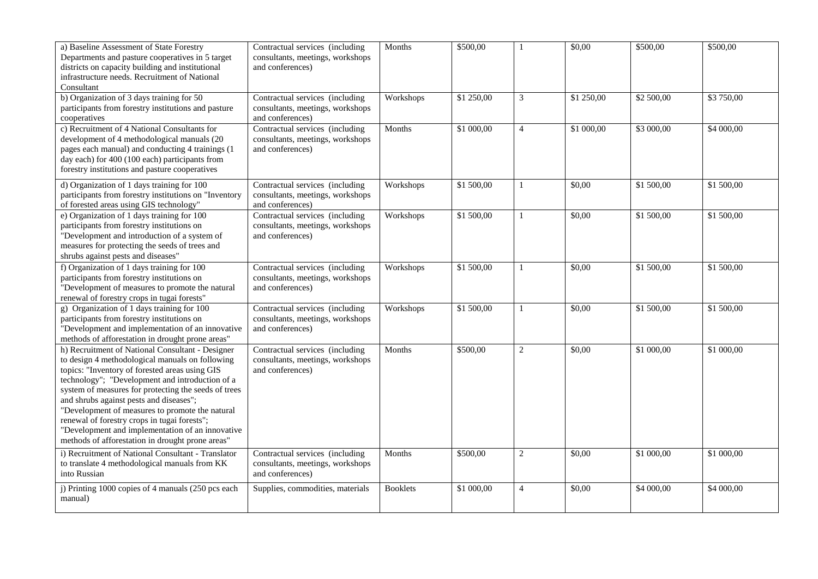| a) Baseline Assessment of State Forestry<br>Departments and pasture cooperatives in 5 target<br>districts on capacity building and institutional<br>infrastructure needs. Recruitment of National<br>Consultant                                                                                                                                                                                                                                                                                                        | Contractual services (including<br>consultants, meetings, workshops<br>and conferences) | Months          | \$500,00   | 1              | \$0,00     | \$500,00   | $\overline{$}500,00$ |
|------------------------------------------------------------------------------------------------------------------------------------------------------------------------------------------------------------------------------------------------------------------------------------------------------------------------------------------------------------------------------------------------------------------------------------------------------------------------------------------------------------------------|-----------------------------------------------------------------------------------------|-----------------|------------|----------------|------------|------------|----------------------|
| b) Organization of 3 days training for 50<br>participants from forestry institutions and pasture<br>cooperatives                                                                                                                                                                                                                                                                                                                                                                                                       | Contractual services (including<br>consultants, meetings, workshops<br>and conferences) | Workshops       | \$1 250,00 | $\mathfrak{Z}$ | \$1 250,00 | \$2 500,00 | \$3 750,00           |
| c) Recruitment of 4 National Consultants for<br>development of 4 methodological manuals (20<br>pages each manual) and conducting 4 trainings (1<br>day each) for 400 (100 each) participants from<br>forestry institutions and pasture cooperatives                                                                                                                                                                                                                                                                    | Contractual services (including<br>consultants, meetings, workshops<br>and conferences) | Months          | \$1 000,00 | $\overline{4}$ | \$1 000,00 | \$3 000,00 | \$4 000,00           |
| d) Organization of 1 days training for 100<br>participants from forestry institutions on "Inventory<br>of forested areas using GIS technology"                                                                                                                                                                                                                                                                                                                                                                         | Contractual services (including<br>consultants, meetings, workshops<br>and conferences) | Workshops       | \$1 500,00 | $\mathbf{1}$   | \$0,00     | \$1500,00  | \$1 500,00           |
| e) Organization of 1 days training for 100<br>participants from forestry institutions on<br>"Development and introduction of a system of<br>measures for protecting the seeds of trees and<br>shrubs against pests and diseases"                                                                                                                                                                                                                                                                                       | Contractual services (including<br>consultants, meetings, workshops<br>and conferences) | Workshops       | \$1,500,00 | $\mathbf{1}$   | \$0,00     | \$1500,00  | \$1,500,00           |
| f) Organization of 1 days training for 100<br>participants from forestry institutions on<br>"Development of measures to promote the natural<br>renewal of forestry crops in tugai forests"                                                                                                                                                                                                                                                                                                                             | Contractual services (including<br>consultants, meetings, workshops<br>and conferences) | Workshops       | \$1 500,00 | $\mathbf{1}$   | \$0,00     | \$1500,00  | \$1 500,00           |
| g) Organization of 1 days training for $100$<br>participants from forestry institutions on<br>"Development and implementation of an innovative<br>methods of afforestation in drought prone areas"                                                                                                                                                                                                                                                                                                                     | Contractual services (including<br>consultants, meetings, workshops<br>and conferences) | Workshops       | \$1 500,00 | $\mathbf{1}$   | \$0,00     | \$1500,00  | \$1 500,00           |
| h) Recruitment of National Consultant - Designer<br>to design 4 methodological manuals on following<br>topics: "Inventory of forested areas using GIS<br>technology"; "Development and introduction of a<br>system of measures for protecting the seeds of trees<br>and shrubs against pests and diseases";<br>"Development of measures to promote the natural<br>renewal of forestry crops in tugai forests";<br>"Development and implementation of an innovative<br>methods of afforestation in drought prone areas" | Contractual services (including<br>consultants, meetings, workshops<br>and conferences) | Months          | \$500,00   | $\overline{2}$ | \$0,00     | \$1 000,00 | \$1 000,00           |
| i) Recruitment of National Consultant - Translator<br>to translate 4 methodological manuals from KK<br>into Russian                                                                                                                                                                                                                                                                                                                                                                                                    | Contractual services (including<br>consultants, meetings, workshops<br>and conferences) | Months          | \$500,00   | $\overline{2}$ | \$0,00     | \$1000,00  | \$1 000,00           |
| j) Printing 1000 copies of 4 manuals (250 pcs each<br>manual)                                                                                                                                                                                                                                                                                                                                                                                                                                                          | Supplies, commodities, materials                                                        | <b>Booklets</b> | \$1 000,00 | $\overline{4}$ | \$0,00     | \$4 000,00 | \$4 000,00           |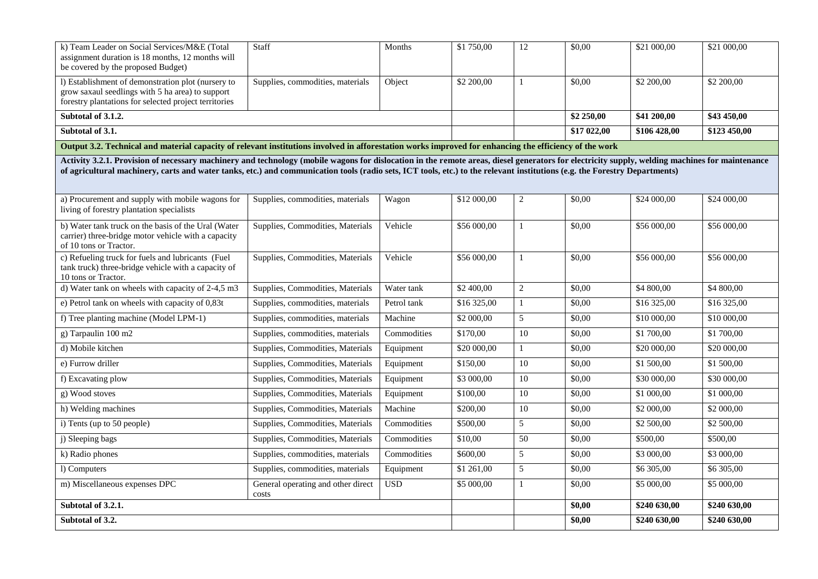| k) Team Leader on Social Services/M&E (Total<br>assignment duration is 18 months, 12 months will<br>be covered by the proposed Budget)                                                                                                                                                                                                                                       | Staff                                       | Months      | \$1 750,00  | 12                      | \$0.00       | \$21 000,00               | \$21 000,00 |
|------------------------------------------------------------------------------------------------------------------------------------------------------------------------------------------------------------------------------------------------------------------------------------------------------------------------------------------------------------------------------|---------------------------------------------|-------------|-------------|-------------------------|--------------|---------------------------|-------------|
| l) Establishment of demonstration plot (nursery to<br>grow saxaul seedlings with 5 ha area) to support<br>forestry plantations for selected project territories                                                                                                                                                                                                              | Supplies, commodities, materials            | Object      | \$2 200,00  | $\mathbf{1}$            | \$0,00       | \$2 200,00                | \$2 200,00  |
| Subtotal of 3.1.2.                                                                                                                                                                                                                                                                                                                                                           |                                             |             |             |                         | \$2 250,00   | \$41 200,00               | \$43 450,00 |
| Subtotal of 3.1.                                                                                                                                                                                                                                                                                                                                                             |                                             |             |             | \$17 022,00             | \$106 428,00 | $\overline{$}123\,450,00$ |             |
| Output 3.2. Technical and material capacity of relevant institutions involved in afforestation works improved for enhancing the efficiency of the work                                                                                                                                                                                                                       |                                             |             |             |                         |              |                           |             |
| Activity 3.2.1. Provision of necessary machinery and technology (mobile wagons for dislocation in the remote areas, diesel generators for electricity supply, welding machines for maintenance<br>of agricultural machinery, carts and water tanks, etc.) and communication tools (radio sets, ICT tools, etc.) to the relevant institutions (e.g. the Forestry Departments) |                                             |             |             |                         |              |                           |             |
| a) Procurement and supply with mobile wagons for<br>living of forestry plantation specialists                                                                                                                                                                                                                                                                                | Supplies, commodities, materials            | Wagon       | \$12 000,00 | $\overline{c}$          | \$0,00       | \$24 000,00               | \$24 000,00 |
| b) Water tank truck on the basis of the Ural (Water<br>carrier) three-bridge motor vehicle with a capacity<br>of 10 tons or Tractor.                                                                                                                                                                                                                                         | Supplies, Commodities, Materials            | Vehicle     | \$56 000,00 | $\mathbf{1}$            | \$0,00       | \$56 000,00               | \$56 000,00 |
| c) Refueling truck for fuels and lubricants (Fuel<br>tank truck) three-bridge vehicle with a capacity of<br>10 tons or Tractor.                                                                                                                                                                                                                                              | Supplies, Commodities, Materials            | Vehicle     | \$56 000,00 | $\mathbf{1}$            | \$0,00       | \$56 000,00               | \$56 000,00 |
| d) Water tank on wheels with capacity of 2-4,5 m3                                                                                                                                                                                                                                                                                                                            | Supplies, Commodities, Materials            | Water tank  | \$2 400,00  | $\overline{c}$          | \$0,00       | \$4 800,00                | \$4 800,00  |
| e) Petrol tank on wheels with capacity of 0,83t                                                                                                                                                                                                                                                                                                                              | Supplies, commodities, materials            | Petrol tank | \$16 325,00 | $\mathbf{1}$            | \$0,00       | \$16 325,00               | \$16 325,00 |
| f) Tree planting machine (Model LPM-1)                                                                                                                                                                                                                                                                                                                                       | Supplies, commodities, materials            | Machine     | \$2 000,00  | 5                       | \$0,00       | \$10 000,00               | \$10 000,00 |
| g) Tarpaulin 100 m2                                                                                                                                                                                                                                                                                                                                                          | Supplies, commodities, materials            | Commodities | \$170,00    | 10                      | \$0,00       | \$1700,00                 | \$1 700,00  |
| d) Mobile kitchen                                                                                                                                                                                                                                                                                                                                                            | Supplies, Commodities, Materials            | Equipment   | \$20 000,00 | $\mathbf{1}$            | \$0,00       | \$20 000,00               | \$20 000,00 |
| e) Furrow driller                                                                                                                                                                                                                                                                                                                                                            | Supplies, Commodities, Materials            | Equipment   | \$150,00    | 10                      | \$0,00       | \$1500,00                 | \$1 500,00  |
| f) Excavating plow                                                                                                                                                                                                                                                                                                                                                           | Supplies, Commodities, Materials            | Equipment   | \$3 000,00  | 10                      | \$0,00       | \$30 000,00               | \$30 000,00 |
| g) Wood stoves                                                                                                                                                                                                                                                                                                                                                               | Supplies, Commodities, Materials            | Equipment   | \$100,00    | 10                      | \$0,00       | \$1 000,00                | \$1 000,00  |
| h) Welding machines                                                                                                                                                                                                                                                                                                                                                          | Supplies, Commodities, Materials            | Machine     | \$200,00    | 10                      | \$0,00       | \$2 000,00                | \$2 000,00  |
| i) Tents (up to 50 people)                                                                                                                                                                                                                                                                                                                                                   | Supplies, Commodities, Materials            | Commodities | \$500,00    | 5                       | \$0,00       | \$2 500,00                | \$2 500,00  |
| j) Sleeping bags                                                                                                                                                                                                                                                                                                                                                             | Supplies, Commodities, Materials            | Commodities | \$10,00     | 50                      | \$0,00       | \$500,00                  | \$500,00    |
| k) Radio phones                                                                                                                                                                                                                                                                                                                                                              | Supplies, commodities, materials            | Commodities | \$600,00    | 5                       | \$0,00       | \$3 000,00                | \$3 000,00  |
| l) Computers                                                                                                                                                                                                                                                                                                                                                                 | Supplies, commodities, materials            | Equipment   | \$1 261,00  | 5                       | \$0,00       | \$6 305,00                | \$6 305,00  |
| m) Miscellaneous expenses DPC                                                                                                                                                                                                                                                                                                                                                | General operating and other direct<br>costs | <b>USD</b>  | \$5 000,00  | $\mathbf{1}$            | \$0,00       | \$5 000,00                | \$5 000,00  |
| Subtotal of 3.2.1.                                                                                                                                                                                                                                                                                                                                                           |                                             |             | \$0,00      | \$240 630,00            | \$240 630,00 |                           |             |
| Subtotal of 3.2.                                                                                                                                                                                                                                                                                                                                                             |                                             |             | \$0,00      | $\overline{$}240630,00$ | \$240 630,00 |                           |             |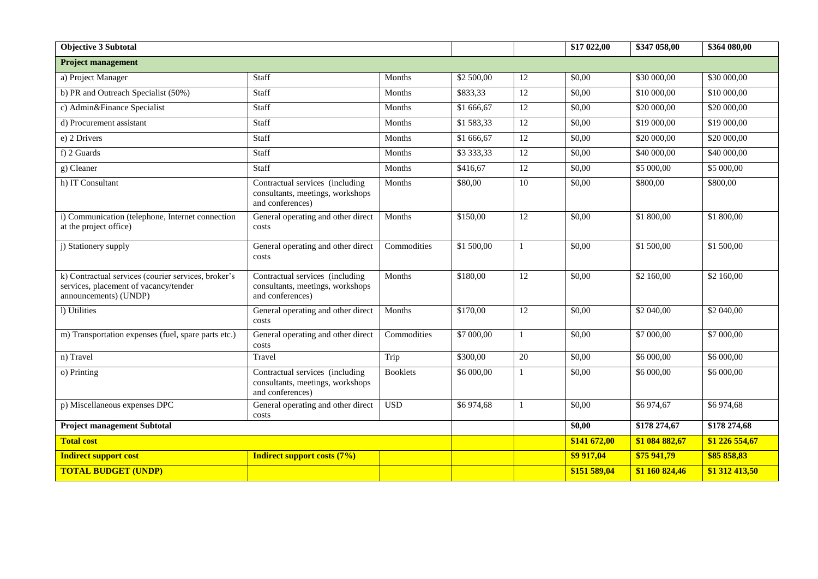| <b>Objective 3 Subtotal</b>                                                                                           |                                                                                         |                 |            |                 | \$17 022,00  | \$347 058,00   | \$364 080,00          |
|-----------------------------------------------------------------------------------------------------------------------|-----------------------------------------------------------------------------------------|-----------------|------------|-----------------|--------------|----------------|-----------------------|
| <b>Project management</b>                                                                                             |                                                                                         |                 |            |                 |              |                |                       |
| a) Project Manager                                                                                                    | Staff                                                                                   | Months          | \$2 500,00 | 12              | \$0,00       | \$30 000,00    | \$30 000,00           |
| b) PR and Outreach Specialist (50%)                                                                                   | Staff                                                                                   | Months          | \$833,33   | $\overline{12}$ | \$0,00       | \$10 000,00    | \$10 000,00           |
| c) Admin&Finance Specialist                                                                                           | Staff                                                                                   | Months          | \$1 666,67 | 12              | \$0,00       | \$20 000,00    | \$20 000,00           |
| d) Procurement assistant                                                                                              | <b>Staff</b>                                                                            | Months          | \$1583,33  | 12              | \$0,00       | \$19 000,00    | \$19 000,00           |
| e) 2 Drivers                                                                                                          | Staff                                                                                   | Months          |            | $\overline{12}$ | \$0,00       | \$20 000,00    | \$20 000,00           |
| f) 2 Guards                                                                                                           | Staff                                                                                   | Months          |            | 12              | \$0,00       | \$40 000,00    | \$40 000,00           |
| g) Cleaner                                                                                                            | Staff                                                                                   | Months          | \$416,67   | 12              | \$0,00       | \$5 000,00     | \$5 000,00            |
| h) IT Consultant                                                                                                      | Contractual services (including<br>consultants, meetings, workshops<br>and conferences) | Months          |            | 10              | \$0,00       | \$800,00       | \$800,00              |
| i) Communication (telephone, Internet connection<br>at the project office)                                            | General operating and other direct<br>costs                                             | Months          |            | 12              | \$0,00       | \$1800,00      | $\overline{$}1800,00$ |
| j) Stationery supply                                                                                                  | General operating and other direct<br>costs                                             | Commodities     | \$1 500,00 | $\mathbf{1}$    | \$0,00       | \$1500,00      | \$1 500,00            |
| k) Contractual services (courier services, broker's<br>services, placement of vacancy/tender<br>announcements) (UNDP) | Contractual services (including<br>consultants, meetings, workshops<br>and conferences) | Months          | \$180,00   | 12              | \$0,00       | \$2 160,00     | \$2 160,00            |
| 1) Utilities                                                                                                          | General operating and other direct<br>costs                                             | Months          | \$170,00   | $\overline{12}$ | \$0,00       | \$2 040,00     | \$2 040,00            |
| m) Transportation expenses (fuel, spare parts etc.)                                                                   | General operating and other direct<br>costs                                             | Commodities     | \$7 000,00 | $\mathbf{1}$    | \$0,00       | \$7 000,00     | $\overline{$}7000,00$ |
| n) Travel                                                                                                             | Travel                                                                                  | Trip            | \$300,00   | 20              | \$0,00       | \$6 000,00     | \$6 000,00            |
| o) Printing                                                                                                           | Contractual services (including<br>consultants, meetings, workshops<br>and conferences) | <b>Booklets</b> | \$6 000,00 | $\mathbf{1}$    | \$0,00       | \$6 000,00     | \$6 000,00            |
| p) Miscellaneous expenses DPC                                                                                         | General operating and other direct<br>costs                                             | <b>USD</b>      | \$6974,68  | $\mathbf{1}$    | \$0,00       | \$6974,67      | \$6974,68             |
| <b>Project management Subtotal</b>                                                                                    |                                                                                         |                 |            |                 | \$0,00       | \$178 274,67   | \$178 274,68          |
| <b>Total cost</b>                                                                                                     |                                                                                         |                 |            |                 | \$141 672,00 | \$1 084 882,67 | \$1 226 554,67        |
| <b>Indirect support cost</b><br><b>Indirect support costs (7%)</b>                                                    |                                                                                         |                 |            | \$9 917,04      | \$75 941,79  | \$85 858,83    |                       |
| <b>TOTAL BUDGET (UNDP)</b>                                                                                            |                                                                                         |                 |            |                 | \$151 589,04 | \$1 160 824,46 | \$1 312 413,50        |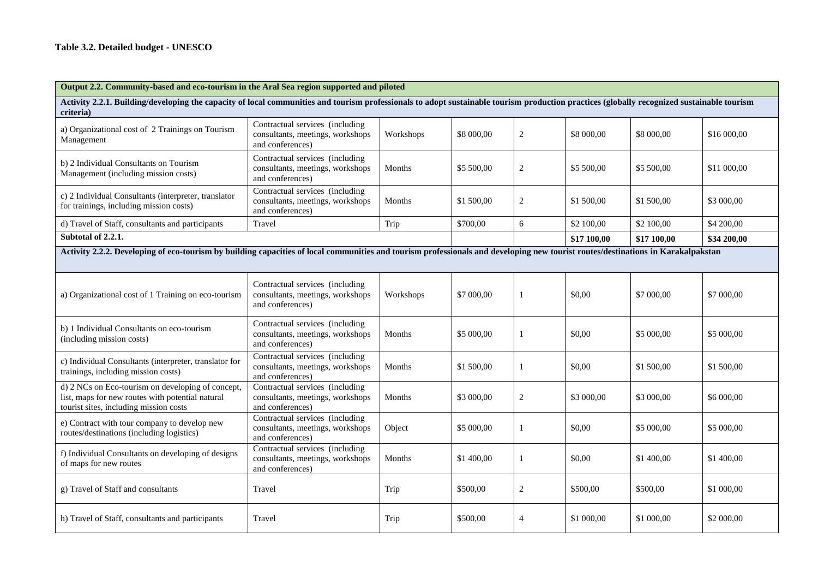| Output 2.2. Community-based and eco-tourism in the Aral Sea region supported and piloted                                                                                                                |                                                                                                      |               |            |                |             |             |             |  |  |
|---------------------------------------------------------------------------------------------------------------------------------------------------------------------------------------------------------|------------------------------------------------------------------------------------------------------|---------------|------------|----------------|-------------|-------------|-------------|--|--|
| Activity 2.2.1. Building/developing the capacity of local communities and tourism professionals to adopt sustainable tourism production practices (globally recognized sustainable tourism<br>criteria) |                                                                                                      |               |            |                |             |             |             |  |  |
| a) Organizational cost of 2 Trainings on Tourism<br>Management                                                                                                                                          | Contractual services (including<br>consultants, meetings, workshops<br>Workshops<br>and conferences) |               | \$8 000,00 | 2              | \$8 000,00  | \$8 000,00  | \$16 000,00 |  |  |
| b) 2 Individual Consultants on Tourism<br>Management (including mission costs)                                                                                                                          | Contractual services (including<br>consultants, meetings, workshops<br>Months<br>and conferences)    |               | \$5 500,00 | $\overline{2}$ | \$5 500,00  | \$5 500,00  | \$11 000,00 |  |  |
| c) 2 Individual Consultants (interpreter, translator<br>for trainings, including mission costs)                                                                                                         | Contractual services (including<br>consultants, meetings, workshops<br>and conferences)              | Months        | \$1 500,00 | 2              | \$1 500,00  | \$1 500,00  | \$3 000,00  |  |  |
| d) Travel of Staff, consultants and participants                                                                                                                                                        | Travel                                                                                               | Trip          | \$700,00   | 6              | \$2 100,00  | \$2 100,00  | \$4 200,00  |  |  |
| Subtotal of 2.2.1.                                                                                                                                                                                      |                                                                                                      |               |            |                | \$17 100,00 | \$17 100,00 | \$34 200,00 |  |  |
| Activity 2.2.2. Developing of eco-tourism by building capacities of local communities and tourism professionals and developing new tourist routes/destinations in Karakalpakstan                        |                                                                                                      |               |            |                |             |             |             |  |  |
| Contractual services (including<br>consultants, meetings, workshops<br>a) Organizational cost of 1 Training on eco-tourism<br>and conferences)                                                          |                                                                                                      | Workshops     | \$7 000,00 |                | \$0.00      | \$7 000,00  | \$7 000,00  |  |  |
| b) 1 Individual Consultants on eco-tourism<br>(including mission costs)                                                                                                                                 | Contractual services (including<br>consultants, meetings, workshops<br>and conferences)              | Months        | \$5 000,00 | -1             | \$0,00      | \$5 000,00  | \$5 000,00  |  |  |
| c) Individual Consultants (interpreter, translator for<br>trainings, including mission costs)                                                                                                           | Contractual services (including<br>consultants, meetings, workshops<br>and conferences)              | Months        | \$1 500,00 | 1              | \$0,00      | \$1 500,00  | \$1 500,00  |  |  |
| d) 2 NCs on Eco-tourism on developing of concept,<br>list, maps for new routes with potential natural<br>tourist sites, including mission costs                                                         | Contractual services (including<br>consultants, meetings, workshops<br>and conferences)              | Months        | \$3 000,00 | 2              | \$3 000,00  | \$3 000,00  | \$6 000,00  |  |  |
| e) Contract with tour company to develop new<br>routes/destinations (including logistics)                                                                                                               | Contractual services (including<br>consultants, meetings, workshops<br>and conferences)              | Object        | \$5 000,00 | 1              | \$0,00      | \$5 000,00  | \$5 000,00  |  |  |
| f) Individual Consultants on developing of designs<br>of maps for new routes                                                                                                                            | Contractual services (including<br>consultants, meetings, workshops<br>and conferences)              | <b>Months</b> | \$1 400,00 | -1             | \$0,00      | \$1 400,00  | \$1 400,00  |  |  |
| g) Travel of Staff and consultants                                                                                                                                                                      | Travel                                                                                               | Trip          | \$500,00   | 2              | \$500,00    | \$500,00    | \$1 000,00  |  |  |
| h) Travel of Staff, consultants and participants                                                                                                                                                        | Travel<br>Trip                                                                                       |               | \$500,00   | $\overline{4}$ | \$1 000,00  | \$1 000,00  | \$2 000,00  |  |  |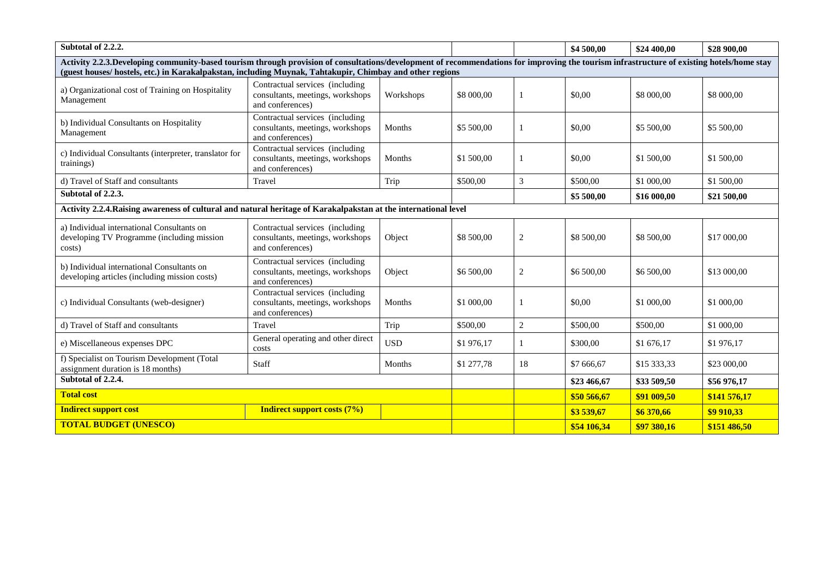| Subtotal of 2.2.2.                                                                                                                                                                                                                                                                                    |                                                                                         |                      |             |                | \$4 500,00  | \$24 400,00  | \$28 900,00  |
|-------------------------------------------------------------------------------------------------------------------------------------------------------------------------------------------------------------------------------------------------------------------------------------------------------|-----------------------------------------------------------------------------------------|----------------------|-------------|----------------|-------------|--------------|--------------|
| Activity 2.2.3.Developing community-based tourism through provision of consultations/development of recommendations for improving the tourism infrastructure of existing hotels/home stay<br>(guest houses/ hostels, etc.) in Karakalpakstan, including Muynak, Tahtakupir, Chimbay and other regions |                                                                                         |                      |             |                |             |              |              |
|                                                                                                                                                                                                                                                                                                       | Contractual services (including                                                         |                      |             |                |             |              |              |
| a) Organizational cost of Training on Hospitality<br>consultants, meetings, workshops<br>Management<br>and conferences)                                                                                                                                                                               |                                                                                         | Workshops            | \$8 000,00  | 1              | \$0,00      | \$8 000,00   | \$8 000,00   |
| b) Individual Consultants on Hospitality<br>Management                                                                                                                                                                                                                                                | Contractual services (including<br>consultants, meetings, workshops<br>and conferences) | Months<br>\$5 500,00 |             | 1              | \$0,00      | \$5 500,00   | \$5 500,00   |
| c) Individual Consultants (interpreter, translator for<br>trainings)                                                                                                                                                                                                                                  | Contractual services (including<br>consultants, meetings, workshops<br>and conferences) | Months<br>\$1 500,00 |             | 1              | \$0.00      | \$1 500,00   | \$1 500,00   |
| d) Travel of Staff and consultants                                                                                                                                                                                                                                                                    | Travel                                                                                  | Trip                 | \$500,00    | $\mathfrak{Z}$ | \$500.00    | \$1 000,00   | \$1 500,00   |
| Subtotal of 2.2.3.                                                                                                                                                                                                                                                                                    |                                                                                         |                      |             |                | \$5 500,00  | \$16 000,00  | \$21 500,00  |
| Activity 2.2.4. Raising awareness of cultural and natural heritage of Karakalpakstan at the international level                                                                                                                                                                                       |                                                                                         |                      |             |                |             |              |              |
| a) Individual international Consultants on<br>developing TV Programme (including mission<br>costs)                                                                                                                                                                                                    | Contractual services (including<br>consultants, meetings, workshops<br>and conferences) | Object               |             | $\sqrt{2}$     | \$8 500,00  | \$8 500,00   | \$17 000,00  |
| b) Individual international Consultants on<br>developing articles (including mission costs)                                                                                                                                                                                                           | Contractual services (including<br>consultants, meetings, workshops<br>and conferences) | Object               | \$6 500,00  | $\sqrt{2}$     | \$6 500,00  | \$6 500,00   | \$13 000,00  |
| c) Individual Consultants (web-designer)                                                                                                                                                                                                                                                              | Contractual services (including<br>consultants, meetings, workshops<br>and conferences) | Months               | \$1 000,00  | 1              | \$0,00      | \$1 000,00   | \$1 000,00   |
| d) Travel of Staff and consultants                                                                                                                                                                                                                                                                    | Travel                                                                                  | Trip                 | \$500,00    | 2              | \$500,00    | \$500,00     | \$1 000,00   |
| e) Miscellaneous expenses DPC                                                                                                                                                                                                                                                                         | General operating and other direct<br>costs                                             | <b>USD</b>           | \$1976,17   | 1              | \$300,00    | \$1676,17    | \$1976,17    |
| assignment duration is 18 months)                                                                                                                                                                                                                                                                     | f) Specialist on Tourism Development (Total<br>Staff<br>Months                          |                      | \$1 277,78  | 18             | \$7 666,67  | \$15 333,33  | \$23 000,00  |
| Subtotal of 2.2.4.                                                                                                                                                                                                                                                                                    |                                                                                         |                      | \$23 466,67 | \$33 509,50    | \$56 976,17 |              |              |
| <b>Total cost</b>                                                                                                                                                                                                                                                                                     |                                                                                         |                      |             |                | \$50 566,67 | \$91 009,50  | \$141 576,17 |
| <b>Indirect support cost</b>                                                                                                                                                                                                                                                                          | <b>Indirect support costs (7%)</b>                                                      |                      |             |                | \$3539,67   | \$6 370,66   | \$9 910,33   |
| <b>TOTAL BUDGET (UNESCO)</b>                                                                                                                                                                                                                                                                          |                                                                                         |                      |             | \$54 106,34    | \$97 380,16 | \$151 486,50 |              |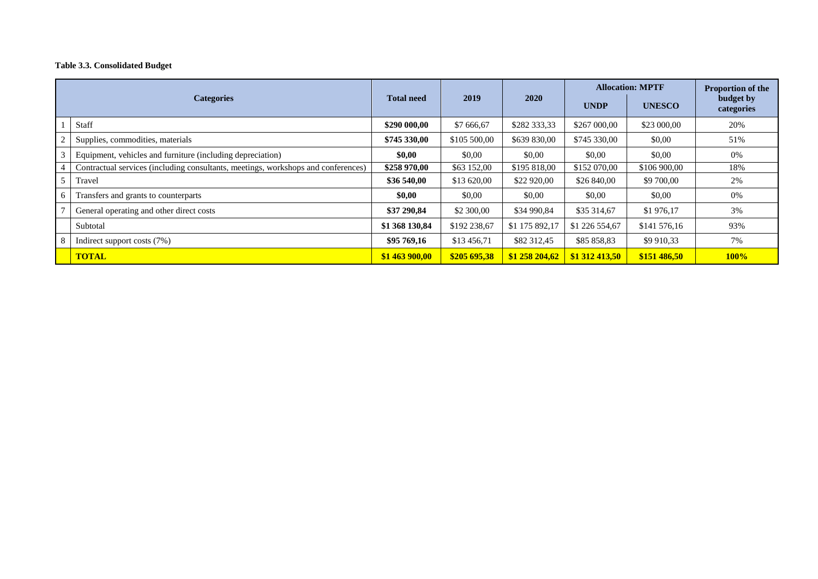#### **Table 3.3. Consolidated Budget**

|                   |                                                                                   |                   |              |                | <b>Allocation: MPTF</b> |               | <b>Proportion of the</b> |  |
|-------------------|-----------------------------------------------------------------------------------|-------------------|--------------|----------------|-------------------------|---------------|--------------------------|--|
| <b>Categories</b> |                                                                                   | <b>Total need</b> | 2019         | <b>2020</b>    | <b>UNDP</b>             | <b>UNESCO</b> | budget by<br>categories  |  |
|                   | Staff                                                                             | \$290 000,00      | \$7 666,67   | \$282 333,33   | \$267 000,00            | \$23 000,00   | 20%                      |  |
|                   | Supplies, commodities, materials                                                  | \$745 330,00      | \$105 500,00 | \$639 830,00   | \$745 330,00            | \$0,00        | 51%                      |  |
|                   | Equipment, vehicles and furniture (including depreciation)                        | \$0,00            | \$0,00       | \$0,00         | \$0,00                  | \$0,00        | $0\%$                    |  |
| 4                 | Contractual services (including consultants, meetings, workshops and conferences) | \$258 970,00      | \$63 152,00  | \$195 818,00   | \$152 070,00            | \$106 900,00  | 18%                      |  |
|                   | Travel                                                                            | \$36 540,00       | \$13 620,00  | \$22 920,00    | \$26 840,00             | \$9 700,00    | 2%                       |  |
| 6                 | Transfers and grants to counterparts                                              | \$0,00            | \$0,00       | \$0,00         | \$0,00                  | \$0,00        | 0%                       |  |
|                   | General operating and other direct costs                                          | \$37 290,84       | \$2 300,00   | \$34 990,84    | \$35 314,67             | \$1976,17     | 3%                       |  |
|                   | Subtotal                                                                          | \$1 368 130,84    | \$192 238,67 | \$1 175 892,17 | \$1 226 554,67          | \$141 576,16  | 93%                      |  |
|                   | Indirect support costs (7%)                                                       | \$95 769.16       | \$13 456,71  | \$82 312,45    | \$85 858,83             | \$9 910,33    | 7%                       |  |
|                   | <b>TOTAL</b>                                                                      | \$1 463 900,00    | \$205 695.38 | \$1 258 204,62 | \$1 312 413,50          | \$151486.50   | 100%                     |  |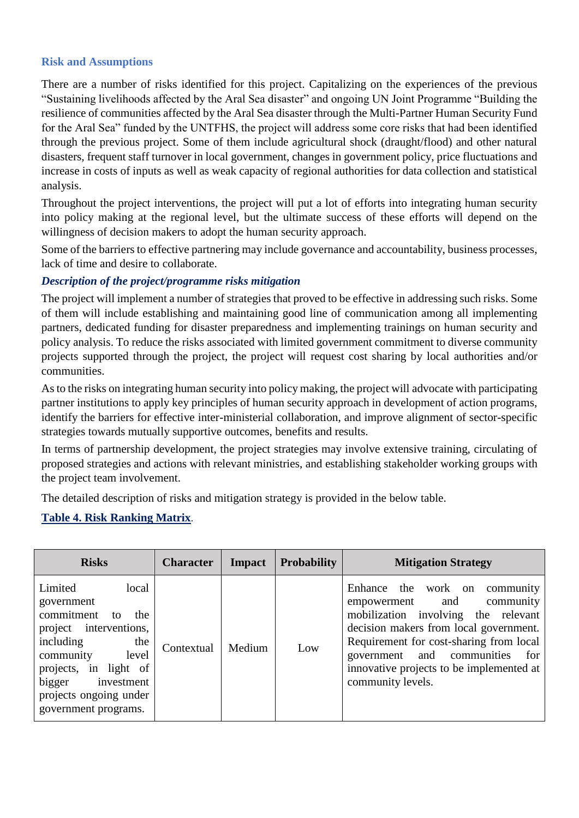# **Risk and Assumptions**

There are a number of risks identified for this project. Capitalizing on the experiences of the previous "Sustaining livelihoods affected by the Aral Sea disaster" and ongoing UN Joint Programme "Building the resilience of communities affected by the Aral Sea disaster through the Multi-Partner Human Security Fund for the Aral Sea" funded by the UNTFHS, the project will address some core risks that had been identified through the previous project. Some of them include agricultural shock (draught/flood) and other natural disasters, frequent staff turnover in local government, changes in government policy, price fluctuations and increase in costs of inputs as well as weak capacity of regional authorities for data collection and statistical analysis.

Throughout the project interventions, the project will put a lot of efforts into integrating human security into policy making at the regional level, but the ultimate success of these efforts will depend on the willingness of decision makers to adopt the human security approach.

Some of the barriers to effective partnering may include governance and accountability, business processes, lack of time and desire to collaborate.

# *Description of the project/programme risks mitigation*

The project will implement a number of strategies that proved to be effective in addressing such risks. Some of them will include establishing and maintaining good line of communication among all implementing partners, dedicated funding for disaster preparedness and implementing trainings on human security and policy analysis. To reduce the risks associated with limited government commitment to diverse community projects supported through the project, the project will request cost sharing by local authorities and/or communities.

As to the risks on integrating human security into policy making, the project will advocate with participating partner institutions to apply key principles of human security approach in development of action programs, identify the barriers for effective inter-ministerial collaboration, and improve alignment of sector-specific strategies towards mutually supportive outcomes, benefits and results.

In terms of partnership development, the project strategies may involve extensive training, circulating of proposed strategies and actions with relevant ministries, and establishing stakeholder working groups with the project team involvement.

The detailed description of risks and mitigation strategy is provided in the below table.

# **Table 4. Risk Ranking Matrix**.

| <b>Risks</b>                                                                                                                                                                                                                        | <b>Character</b> | <b>Impact</b> | <b>Probability</b> | <b>Mitigation Strategy</b>                                                                                                                                                                                                                                                                               |
|-------------------------------------------------------------------------------------------------------------------------------------------------------------------------------------------------------------------------------------|------------------|---------------|--------------------|----------------------------------------------------------------------------------------------------------------------------------------------------------------------------------------------------------------------------------------------------------------------------------------------------------|
| Limited<br>local<br>government<br>commitment<br>the<br>to<br>project interventions,<br>including<br>the<br>community<br>level<br>in light of<br>projects,<br>bigger<br>investment<br>projects ongoing under<br>government programs. | Contextual       | Medium        | Low                | Enhance the work on<br>community<br>and<br>community<br>empowerment<br>mobilization involving the relevant<br>decision makers from local government.<br>Requirement for cost-sharing from local<br>and communities<br>for<br>government<br>innovative projects to be implemented at<br>community levels. |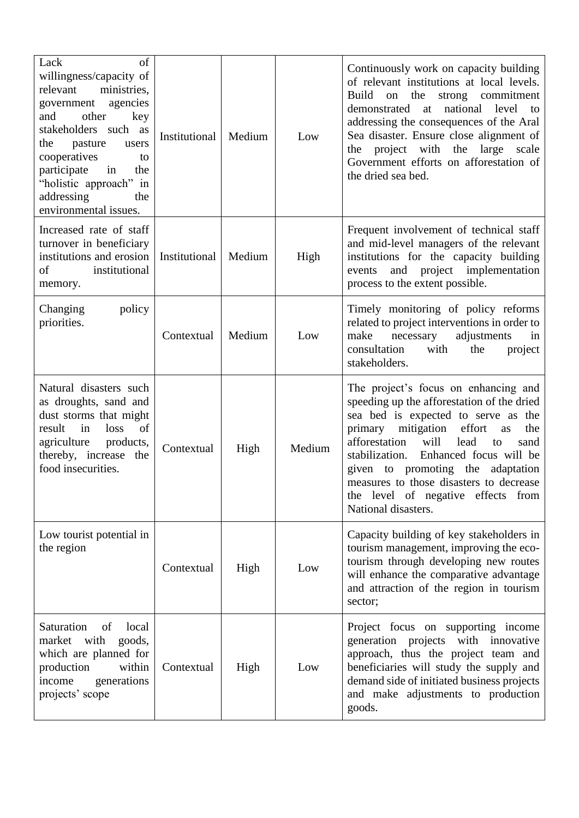| Lack<br>of<br>willingness/capacity of<br>ministries,<br>relevant<br>agencies<br>government<br>other<br>and<br>key<br>such as<br>stakeholders<br>pasture<br>the<br>users<br>cooperatives<br>to<br>in<br>participate<br>the<br>"holistic approach" in<br>addressing<br>the<br>environmental issues. | Institutional | Medium | Low    | Continuously work on capacity building<br>of relevant institutions at local levels.<br>the<br>Build<br>strong commitment<br>on<br>demonstrated<br>at<br>national<br>level<br>to<br>addressing the consequences of the Aral<br>Sea disaster. Ensure close alignment of<br>with<br>project<br>the<br>large<br>scale<br>the<br>Government efforts on afforestation of<br>the dried sea bed.                             |
|---------------------------------------------------------------------------------------------------------------------------------------------------------------------------------------------------------------------------------------------------------------------------------------------------|---------------|--------|--------|----------------------------------------------------------------------------------------------------------------------------------------------------------------------------------------------------------------------------------------------------------------------------------------------------------------------------------------------------------------------------------------------------------------------|
| Increased rate of staff<br>turnover in beneficiary<br>institutions and erosion<br>of<br>institutional<br>memory.                                                                                                                                                                                  | Institutional | Medium | High   | Frequent involvement of technical staff<br>and mid-level managers of the relevant<br>institutions for the capacity building<br>and project implementation<br>events<br>process to the extent possible.                                                                                                                                                                                                               |
| Changing<br>policy<br>priorities.                                                                                                                                                                                                                                                                 | Contextual    | Medium | Low    | Timely monitoring of policy reforms<br>related to project interventions in order to<br>adjustments<br>make<br>necessary<br>in<br>consultation<br>with<br>the<br>project<br>stakeholders.                                                                                                                                                                                                                             |
| Natural disasters such<br>as droughts, sand and<br>dust storms that might<br>of<br>result<br>loss<br>in<br>agriculture<br>products,<br>thereby, increase<br>the<br>food insecurities.                                                                                                             | Contextual    | High   | Medium | The project's focus on enhancing and<br>speeding up the afforestation of the dried<br>sea bed is expected to serve as the<br>primary<br>mitigation<br>effort<br>the<br>as<br>afforestation<br>will<br>lead<br>to<br>sand<br>Enhanced focus will be<br>stabilization.<br>given to promoting the<br>adaptation<br>measures to those disasters to decrease<br>the level of negative effects from<br>National disasters. |
| Low tourist potential in<br>the region                                                                                                                                                                                                                                                            | Contextual    | High   | Low    | Capacity building of key stakeholders in<br>tourism management, improving the eco-<br>tourism through developing new routes<br>will enhance the comparative advantage<br>and attraction of the region in tourism<br>sector;                                                                                                                                                                                          |
| Saturation<br>of<br>local<br>market with<br>goods,<br>which are planned for<br>within<br>production<br>generations<br>income<br>projects' scope                                                                                                                                                   | Contextual    | High   | Low    | Project focus on supporting income<br>generation projects with innovative<br>approach, thus the project team and<br>beneficiaries will study the supply and<br>demand side of initiated business projects<br>and make adjustments to production<br>goods.                                                                                                                                                            |